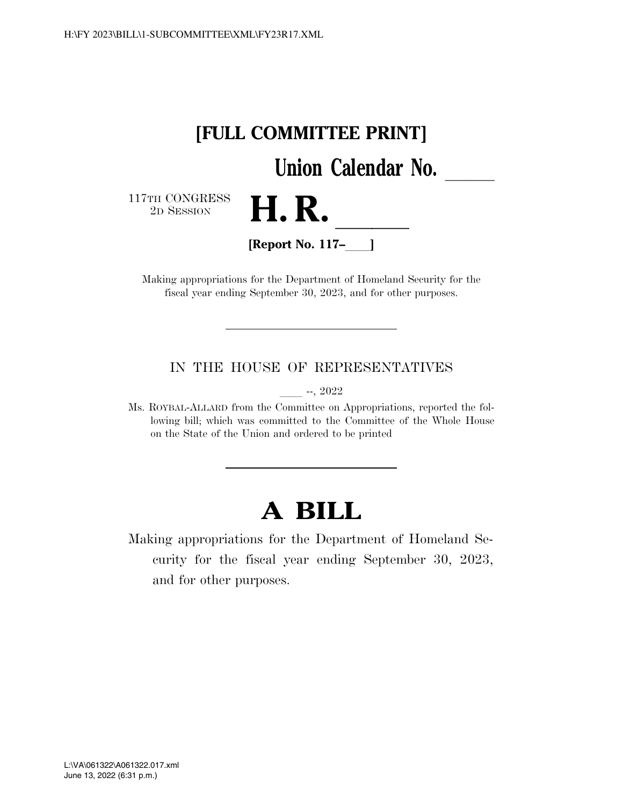

Making appropriations for the Department of Homeland Security for the fiscal year ending September 30, 2023, and for other purposes.

IN THE HOUSE OF REPRESENTATIVES

ll --, 2022

Ms. ROYBAL-ALLARD from the Committee on Appropriations, reported the following bill; which was committed to the Committee of the Whole House on the State of the Union and ordered to be printed

# **A BILL**

Making appropriations for the Department of Homeland Security for the fiscal year ending September 30, 2023, and for other purposes.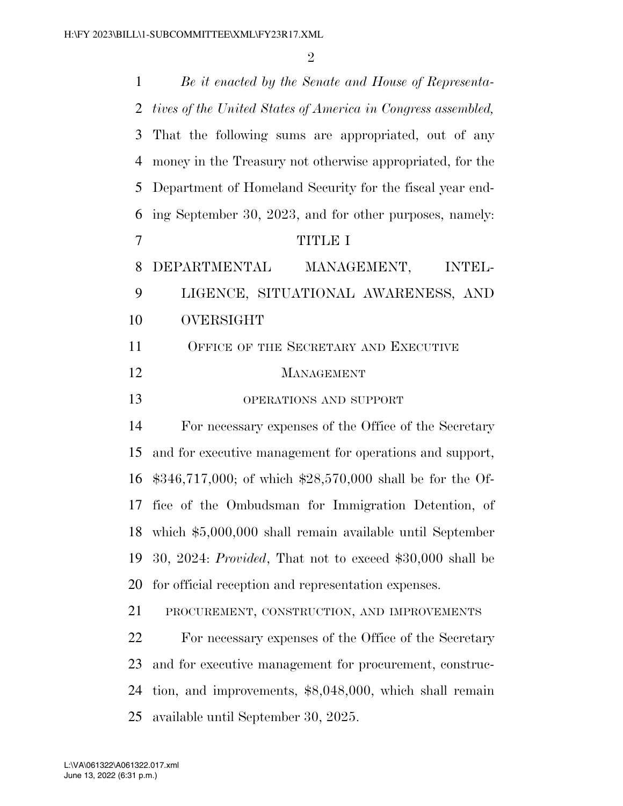| $\mathbf{1}$   | Be it enacted by the Senate and House of Representa-         |
|----------------|--------------------------------------------------------------|
| $\overline{2}$ | tives of the United States of America in Congress assembled, |
| 3              | That the following sums are appropriated, out of any         |
| $\overline{4}$ | money in the Treasury not otherwise appropriated, for the    |
| 5              | Department of Homeland Security for the fiscal year end-     |
| 6              | ing September 30, 2023, and for other purposes, namely:      |
| $\tau$         | <b>TITLE I</b>                                               |
| 8              | DEPARTMENTAL<br>MANAGEMENT,<br><b>INTEL-</b>                 |
| 9              | LIGENCE, SITUATIONAL AWARENESS, AND                          |
| 10             | OVERSIGHT                                                    |
| 11             | OFFICE OF THE SECRETARY AND EXECUTIVE                        |
| 12             | <b>MANAGEMENT</b>                                            |
| 13             | OPERATIONS AND SUPPORT                                       |
| 14             | For necessary expenses of the Office of the Secretary        |
| 15             | and for executive management for operations and support,     |
| 16             | $$346,717,000$ ; of which $$28,570,000$ shall be for the Of- |
| 17             | fice of the Ombudsman for Immigration Detention, of          |
| 18             | which \$5,000,000 shall remain available until September     |
| 19             | 30, 2024: Provided, That not to exceed \$30,000 shall be     |
| 20             | for official reception and representation expenses.          |
| 21             | PROCUREMENT, CONSTRUCTION, AND IMPROVEMENTS                  |
| 22             | For necessary expenses of the Office of the Secretary        |
| 23             | and for executive management for procurement, construc-      |
| 24             | tion, and improvements, $$8,048,000$ , which shall remain    |
| 25             | available until September 30, 2025.                          |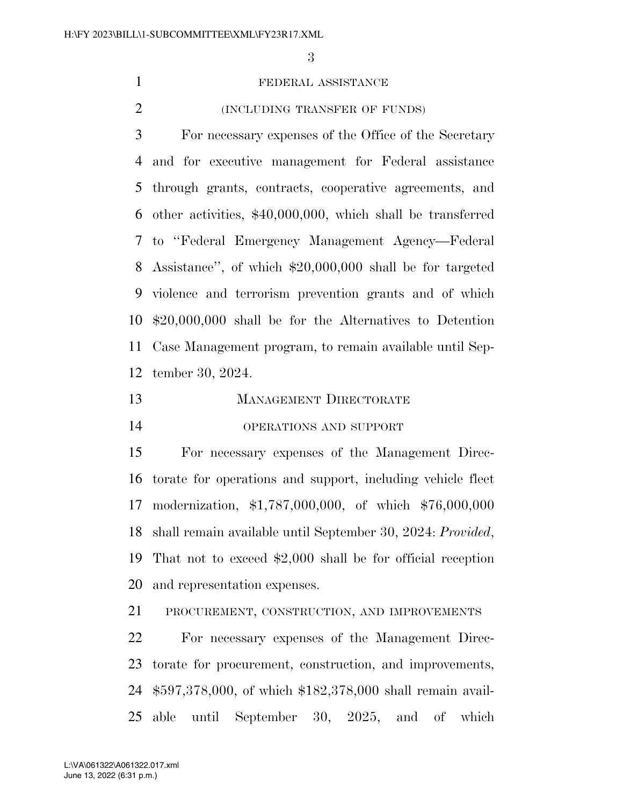### FEDERAL ASSISTANCE

### (INCLUDING TRANSFER OF FUNDS)

 For necessary expenses of the Office of the Secretary and for executive management for Federal assistance through grants, contracts, cooperative agreements, and other activities, \$40,000,000, which shall be transferred to ''Federal Emergency Management Agency—Federal Assistance'', of which \$20,000,000 shall be for targeted violence and terrorism prevention grants and of which \$20,000,000 shall be for the Alternatives to Detention Case Management program, to remain available until Sep-tember 30, 2024.

- 13 MANAGEMENT DIRECTORATE
- OPERATIONS AND SUPPORT

 For necessary expenses of the Management Direc- torate for operations and support, including vehicle fleet modernization, \$1,787,000,000, of which \$76,000,000 shall remain available until September 30, 2024: *Provided*, That not to exceed \$2,000 shall be for official reception and representation expenses.

PROCUREMENT, CONSTRUCTION, AND IMPROVEMENTS

 For necessary expenses of the Management Direc- torate for procurement, construction, and improvements, \$597,378,000, of which \$182,378,000 shall remain avail-able until September 30, 2025, and of which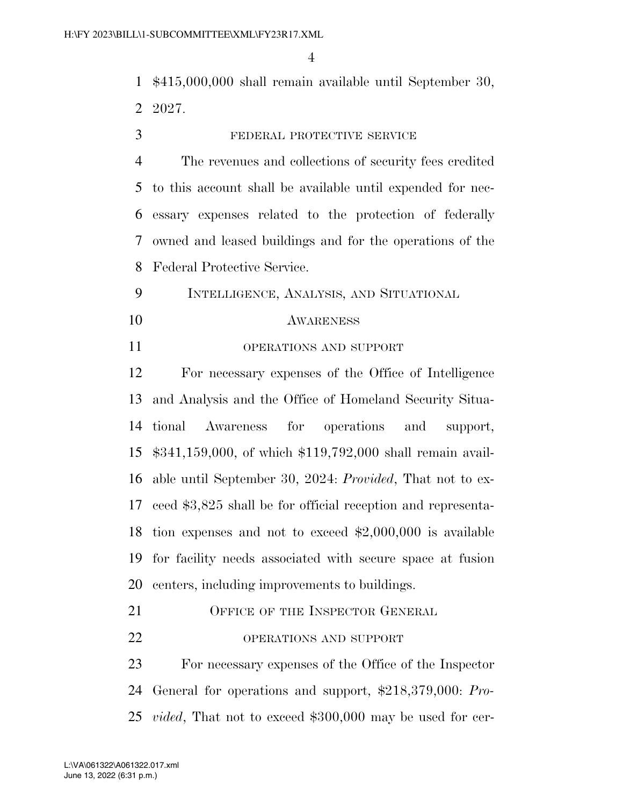\$415,000,000 shall remain available until September 30, 2027.

### FEDERAL PROTECTIVE SERVICE

 The revenues and collections of security fees credited to this account shall be available until expended for nec- essary expenses related to the protection of federally owned and leased buildings and for the operations of the Federal Protective Service.

INTELLIGENCE, ANALYSIS, AND SITUATIONAL

- AWARENESS
- OPERATIONS AND SUPPORT

 For necessary expenses of the Office of Intelligence and Analysis and the Office of Homeland Security Situa- tional Awareness for operations and support, \$341,159,000, of which \$119,792,000 shall remain avail- able until September 30, 2024: *Provided*, That not to ex- ceed \$3,825 shall be for official reception and representa- tion expenses and not to exceed \$2,000,000 is available for facility needs associated with secure space at fusion centers, including improvements to buildings.

21 OFFICE OF THE INSPECTOR GENERAL

22 OPERATIONS AND SUPPORT

 For necessary expenses of the Office of the Inspector General for operations and support, \$218,379,000: *Pro-vided*, That not to exceed \$300,000 may be used for cer-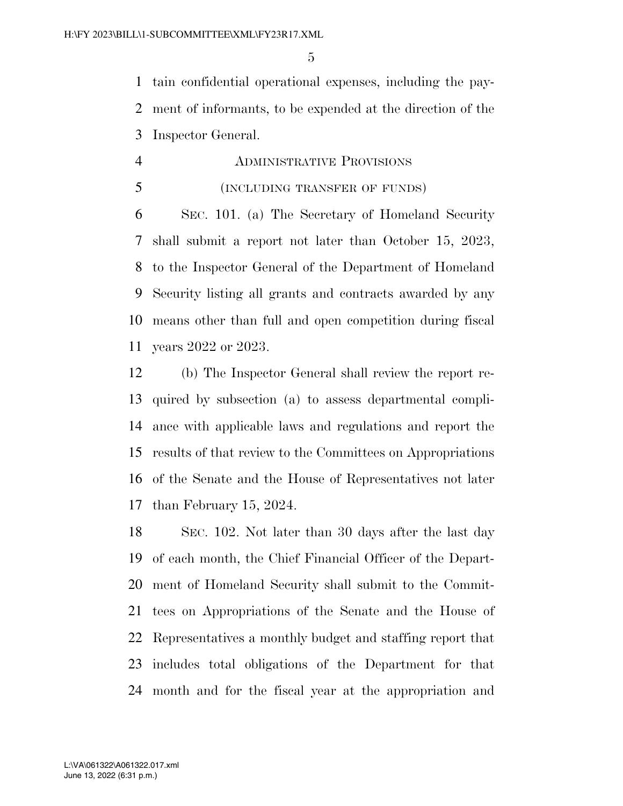tain confidential operational expenses, including the pay- ment of informants, to be expended at the direction of the Inspector General.

 ADMINISTRATIVE PROVISIONS (INCLUDING TRANSFER OF FUNDS)

 SEC. 101. (a) The Secretary of Homeland Security shall submit a report not later than October 15, 2023, to the Inspector General of the Department of Homeland Security listing all grants and contracts awarded by any means other than full and open competition during fiscal years 2022 or 2023.

 (b) The Inspector General shall review the report re- quired by subsection (a) to assess departmental compli- ance with applicable laws and regulations and report the results of that review to the Committees on Appropriations of the Senate and the House of Representatives not later than February 15, 2024.

 SEC. 102. Not later than 30 days after the last day of each month, the Chief Financial Officer of the Depart- ment of Homeland Security shall submit to the Commit- tees on Appropriations of the Senate and the House of Representatives a monthly budget and staffing report that includes total obligations of the Department for that month and for the fiscal year at the appropriation and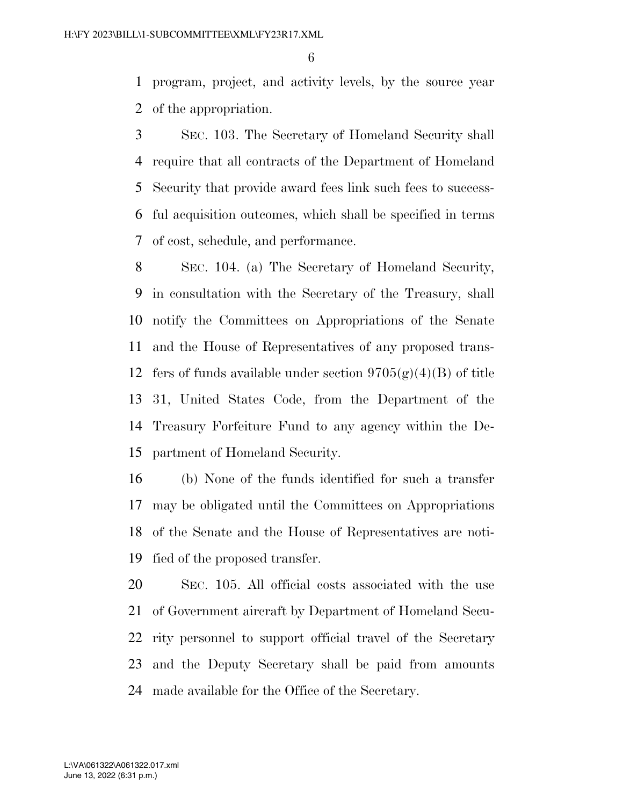program, project, and activity levels, by the source year of the appropriation.

 SEC. 103. The Secretary of Homeland Security shall require that all contracts of the Department of Homeland Security that provide award fees link such fees to success- ful acquisition outcomes, which shall be specified in terms of cost, schedule, and performance.

 SEC. 104. (a) The Secretary of Homeland Security, in consultation with the Secretary of the Treasury, shall notify the Committees on Appropriations of the Senate and the House of Representatives of any proposed trans-12 fers of funds available under section  $9705(g)(4)(B)$  of title 31, United States Code, from the Department of the Treasury Forfeiture Fund to any agency within the De-partment of Homeland Security.

 (b) None of the funds identified for such a transfer may be obligated until the Committees on Appropriations of the Senate and the House of Representatives are noti-fied of the proposed transfer.

 SEC. 105. All official costs associated with the use of Government aircraft by Department of Homeland Secu- rity personnel to support official travel of the Secretary and the Deputy Secretary shall be paid from amounts made available for the Office of the Secretary.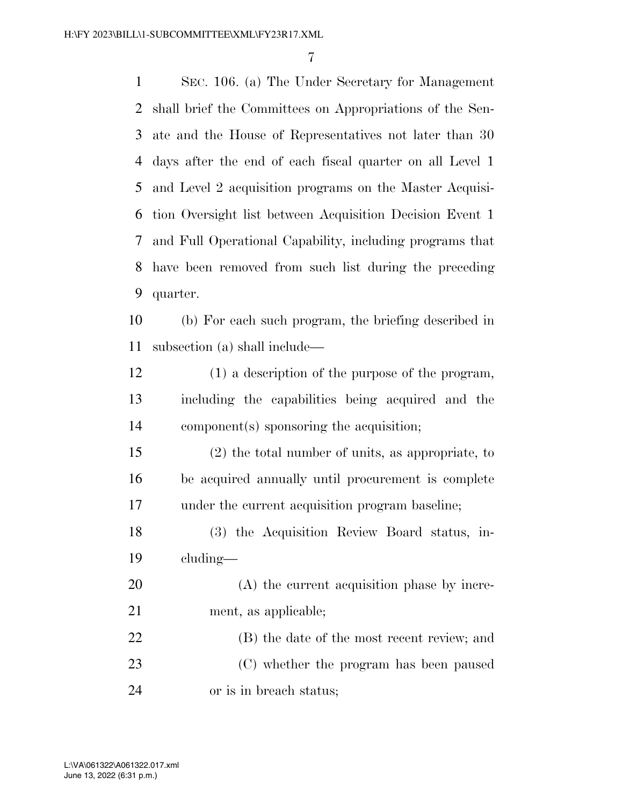SEC. 106. (a) The Under Secretary for Management shall brief the Committees on Appropriations of the Sen- ate and the House of Representatives not later than 30 days after the end of each fiscal quarter on all Level 1 and Level 2 acquisition programs on the Master Acquisi- tion Oversight list between Acquisition Decision Event 1 and Full Operational Capability, including programs that have been removed from such list during the preceding quarter.

 (b) For each such program, the briefing described in subsection (a) shall include—

 (1) a description of the purpose of the program, including the capabilities being acquired and the component(s) sponsoring the acquisition;

 (2) the total number of units, as appropriate, to be acquired annually until procurement is complete under the current acquisition program baseline;

 (3) the Acquisition Review Board status, in-cluding—

 (A) the current acquisition phase by incre-21 ment, as applicable;

 (B) the date of the most recent review; and (C) whether the program has been paused or is in breach status;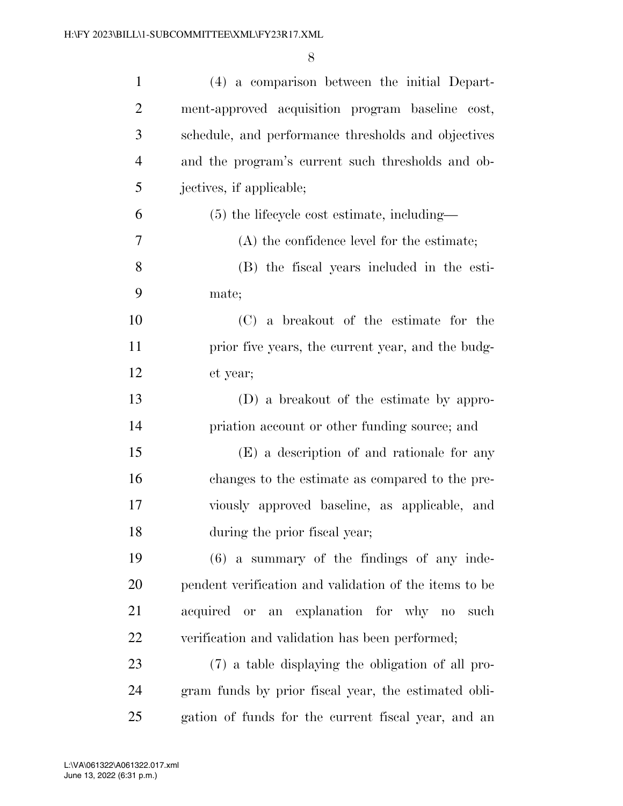| $\mathbf{1}$   | (4) a comparison between the initial Depart-           |
|----------------|--------------------------------------------------------|
| $\overline{2}$ | ment-approved acquisition program baseline cost,       |
| 3              | schedule, and performance thresholds and objectives    |
| $\overline{4}$ | and the program's current such thresholds and ob-      |
| 5              | jectives, if applicable;                               |
| 6              | $(5)$ the lifecycle cost estimate, including—          |
| 7              | (A) the confidence level for the estimate;             |
| 8              | (B) the fiscal years included in the esti-             |
| 9              | mate;                                                  |
| 10             | (C) a breakout of the estimate for the                 |
| 11             | prior five years, the current year, and the budg-      |
| 12             | et year;                                               |
| 13             | (D) a breakout of the estimate by appro-               |
| 14             | priation account or other funding source; and          |
| 15             | (E) a description of and rationale for any             |
| 16             | changes to the estimate as compared to the pre-        |
| 17             | viously approved baseline, as applicable, and          |
| 18             | during the prior fiscal year;                          |
| 19             | $(6)$ a summary of the findings of any inde-           |
| 20             | pendent verification and validation of the items to be |
| 21             | acquired or an explanation for why no<br>such          |
| 22             | verification and validation has been performed;        |
| 23             | (7) a table displaying the obligation of all pro-      |
| 24             | gram funds by prior fiscal year, the estimated obli-   |
| 25             | gation of funds for the current fiscal year, and an    |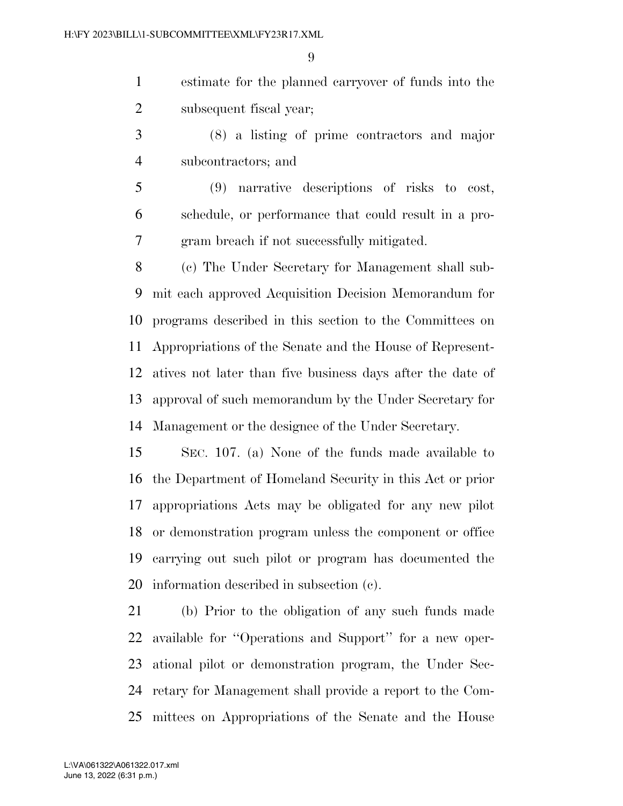estimate for the planned carryover of funds into the subsequent fiscal year;

- (8) a listing of prime contractors and major subcontractors; and
- (9) narrative descriptions of risks to cost, schedule, or performance that could result in a pro-gram breach if not successfully mitigated.

 (c) The Under Secretary for Management shall sub- mit each approved Acquisition Decision Memorandum for programs described in this section to the Committees on Appropriations of the Senate and the House of Represent- atives not later than five business days after the date of approval of such memorandum by the Under Secretary for Management or the designee of the Under Secretary.

 SEC. 107. (a) None of the funds made available to the Department of Homeland Security in this Act or prior appropriations Acts may be obligated for any new pilot or demonstration program unless the component or office carrying out such pilot or program has documented the information described in subsection (c).

 (b) Prior to the obligation of any such funds made available for ''Operations and Support'' for a new oper- ational pilot or demonstration program, the Under Sec- retary for Management shall provide a report to the Com-mittees on Appropriations of the Senate and the House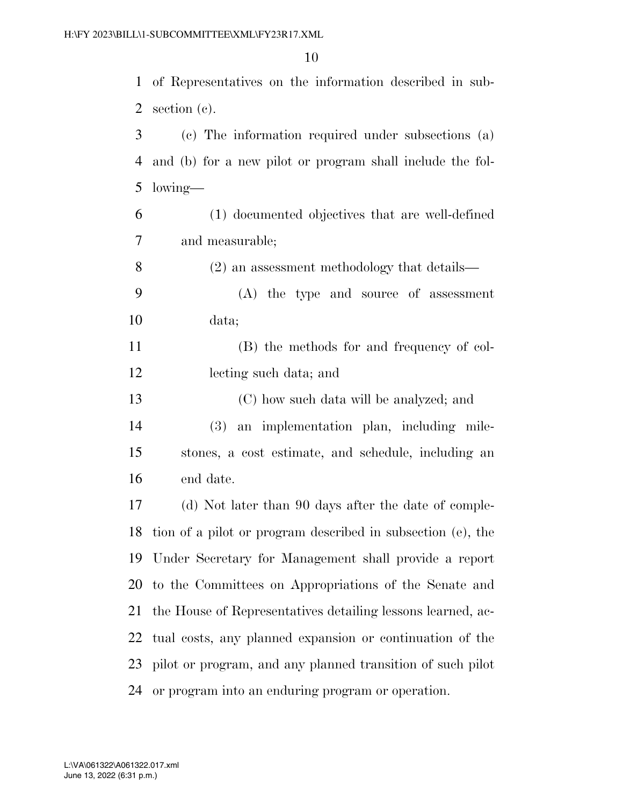of Representatives on the information described in sub-section (c).

 (c) The information required under subsections (a) and (b) for a new pilot or program shall include the fol-lowing—

- (1) documented objectives that are well-defined and measurable;
- (2) an assessment methodology that details—
- (A) the type and source of assessment data;

 (B) the methods for and frequency of col-lecting such data; and

- (C) how such data will be analyzed; and
- (3) an implementation plan, including mile- stones, a cost estimate, and schedule, including an end date.

 (d) Not later than 90 days after the date of comple- tion of a pilot or program described in subsection (e), the Under Secretary for Management shall provide a report to the Committees on Appropriations of the Senate and the House of Representatives detailing lessons learned, ac- tual costs, any planned expansion or continuation of the pilot or program, and any planned transition of such pilot or program into an enduring program or operation.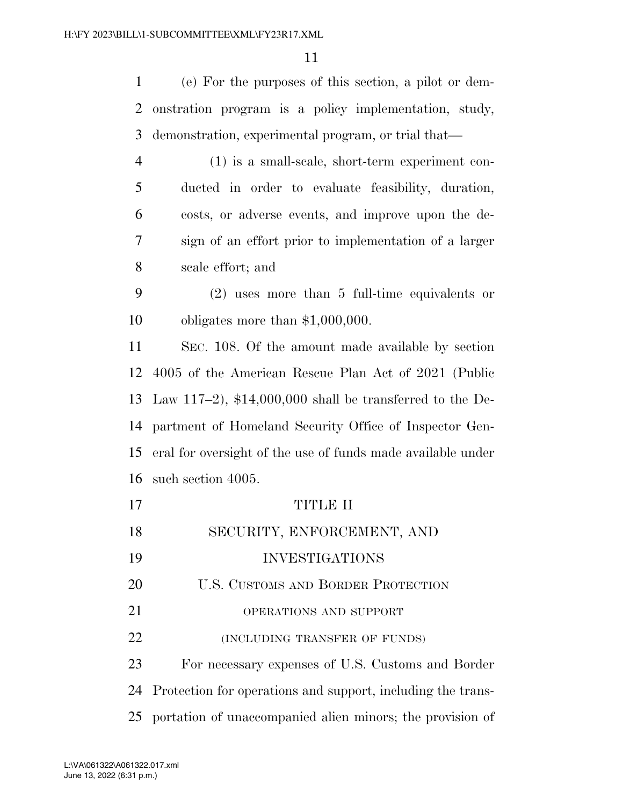(e) For the purposes of this section, a pilot or dem- onstration program is a policy implementation, study, demonstration, experimental program, or trial that—

 (1) is a small-scale, short-term experiment con- ducted in order to evaluate feasibility, duration, costs, or adverse events, and improve upon the de- sign of an effort prior to implementation of a larger scale effort; and

 (2) uses more than 5 full-time equivalents or obligates more than \$1,000,000.

 SEC. 108. Of the amount made available by section 4005 of the American Rescue Plan Act of 2021 (Public Law 117–2), \$14,000,000 shall be transferred to the De- partment of Homeland Security Office of Inspector Gen- eral for oversight of the use of funds made available under such section 4005.

| 17 | TITLE II                                                       |
|----|----------------------------------------------------------------|
| 18 | SECURITY, ENFORCEMENT, AND                                     |
| 19 | <b>INVESTIGATIONS</b>                                          |
| 20 | U.S. CUSTOMS AND BORDER PROTECTION                             |
| 21 | OPERATIONS AND SUPPORT                                         |
| 22 | (INCLUDING TRANSFER OF FUNDS)                                  |
| 23 | For necessary expenses of U.S. Customs and Border              |
|    | 24 Protection for operations and support, including the trans- |
|    | 25 portation of unaccompanied alien minors; the provision of   |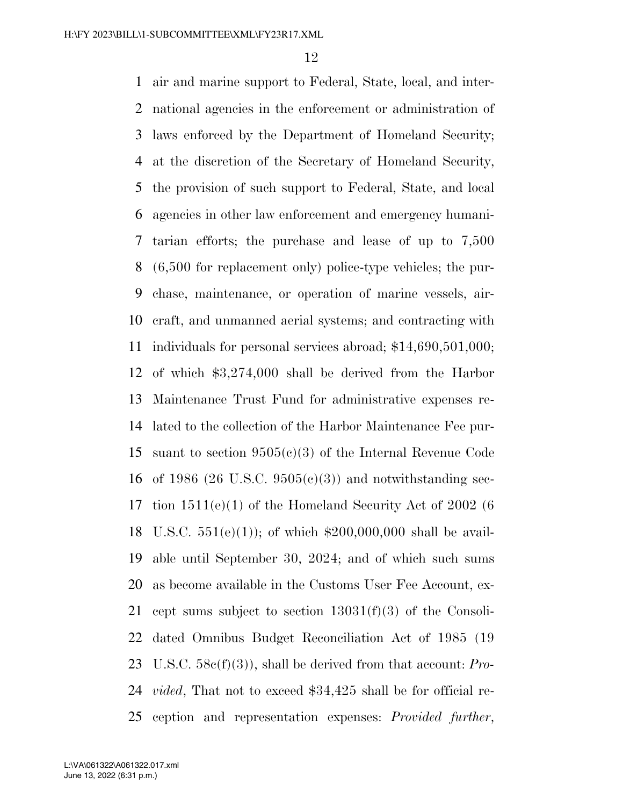air and marine support to Federal, State, local, and inter- national agencies in the enforcement or administration of laws enforced by the Department of Homeland Security; at the discretion of the Secretary of Homeland Security, the provision of such support to Federal, State, and local agencies in other law enforcement and emergency humani- tarian efforts; the purchase and lease of up to 7,500 (6,500 for replacement only) police-type vehicles; the pur- chase, maintenance, or operation of marine vessels, air- craft, and unmanned aerial systems; and contracting with individuals for personal services abroad; \$14,690,501,000; of which \$3,274,000 shall be derived from the Harbor Maintenance Trust Fund for administrative expenses re- lated to the collection of the Harbor Maintenance Fee pur- suant to section 9505(c)(3) of the Internal Revenue Code 16 of 1986 (26 U.S.C. 9505 $(e)(3)$ ) and notwithstanding sec- tion 1511(e)(1) of the Homeland Security Act of 2002 (6 U.S.C. 551(e)(1)); of which \$200,000,000 shall be avail- able until September 30, 2024; and of which such sums as become available in the Customs User Fee Account, ex- cept sums subject to section 13031(f)(3) of the Consoli- dated Omnibus Budget Reconciliation Act of 1985 (19 U.S.C. 58c(f)(3)), shall be derived from that account: *Pro- vided*, That not to exceed \$34,425 shall be for official re-ception and representation expenses: *Provided further*,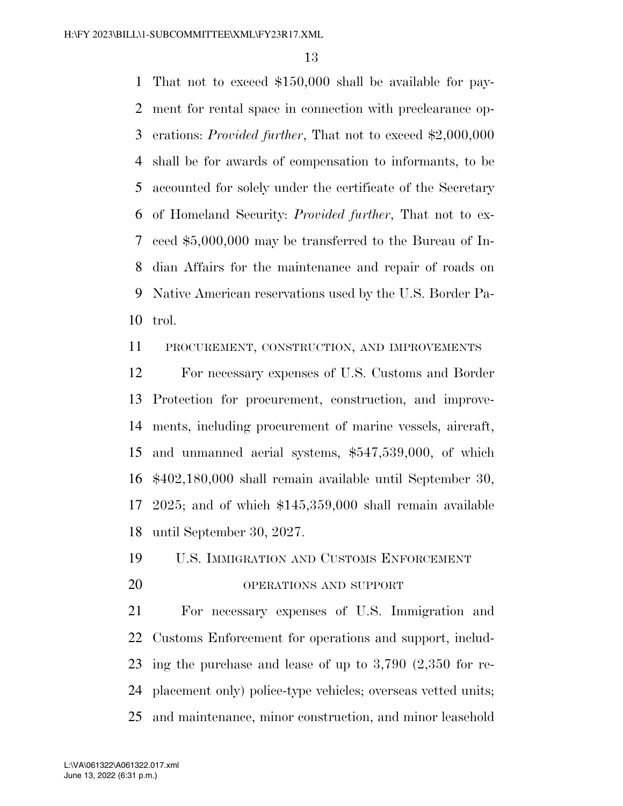That not to exceed \$150,000 shall be available for pay- ment for rental space in connection with preclearance op- erations: *Provided further*, That not to exceed \$2,000,000 shall be for awards of compensation to informants, to be accounted for solely under the certificate of the Secretary of Homeland Security: *Provided further*, That not to ex- ceed \$5,000,000 may be transferred to the Bureau of In- dian Affairs for the maintenance and repair of roads on Native American reservations used by the U.S. Border Pa-trol.

PROCUREMENT, CONSTRUCTION, AND IMPROVEMENTS

 For necessary expenses of U.S. Customs and Border Protection for procurement, construction, and improve- ments, including procurement of marine vessels, aircraft, and unmanned aerial systems, \$547,539,000, of which \$402,180,000 shall remain available until September 30, 2025; and of which \$145,359,000 shall remain available until September 30, 2027.

U.S. IMMIGRATION AND CUSTOMS ENFORCEMENT

### 20 OPERATIONS AND SUPPORT

 For necessary expenses of U.S. Immigration and Customs Enforcement for operations and support, includ- ing the purchase and lease of up to 3,790 (2,350 for re- placement only) police-type vehicles; overseas vetted units; and maintenance, minor construction, and minor leasehold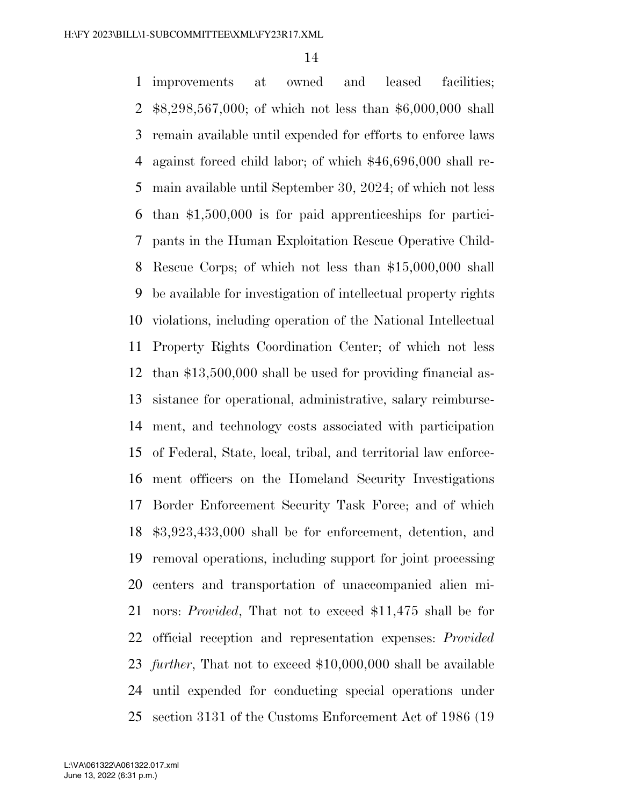improvements at owned and leased facilities; \$8,298,567,000; of which not less than \$6,000,000 shall remain available until expended for efforts to enforce laws against forced child labor; of which \$46,696,000 shall re- main available until September 30, 2024; of which not less than \$1,500,000 is for paid apprenticeships for partici- pants in the Human Exploitation Rescue Operative Child- Rescue Corps; of which not less than \$15,000,000 shall be available for investigation of intellectual property rights violations, including operation of the National Intellectual Property Rights Coordination Center; of which not less than \$13,500,000 shall be used for providing financial as- sistance for operational, administrative, salary reimburse- ment, and technology costs associated with participation of Federal, State, local, tribal, and territorial law enforce- ment officers on the Homeland Security Investigations Border Enforcement Security Task Force; and of which \$3,923,433,000 shall be for enforcement, detention, and removal operations, including support for joint processing centers and transportation of unaccompanied alien mi- nors: *Provided*, That not to exceed \$11,475 shall be for official reception and representation expenses: *Provided further*, That not to exceed \$10,000,000 shall be available until expended for conducting special operations under section 3131 of the Customs Enforcement Act of 1986 (19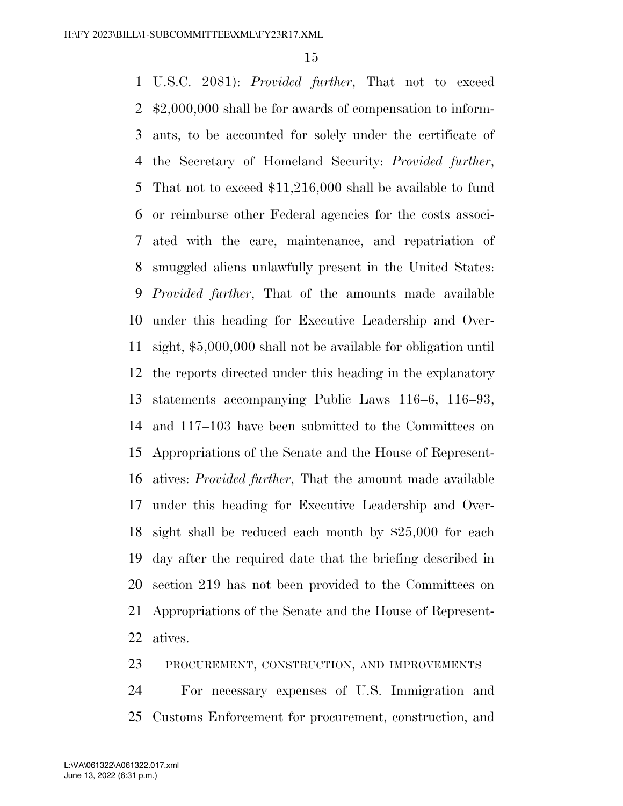U.S.C. 2081): *Provided further*, That not to exceed \$2,000,000 shall be for awards of compensation to inform- ants, to be accounted for solely under the certificate of the Secretary of Homeland Security: *Provided further*, That not to exceed \$11,216,000 shall be available to fund or reimburse other Federal agencies for the costs associ- ated with the care, maintenance, and repatriation of smuggled aliens unlawfully present in the United States: *Provided further*, That of the amounts made available under this heading for Executive Leadership and Over- sight, \$5,000,000 shall not be available for obligation until the reports directed under this heading in the explanatory statements accompanying Public Laws 116–6, 116–93, and 117–103 have been submitted to the Committees on Appropriations of the Senate and the House of Represent- atives: *Provided further*, That the amount made available under this heading for Executive Leadership and Over- sight shall be reduced each month by \$25,000 for each day after the required date that the briefing described in section 219 has not been provided to the Committees on Appropriations of the Senate and the House of Represent-atives.

PROCUREMENT, CONSTRUCTION, AND IMPROVEMENTS

 For necessary expenses of U.S. Immigration and Customs Enforcement for procurement, construction, and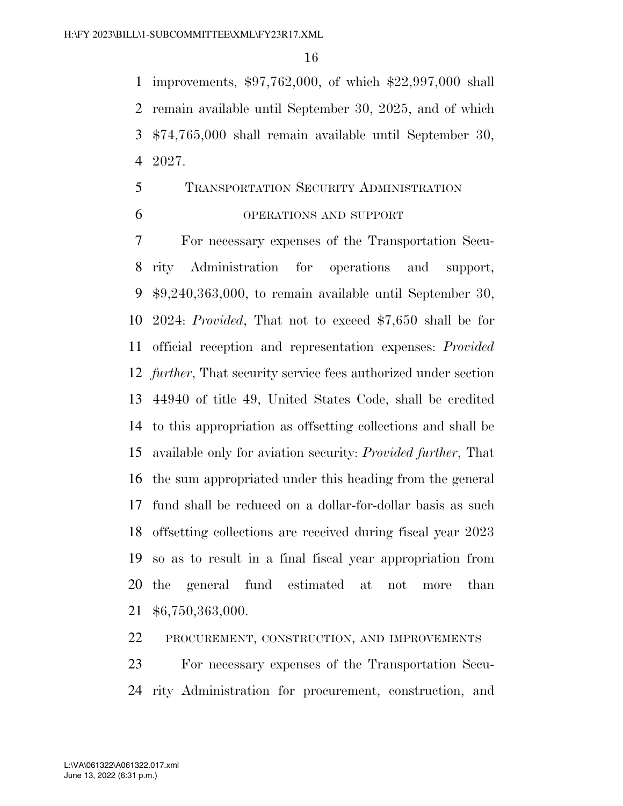improvements, \$97,762,000, of which \$22,997,000 shall remain available until September 30, 2025, and of which \$74,765,000 shall remain available until September 30, 2027.

# TRANSPORTATION SECURITY ADMINISTRATION

# OPERATIONS AND SUPPORT

 For necessary expenses of the Transportation Secu- rity Administration for operations and support, \$9,240,363,000, to remain available until September 30, 2024: *Provided*, That not to exceed \$7,650 shall be for official reception and representation expenses: *Provided further*, That security service fees authorized under section 44940 of title 49, United States Code, shall be credited to this appropriation as offsetting collections and shall be available only for aviation security: *Provided further*, That the sum appropriated under this heading from the general fund shall be reduced on a dollar-for-dollar basis as such offsetting collections are received during fiscal year 2023 so as to result in a final fiscal year appropriation from the general fund estimated at not more than \$6,750,363,000.

PROCUREMENT, CONSTRUCTION, AND IMPROVEMENTS

 For necessary expenses of the Transportation Secu-rity Administration for procurement, construction, and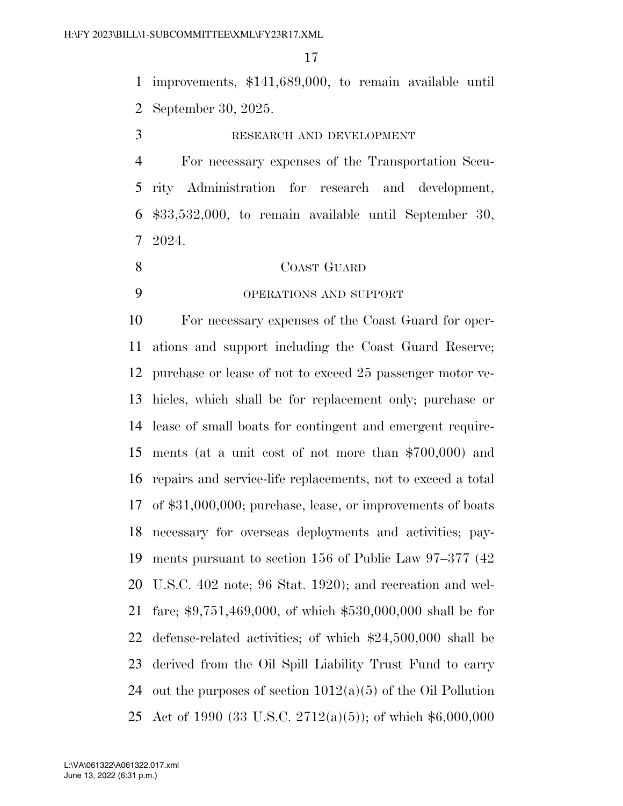improvements, \$141,689,000, to remain available until September 30, 2025.

RESEARCH AND DEVELOPMENT

 For necessary expenses of the Transportation Secu- rity Administration for research and development, \$33,532,000, to remain available until September 30, 2024.

- COAST GUARD
- OPERATIONS AND SUPPORT

 For necessary expenses of the Coast Guard for oper- ations and support including the Coast Guard Reserve; purchase or lease of not to exceed 25 passenger motor ve- hicles, which shall be for replacement only; purchase or lease of small boats for contingent and emergent require- ments (at a unit cost of not more than \$700,000) and repairs and service-life replacements, not to exceed a total of \$31,000,000; purchase, lease, or improvements of boats necessary for overseas deployments and activities; pay- ments pursuant to section 156 of Public Law 97–377 (42 U.S.C. 402 note; 96 Stat. 1920); and recreation and wel- fare; \$9,751,469,000, of which \$530,000,000 shall be for defense-related activities; of which \$24,500,000 shall be derived from the Oil Spill Liability Trust Fund to carry 24 out the purposes of section  $1012(a)(5)$  of the Oil Pollution Act of 1990 (33 U.S.C. 2712(a)(5)); of which \$6,000,000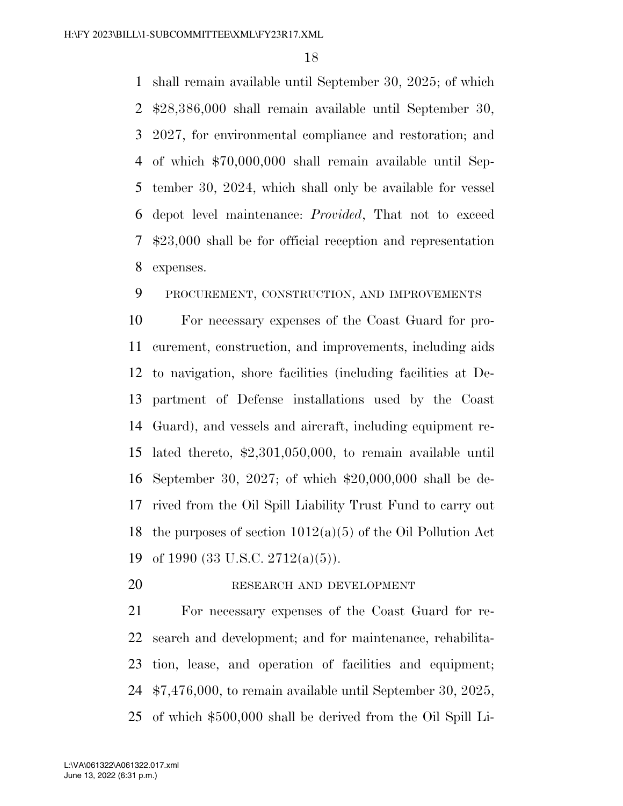shall remain available until September 30, 2025; of which \$28,386,000 shall remain available until September 30, 2027, for environmental compliance and restoration; and of which \$70,000,000 shall remain available until Sep- tember 30, 2024, which shall only be available for vessel depot level maintenance: *Provided*, That not to exceed \$23,000 shall be for official reception and representation expenses.

# PROCUREMENT, CONSTRUCTION, AND IMPROVEMENTS

 For necessary expenses of the Coast Guard for pro- curement, construction, and improvements, including aids to navigation, shore facilities (including facilities at De- partment of Defense installations used by the Coast Guard), and vessels and aircraft, including equipment re- lated thereto, \$2,301,050,000, to remain available until September 30, 2027; of which \$20,000,000 shall be de- rived from the Oil Spill Liability Trust Fund to carry out 18 the purposes of section  $1012(a)(5)$  of the Oil Pollution Act of 1990 (33 U.S.C. 2712(a)(5)).

### RESEARCH AND DEVELOPMENT

 For necessary expenses of the Coast Guard for re- search and development; and for maintenance, rehabilita- tion, lease, and operation of facilities and equipment; \$7,476,000, to remain available until September 30, 2025, of which \$500,000 shall be derived from the Oil Spill Li-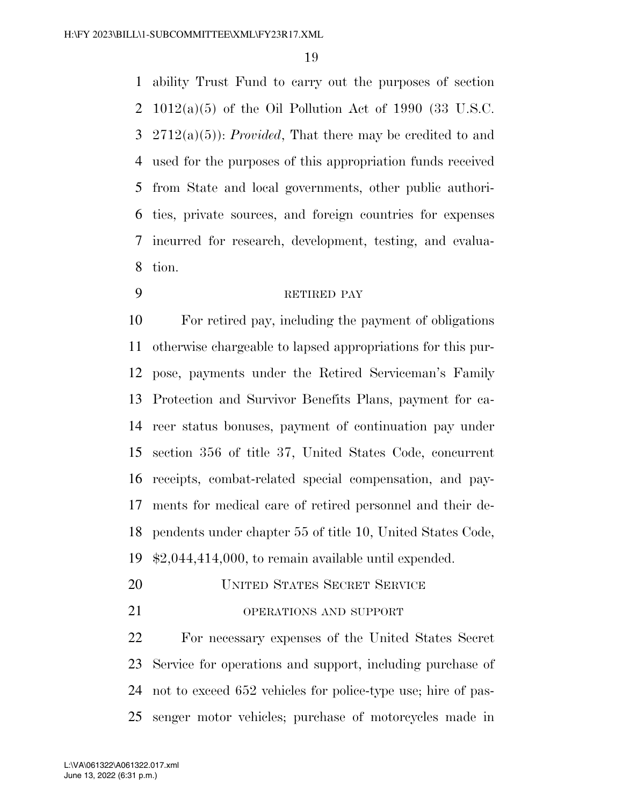ability Trust Fund to carry out the purposes of section 1012(a)(5) of the Oil Pollution Act of 1990 (33 U.S.C. 2712(a)(5)): *Provided*, That there may be credited to and used for the purposes of this appropriation funds received from State and local governments, other public authori- ties, private sources, and foreign countries for expenses incurred for research, development, testing, and evalua-tion.

### RETIRED PAY

 For retired pay, including the payment of obligations otherwise chargeable to lapsed appropriations for this pur- pose, payments under the Retired Serviceman's Family Protection and Survivor Benefits Plans, payment for ca- reer status bonuses, payment of continuation pay under section 356 of title 37, United States Code, concurrent receipts, combat-related special compensation, and pay- ments for medical care of retired personnel and their de- pendents under chapter 55 of title 10, United States Code, \$2,044,414,000, to remain available until expended.

- UNITED STATES SECRET SERVICE
- OPERATIONS AND SUPPORT

 For necessary expenses of the United States Secret Service for operations and support, including purchase of not to exceed 652 vehicles for police-type use; hire of pas-senger motor vehicles; purchase of motorcycles made in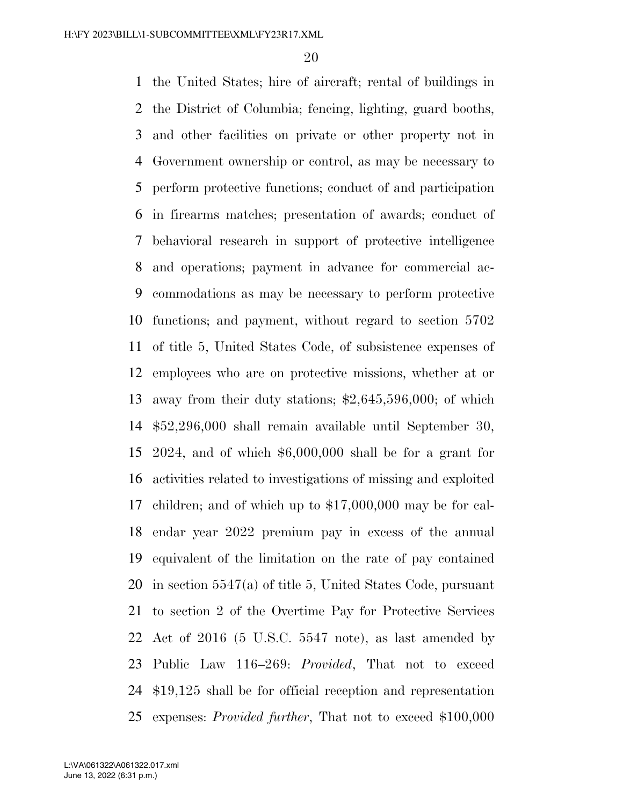the United States; hire of aircraft; rental of buildings in the District of Columbia; fencing, lighting, guard booths, and other facilities on private or other property not in Government ownership or control, as may be necessary to perform protective functions; conduct of and participation in firearms matches; presentation of awards; conduct of behavioral research in support of protective intelligence and operations; payment in advance for commercial ac- commodations as may be necessary to perform protective functions; and payment, without regard to section 5702 of title 5, United States Code, of subsistence expenses of employees who are on protective missions, whether at or away from their duty stations; \$2,645,596,000; of which \$52,296,000 shall remain available until September 30, 2024, and of which \$6,000,000 shall be for a grant for activities related to investigations of missing and exploited children; and of which up to \$17,000,000 may be for cal- endar year 2022 premium pay in excess of the annual equivalent of the limitation on the rate of pay contained in section 5547(a) of title 5, United States Code, pursuant to section 2 of the Overtime Pay for Protective Services Act of 2016 (5 U.S.C. 5547 note), as last amended by Public Law 116–269: *Provided*, That not to exceed \$19,125 shall be for official reception and representation expenses: *Provided further*, That not to exceed \$100,000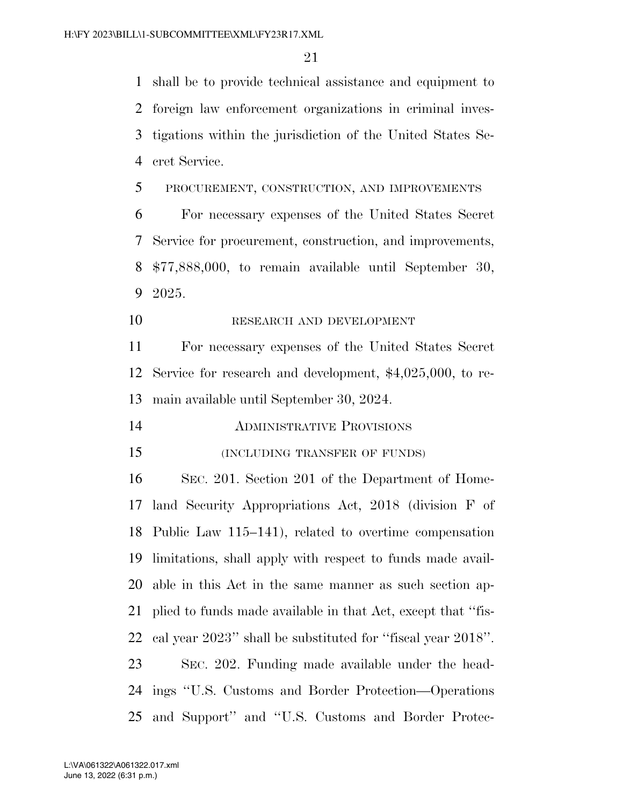shall be to provide technical assistance and equipment to foreign law enforcement organizations in criminal inves- tigations within the jurisdiction of the United States Se-cret Service.

PROCUREMENT, CONSTRUCTION, AND IMPROVEMENTS

 For necessary expenses of the United States Secret Service for procurement, construction, and improvements, \$77,888,000, to remain available until September 30, 2025.

RESEARCH AND DEVELOPMENT

 For necessary expenses of the United States Secret Service for research and development, \$4,025,000, to re-main available until September 30, 2024.

ADMINISTRATIVE PROVISIONS

(INCLUDING TRANSFER OF FUNDS)

 SEC. 201. Section 201 of the Department of Home- land Security Appropriations Act, 2018 (division F of Public Law 115–141), related to overtime compensation limitations, shall apply with respect to funds made avail- able in this Act in the same manner as such section ap- plied to funds made available in that Act, except that ''fis- cal year 2023'' shall be substituted for ''fiscal year 2018''. SEC. 202. Funding made available under the head-ings ''U.S. Customs and Border Protection—Operations

and Support'' and ''U.S. Customs and Border Protec-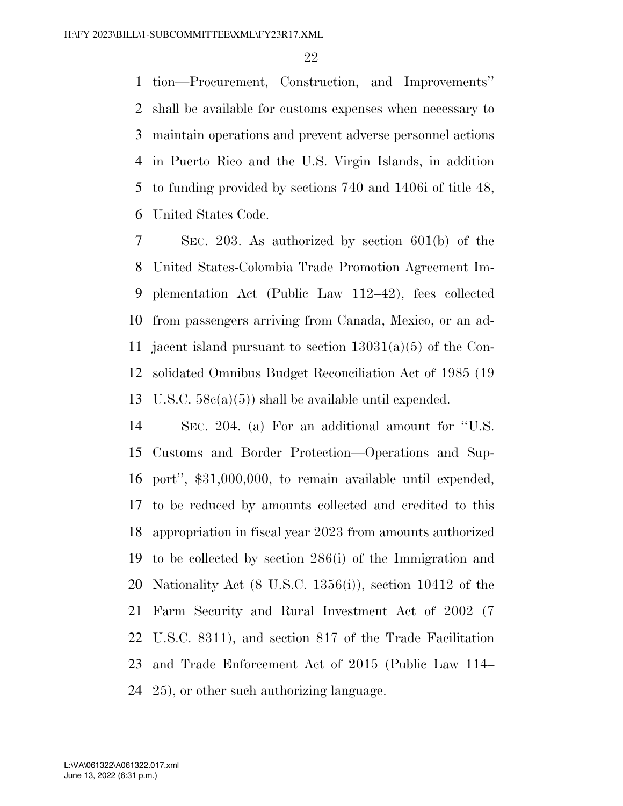tion—Procurement, Construction, and Improvements'' shall be available for customs expenses when necessary to maintain operations and prevent adverse personnel actions in Puerto Rico and the U.S. Virgin Islands, in addition to funding provided by sections 740 and 1406i of title 48, United States Code.

 SEC. 203. As authorized by section 601(b) of the United States-Colombia Trade Promotion Agreement Im- plementation Act (Public Law 112–42), fees collected from passengers arriving from Canada, Mexico, or an ad- jacent island pursuant to section 13031(a)(5) of the Con- solidated Omnibus Budget Reconciliation Act of 1985 (19 U.S.C. 58c(a)(5)) shall be available until expended.

 SEC. 204. (a) For an additional amount for ''U.S. Customs and Border Protection—Operations and Sup- port'', \$31,000,000, to remain available until expended, to be reduced by amounts collected and credited to this appropriation in fiscal year 2023 from amounts authorized to be collected by section 286(i) of the Immigration and Nationality Act (8 U.S.C. 1356(i)), section 10412 of the Farm Security and Rural Investment Act of 2002 (7 U.S.C. 8311), and section 817 of the Trade Facilitation and Trade Enforcement Act of 2015 (Public Law 114– 25), or other such authorizing language.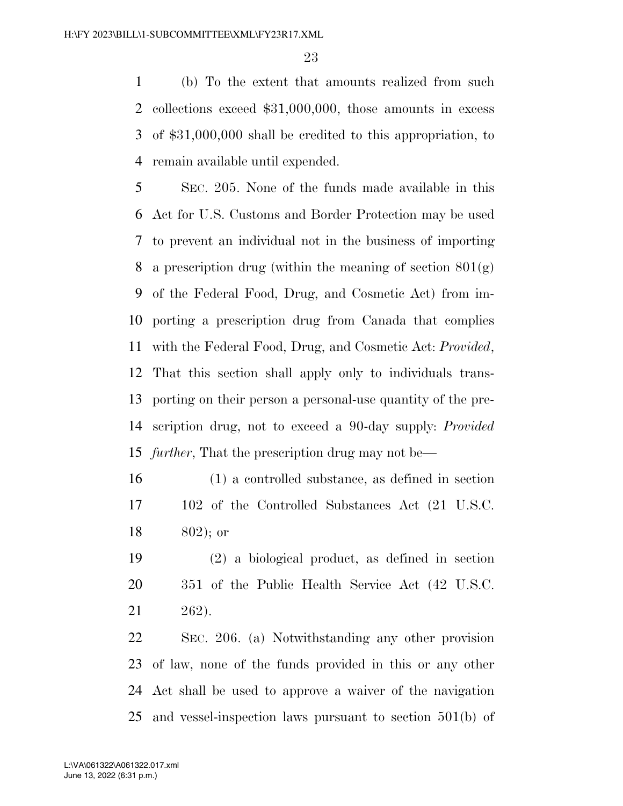(b) To the extent that amounts realized from such collections exceed \$31,000,000, those amounts in excess of \$31,000,000 shall be credited to this appropriation, to remain available until expended.

 SEC. 205. None of the funds made available in this Act for U.S. Customs and Border Protection may be used to prevent an individual not in the business of importing 8 a prescription drug (within the meaning of section  $801(g)$ ) of the Federal Food, Drug, and Cosmetic Act) from im- porting a prescription drug from Canada that complies with the Federal Food, Drug, and Cosmetic Act: *Provided*, That this section shall apply only to individuals trans- porting on their person a personal-use quantity of the pre- scription drug, not to exceed a 90-day supply: *Provided further*, That the prescription drug may not be—

 (1) a controlled substance, as defined in section 102 of the Controlled Substances Act (21 U.S.C. 802); or

 (2) a biological product, as defined in section 351 of the Public Health Service Act (42 U.S.C. 262).

 SEC. 206. (a) Notwithstanding any other provision of law, none of the funds provided in this or any other Act shall be used to approve a waiver of the navigation and vessel-inspection laws pursuant to section 501(b) of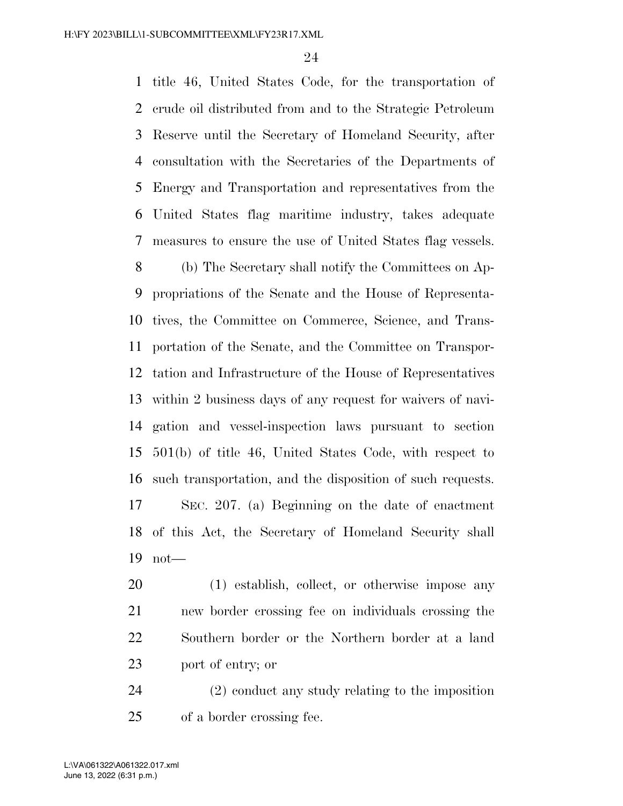title 46, United States Code, for the transportation of crude oil distributed from and to the Strategic Petroleum Reserve until the Secretary of Homeland Security, after consultation with the Secretaries of the Departments of Energy and Transportation and representatives from the United States flag maritime industry, takes adequate measures to ensure the use of United States flag vessels.

 (b) The Secretary shall notify the Committees on Ap- propriations of the Senate and the House of Representa- tives, the Committee on Commerce, Science, and Trans- portation of the Senate, and the Committee on Transpor- tation and Infrastructure of the House of Representatives within 2 business days of any request for waivers of navi- gation and vessel-inspection laws pursuant to section 501(b) of title 46, United States Code, with respect to such transportation, and the disposition of such requests. SEC. 207. (a) Beginning on the date of enactment of this Act, the Secretary of Homeland Security shall not—

 (1) establish, collect, or otherwise impose any new border crossing fee on individuals crossing the Southern border or the Northern border at a land port of entry; or

 (2) conduct any study relating to the imposition of a border crossing fee.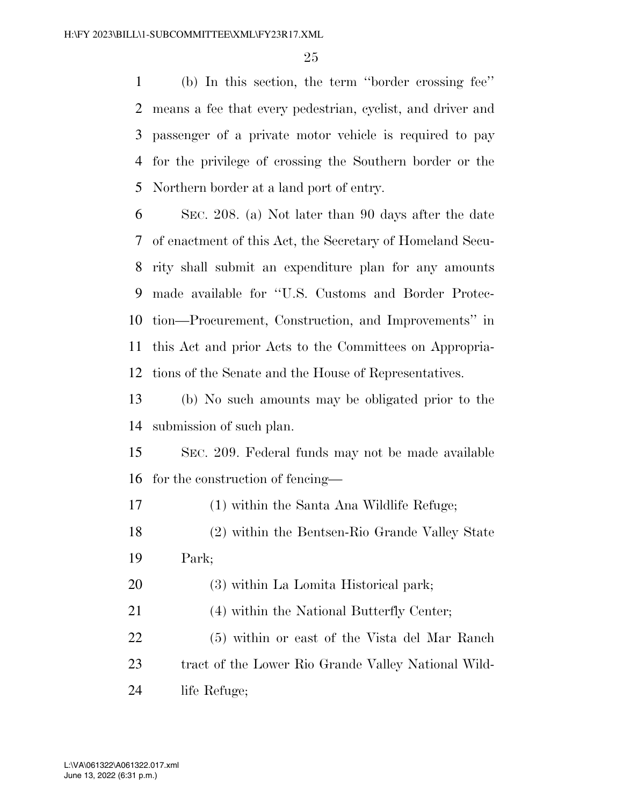(b) In this section, the term ''border crossing fee'' means a fee that every pedestrian, cyclist, and driver and passenger of a private motor vehicle is required to pay for the privilege of crossing the Southern border or the Northern border at a land port of entry.

 SEC. 208. (a) Not later than 90 days after the date of enactment of this Act, the Secretary of Homeland Secu- rity shall submit an expenditure plan for any amounts made available for ''U.S. Customs and Border Protec- tion—Procurement, Construction, and Improvements'' in this Act and prior Acts to the Committees on Appropria-tions of the Senate and the House of Representatives.

 (b) No such amounts may be obligated prior to the submission of such plan.

 SEC. 209. Federal funds may not be made available for the construction of fencing—

(1) within the Santa Ana Wildlife Refuge;

 (2) within the Bentsen-Rio Grande Valley State Park;

(3) within La Lomita Historical park;

(4) within the National Butterfly Center;

 (5) within or east of the Vista del Mar Ranch tract of the Lower Rio Grande Valley National Wild-life Refuge;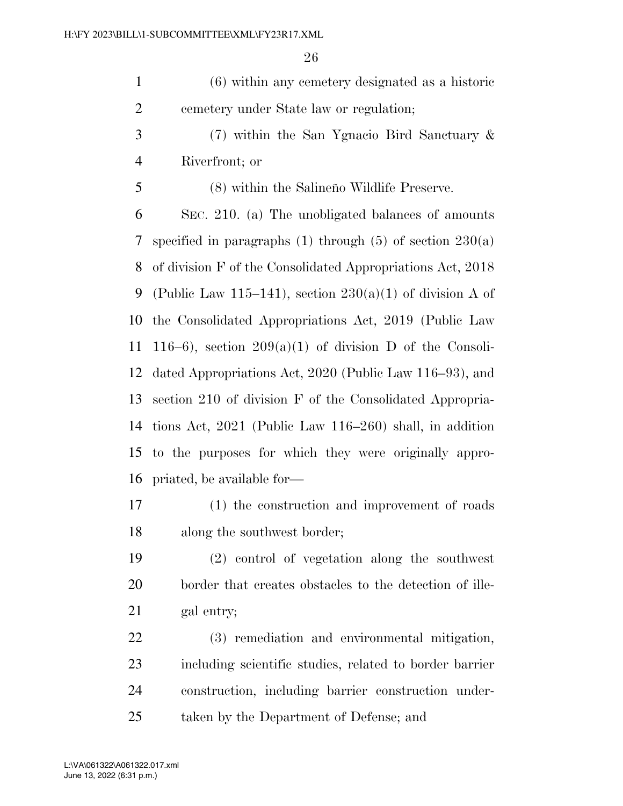(6) within any cemetery designated as a historic cemetery under State law or regulation;

- (7) within the San Ygnacio Bird Sanctuary & Riverfront; or
- 5 (8) within the Salineño Wildlife Preserve.

 SEC. 210. (a) The unobligated balances of amounts specified in paragraphs (1) through (5) of section 230(a) of division F of the Consolidated Appropriations Act, 2018 9 (Public Law 115–141), section  $230(a)(1)$  of division A of the Consolidated Appropriations Act, 2019 (Public Law 11 116–6), section  $209(a)(1)$  of division D of the Consoli- dated Appropriations Act, 2020 (Public Law 116–93), and section 210 of division F of the Consolidated Appropria- tions Act, 2021 (Public Law 116–260) shall, in addition to the purposes for which they were originally appro-priated, be available for—

- (1) the construction and improvement of roads along the southwest border;
- (2) control of vegetation along the southwest border that creates obstacles to the detection of ille-gal entry;

 (3) remediation and environmental mitigation, including scientific studies, related to border barrier construction, including barrier construction under-taken by the Department of Defense; and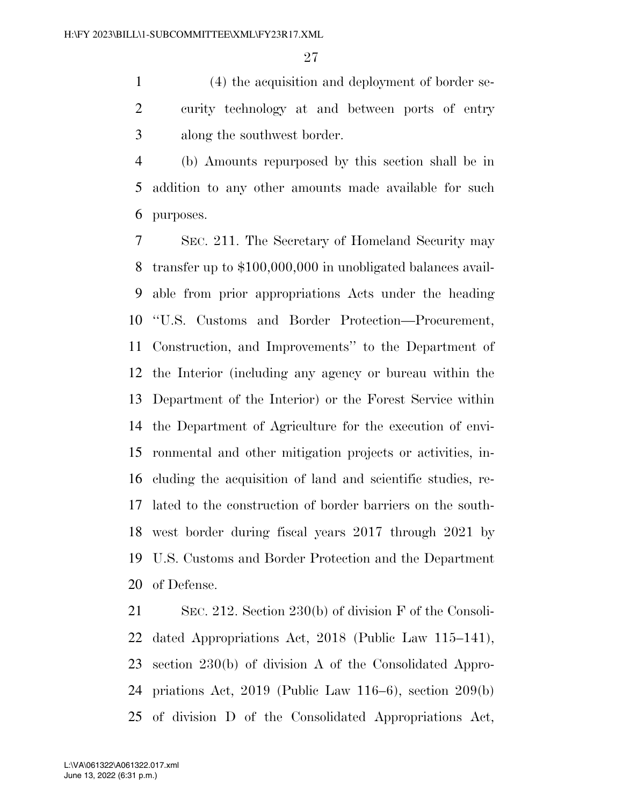(4) the acquisition and deployment of border se- curity technology at and between ports of entry along the southwest border.

 (b) Amounts repurposed by this section shall be in addition to any other amounts made available for such purposes.

 SEC. 211. The Secretary of Homeland Security may transfer up to \$100,000,000 in unobligated balances avail- able from prior appropriations Acts under the heading ''U.S. Customs and Border Protection—Procurement, Construction, and Improvements'' to the Department of the Interior (including any agency or bureau within the Department of the Interior) or the Forest Service within the Department of Agriculture for the execution of envi- ronmental and other mitigation projects or activities, in- cluding the acquisition of land and scientific studies, re- lated to the construction of border barriers on the south- west border during fiscal years 2017 through 2021 by U.S. Customs and Border Protection and the Department of Defense.

 SEC. 212. Section 230(b) of division F of the Consoli- dated Appropriations Act, 2018 (Public Law 115–141), section 230(b) of division A of the Consolidated Appro- priations Act, 2019 (Public Law 116–6), section 209(b) of division D of the Consolidated Appropriations Act,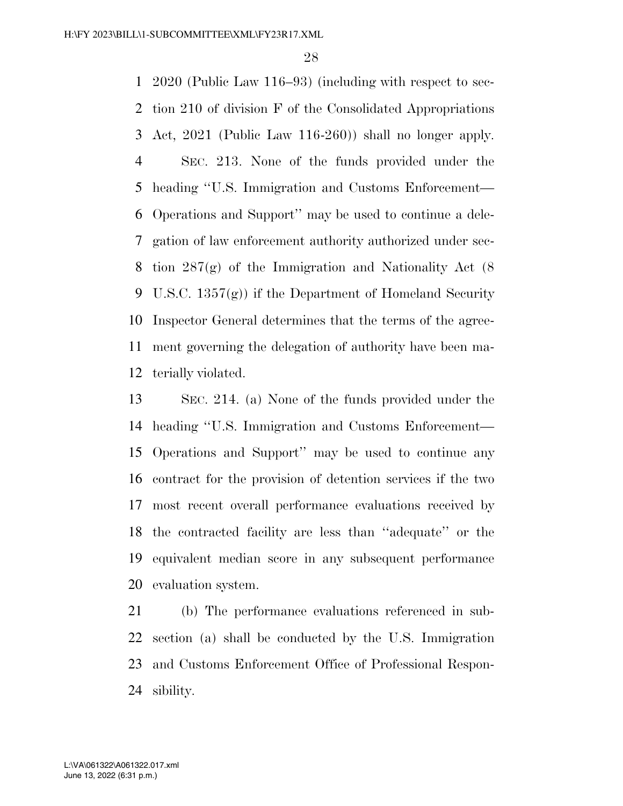2020 (Public Law 116–93) (including with respect to sec- tion 210 of division F of the Consolidated Appropriations Act, 2021 (Public Law 116-260)) shall no longer apply. SEC. 213. None of the funds provided under the heading ''U.S. Immigration and Customs Enforcement— Operations and Support'' may be used to continue a dele- gation of law enforcement authority authorized under sec- tion 287(g) of the Immigration and Nationality Act (8 U.S.C. 1357(g)) if the Department of Homeland Security Inspector General determines that the terms of the agree- ment governing the delegation of authority have been ma-terially violated.

 SEC. 214. (a) None of the funds provided under the heading ''U.S. Immigration and Customs Enforcement— Operations and Support'' may be used to continue any contract for the provision of detention services if the two most recent overall performance evaluations received by the contracted facility are less than ''adequate'' or the equivalent median score in any subsequent performance evaluation system.

 (b) The performance evaluations referenced in sub- section (a) shall be conducted by the U.S. Immigration and Customs Enforcement Office of Professional Respon-sibility.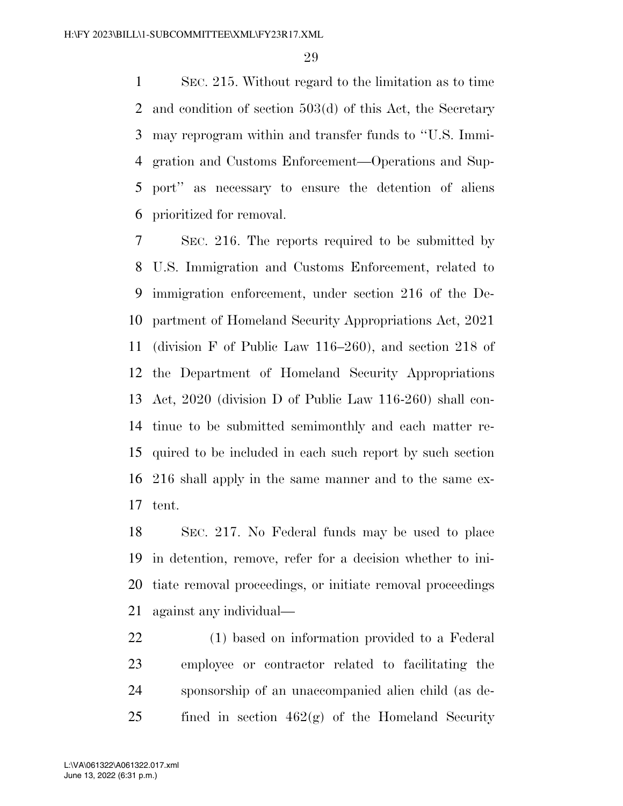SEC. 215. Without regard to the limitation as to time and condition of section 503(d) of this Act, the Secretary may reprogram within and transfer funds to ''U.S. Immi- gration and Customs Enforcement—Operations and Sup- port'' as necessary to ensure the detention of aliens prioritized for removal.

 SEC. 216. The reports required to be submitted by U.S. Immigration and Customs Enforcement, related to immigration enforcement, under section 216 of the De- partment of Homeland Security Appropriations Act, 2021 (division F of Public Law 116–260), and section 218 of the Department of Homeland Security Appropriations Act, 2020 (division D of Public Law 116-260) shall con- tinue to be submitted semimonthly and each matter re- quired to be included in each such report by such section 216 shall apply in the same manner and to the same ex-tent.

 SEC. 217. No Federal funds may be used to place in detention, remove, refer for a decision whether to ini- tiate removal proceedings, or initiate removal proceedings against any individual—

 (1) based on information provided to a Federal employee or contractor related to facilitating the sponsorship of an unaccompanied alien child (as de-25 fined in section  $462(g)$  of the Homeland Security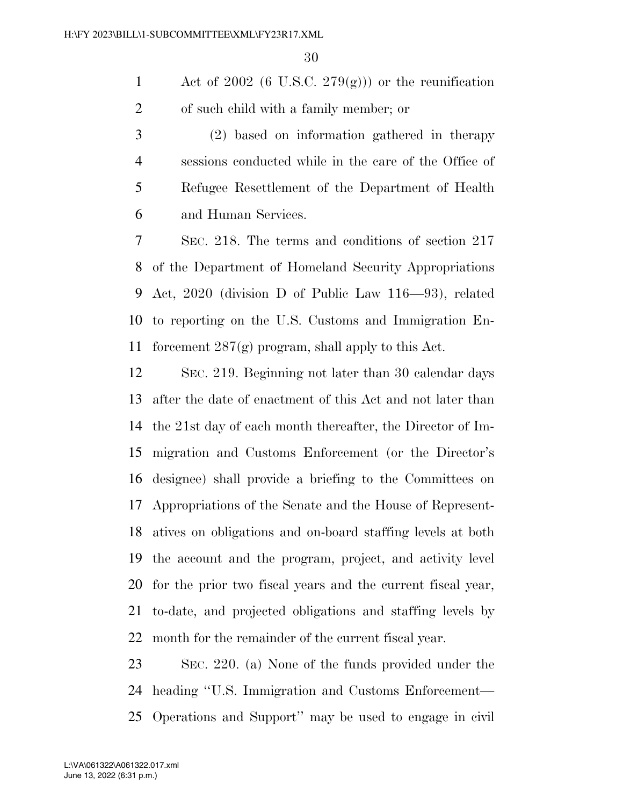1 Act of 2002 (6 U.S.C. 279 $(g)$ )) or the reunification of such child with a family member; or

 (2) based on information gathered in therapy sessions conducted while in the care of the Office of Refugee Resettlement of the Department of Health and Human Services.

 SEC. 218. The terms and conditions of section 217 of the Department of Homeland Security Appropriations Act, 2020 (division D of Public Law 116—93), related to reporting on the U.S. Customs and Immigration En-11 forcement  $287(g)$  program, shall apply to this Act.

 SEC. 219. Beginning not later than 30 calendar days after the date of enactment of this Act and not later than the 21st day of each month thereafter, the Director of Im- migration and Customs Enforcement (or the Director's designee) shall provide a briefing to the Committees on Appropriations of the Senate and the House of Represent- atives on obligations and on-board staffing levels at both the account and the program, project, and activity level for the prior two fiscal years and the current fiscal year, to-date, and projected obligations and staffing levels by month for the remainder of the current fiscal year.

 SEC. 220. (a) None of the funds provided under the heading ''U.S. Immigration and Customs Enforcement— Operations and Support'' may be used to engage in civil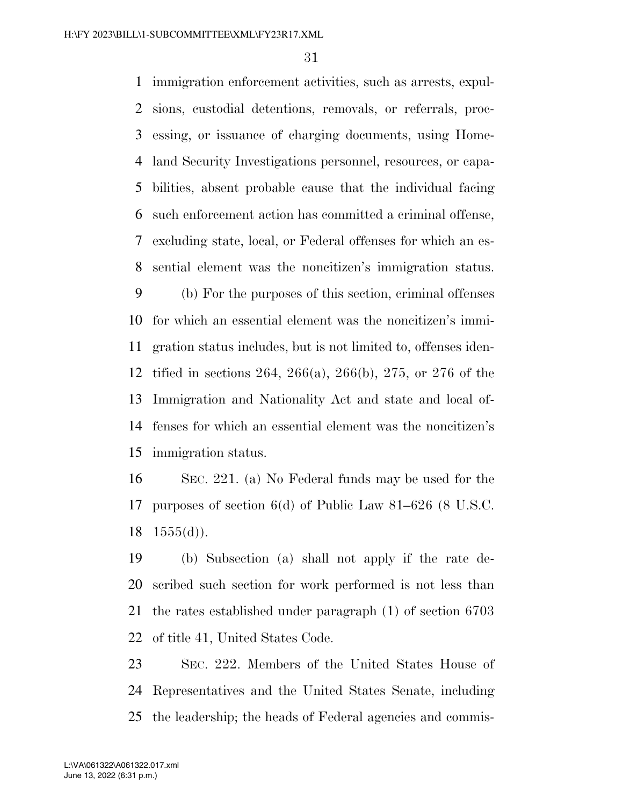immigration enforcement activities, such as arrests, expul- sions, custodial detentions, removals, or referrals, proc- essing, or issuance of charging documents, using Home- land Security Investigations personnel, resources, or capa- bilities, absent probable cause that the individual facing such enforcement action has committed a criminal offense, excluding state, local, or Federal offenses for which an es-sential element was the noncitizen's immigration status.

 (b) For the purposes of this section, criminal offenses for which an essential element was the noncitizen's immi- gration status includes, but is not limited to, offenses iden- tified in sections 264, 266(a), 266(b), 275, or 276 of the Immigration and Nationality Act and state and local of- fenses for which an essential element was the noncitizen's immigration status.

 SEC. 221. (a) No Federal funds may be used for the purposes of section 6(d) of Public Law 81–626 (8 U.S.C. 18  $1555(d)$ ).

 (b) Subsection (a) shall not apply if the rate de- scribed such section for work performed is not less than the rates established under paragraph (1) of section 6703 of title 41, United States Code.

 SEC. 222. Members of the United States House of Representatives and the United States Senate, including the leadership; the heads of Federal agencies and commis-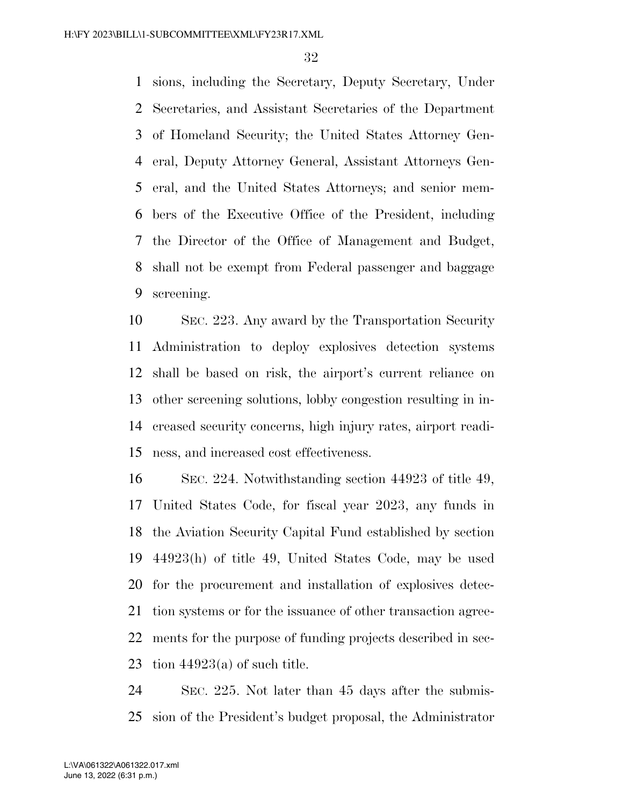sions, including the Secretary, Deputy Secretary, Under Secretaries, and Assistant Secretaries of the Department of Homeland Security; the United States Attorney Gen- eral, Deputy Attorney General, Assistant Attorneys Gen- eral, and the United States Attorneys; and senior mem- bers of the Executive Office of the President, including the Director of the Office of Management and Budget, shall not be exempt from Federal passenger and baggage screening.

 SEC. 223. Any award by the Transportation Security Administration to deploy explosives detection systems shall be based on risk, the airport's current reliance on other screening solutions, lobby congestion resulting in in- creased security concerns, high injury rates, airport readi-ness, and increased cost effectiveness.

 SEC. 224. Notwithstanding section 44923 of title 49, United States Code, for fiscal year 2023, any funds in the Aviation Security Capital Fund established by section 44923(h) of title 49, United States Code, may be used for the procurement and installation of explosives detec- tion systems or for the issuance of other transaction agree- ments for the purpose of funding projects described in sec-23 tion  $44923(a)$  of such title.

 SEC. 225. Not later than 45 days after the submis-sion of the President's budget proposal, the Administrator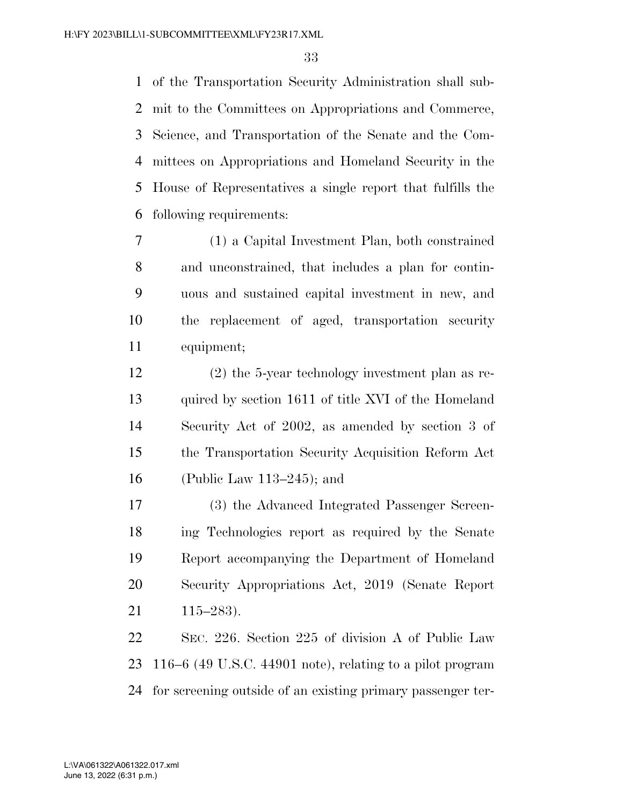of the Transportation Security Administration shall sub- mit to the Committees on Appropriations and Commerce, Science, and Transportation of the Senate and the Com- mittees on Appropriations and Homeland Security in the House of Representatives a single report that fulfills the following requirements:

- (1) a Capital Investment Plan, both constrained and unconstrained, that includes a plan for contin- uous and sustained capital investment in new, and the replacement of aged, transportation security equipment;
- (2) the 5-year technology investment plan as re-13 quired by section 1611 of title XVI of the Homeland Security Act of 2002, as amended by section 3 of the Transportation Security Acquisition Reform Act (Public Law 113–245); and

 (3) the Advanced Integrated Passenger Screen- ing Technologies report as required by the Senate Report accompanying the Department of Homeland Security Appropriations Act, 2019 (Senate Report 115–283).

 SEC. 226. Section 225 of division A of Public Law 116–6 (49 U.S.C. 44901 note), relating to a pilot program for screening outside of an existing primary passenger ter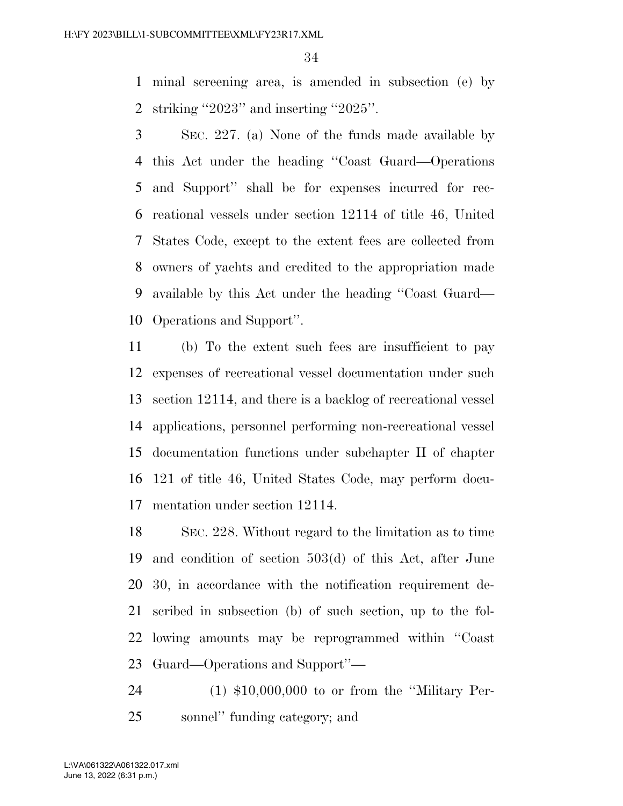minal screening area, is amended in subsection (e) by striking ''2023'' and inserting ''2025''.

 SEC. 227. (a) None of the funds made available by this Act under the heading ''Coast Guard—Operations and Support'' shall be for expenses incurred for rec- reational vessels under section 12114 of title 46, United States Code, except to the extent fees are collected from owners of yachts and credited to the appropriation made available by this Act under the heading ''Coast Guard— Operations and Support''.

 (b) To the extent such fees are insufficient to pay expenses of recreational vessel documentation under such section 12114, and there is a backlog of recreational vessel applications, personnel performing non-recreational vessel documentation functions under subchapter II of chapter 121 of title 46, United States Code, may perform docu-mentation under section 12114.

 SEC. 228. Without regard to the limitation as to time and condition of section 503(d) of this Act, after June 30, in accordance with the notification requirement de- scribed in subsection (b) of such section, up to the fol- lowing amounts may be reprogrammed within ''Coast Guard—Operations and Support''—

 (1) \$10,000,000 to or from the ''Military Per-sonnel'' funding category; and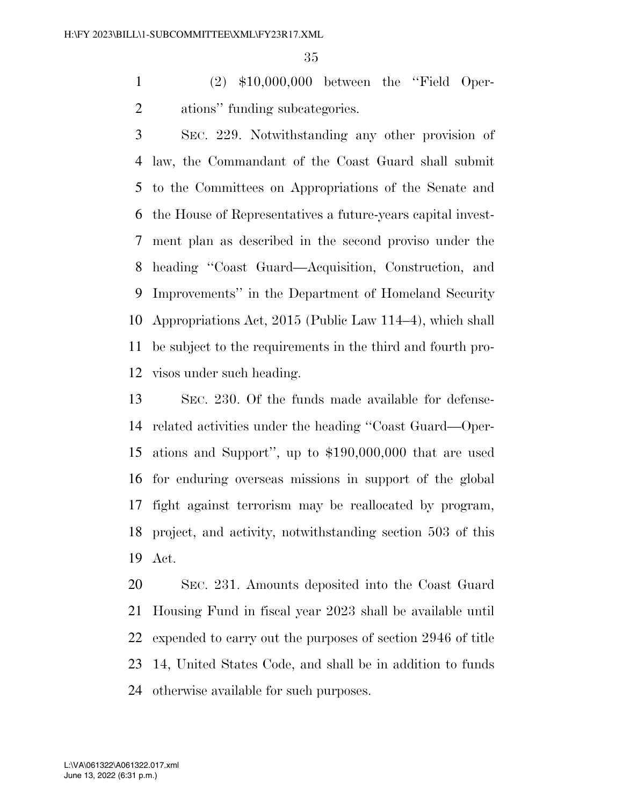(2) \$10,000,000 between the ''Field Oper-ations'' funding subcategories.

 SEC. 229. Notwithstanding any other provision of law, the Commandant of the Coast Guard shall submit to the Committees on Appropriations of the Senate and the House of Representatives a future-years capital invest- ment plan as described in the second proviso under the heading ''Coast Guard—Acquisition, Construction, and Improvements'' in the Department of Homeland Security Appropriations Act, 2015 (Public Law 114–4), which shall be subject to the requirements in the third and fourth pro-visos under such heading.

 SEC. 230. Of the funds made available for defense- related activities under the heading ''Coast Guard—Oper- ations and Support'', up to \$190,000,000 that are used for enduring overseas missions in support of the global fight against terrorism may be reallocated by program, project, and activity, notwithstanding section 503 of this Act.

 SEC. 231. Amounts deposited into the Coast Guard Housing Fund in fiscal year 2023 shall be available until expended to carry out the purposes of section 2946 of title 14, United States Code, and shall be in addition to funds otherwise available for such purposes.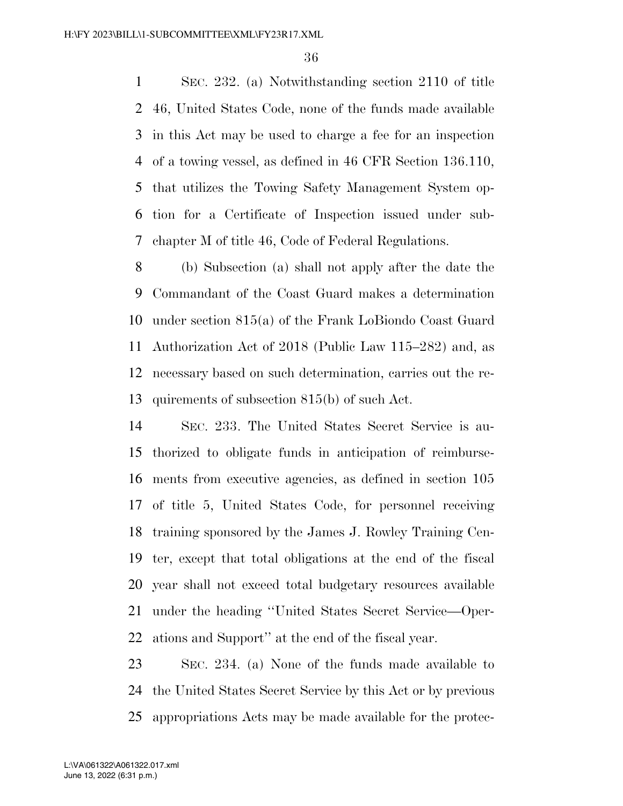SEC. 232. (a) Notwithstanding section 2110 of title 46, United States Code, none of the funds made available in this Act may be used to charge a fee for an inspection of a towing vessel, as defined in 46 CFR Section 136.110, that utilizes the Towing Safety Management System op- tion for a Certificate of Inspection issued under sub-chapter M of title 46, Code of Federal Regulations.

 (b) Subsection (a) shall not apply after the date the Commandant of the Coast Guard makes a determination under section 815(a) of the Frank LoBiondo Coast Guard Authorization Act of 2018 (Public Law 115–282) and, as necessary based on such determination, carries out the re-quirements of subsection 815(b) of such Act.

 SEC. 233. The United States Secret Service is au- thorized to obligate funds in anticipation of reimburse- ments from executive agencies, as defined in section 105 of title 5, United States Code, for personnel receiving training sponsored by the James J. Rowley Training Cen- ter, except that total obligations at the end of the fiscal year shall not exceed total budgetary resources available under the heading ''United States Secret Service—Oper-ations and Support'' at the end of the fiscal year.

 SEC. 234. (a) None of the funds made available to the United States Secret Service by this Act or by previous appropriations Acts may be made available for the protec-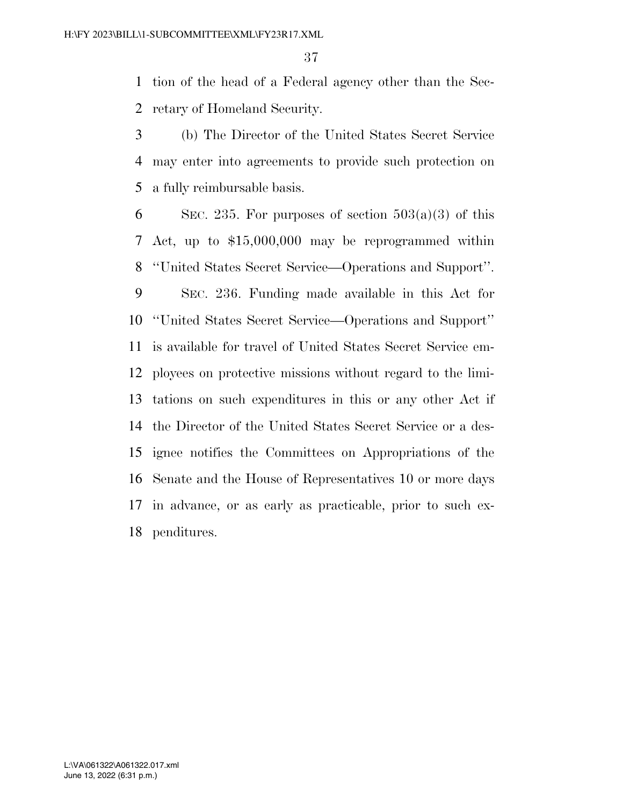tion of the head of a Federal agency other than the Sec-retary of Homeland Security.

 (b) The Director of the United States Secret Service may enter into agreements to provide such protection on a fully reimbursable basis.

6 SEC. 235. For purposes of section  $503(a)(3)$  of this Act, up to \$15,000,000 may be reprogrammed within ''United States Secret Service—Operations and Support''. SEC. 236. Funding made available in this Act for ''United States Secret Service—Operations and Support'' is available for travel of United States Secret Service em- ployees on protective missions without regard to the limi- tations on such expenditures in this or any other Act if the Director of the United States Secret Service or a des- ignee notifies the Committees on Appropriations of the Senate and the House of Representatives 10 or more days in advance, or as early as practicable, prior to such ex-penditures.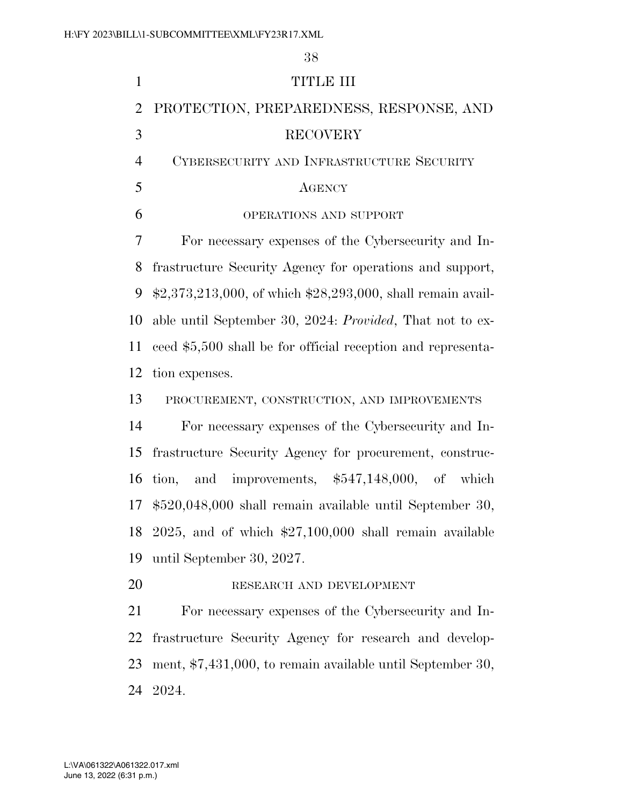1 TITLE III PROTECTION, PREPAREDNESS, RESPONSE, AND RECOVERY CYBERSECURITY AND INFRASTRUCTURE SECURITY AGENCY OPERATIONS AND SUPPORT For necessary expenses of the Cybersecurity and In- frastructure Security Agency for operations and support, \$2,373,213,000, of which \$28,293,000, shall remain avail- able until September 30, 2024: *Provided*, That not to ex- ceed \$5,500 shall be for official reception and representa- tion expenses. PROCUREMENT, CONSTRUCTION, AND IMPROVEMENTS For necessary expenses of the Cybersecurity and In- frastructure Security Agency for procurement, construc- tion, and improvements, \$547,148,000, of which \$520,048,000 shall remain available until September 30, 2025, and of which \$27,100,000 shall remain available until September 30, 2027. RESEARCH AND DEVELOPMENT For necessary expenses of the Cybersecurity and In-

 frastructure Security Agency for research and develop- ment, \$7,431,000, to remain available until September 30, 2024.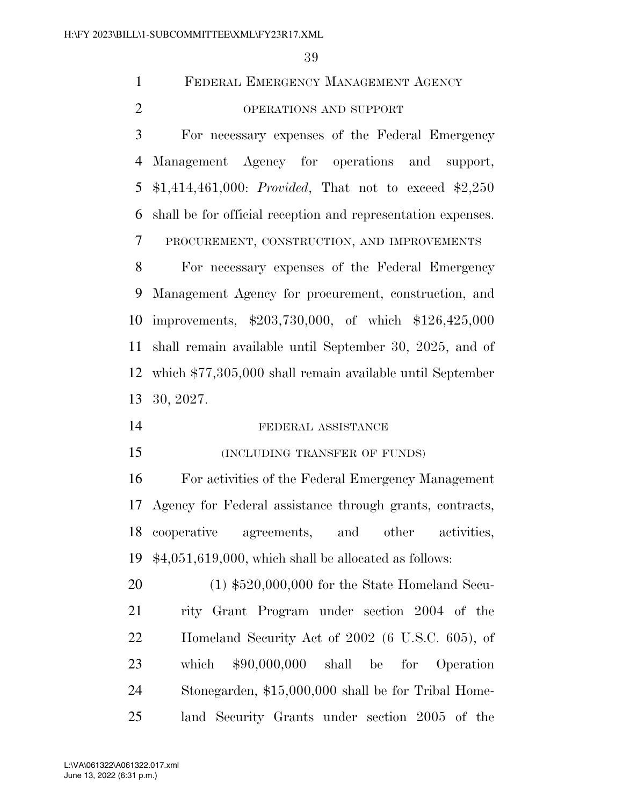# FEDERAL EMERGENCY MANAGEMENT AGENCY OPERATIONS AND SUPPORT

 For necessary expenses of the Federal Emergency Management Agency for operations and support, \$1,414,461,000: *Provided*, That not to exceed \$2,250 shall be for official reception and representation expenses. PROCUREMENT, CONSTRUCTION, AND IMPROVEMENTS

 For necessary expenses of the Federal Emergency Management Agency for procurement, construction, and improvements, \$203,730,000, of which \$126,425,000 shall remain available until September 30, 2025, and of which \$77,305,000 shall remain available until September 30, 2027.

- FEDERAL ASSISTANCE
- (INCLUDING TRANSFER OF FUNDS)

 For activities of the Federal Emergency Management Agency for Federal assistance through grants, contracts, cooperative agreements, and other activities, \$4,051,619,000, which shall be allocated as follows:

 (1) \$520,000,000 for the State Homeland Secu- rity Grant Program under section 2004 of the Homeland Security Act of 2002 (6 U.S.C. 605), of which \$90,000,000 shall be for Operation Stonegarden, \$15,000,000 shall be for Tribal Home-land Security Grants under section 2005 of the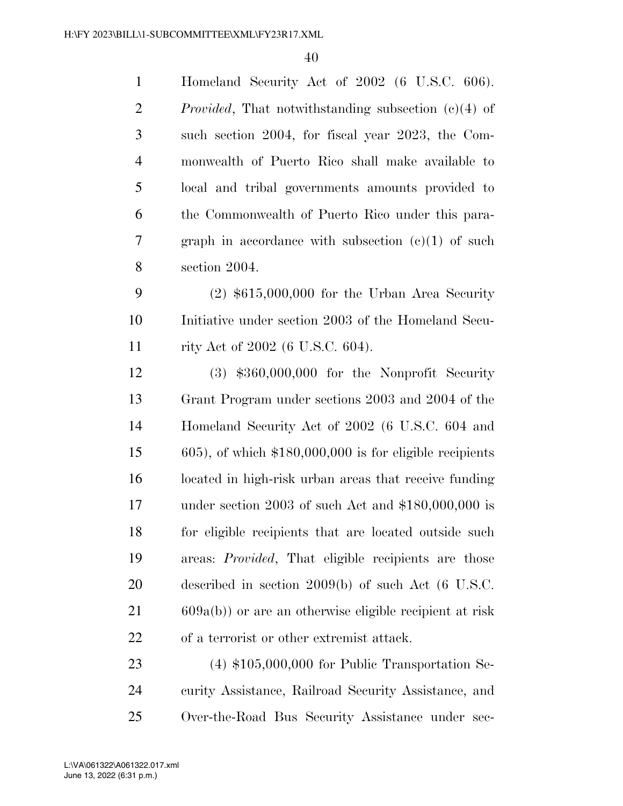| $\mathbf{1}$   | Homeland Security Act of 2002 (6 U.S.C. 606).                 |
|----------------|---------------------------------------------------------------|
| $\overline{2}$ | <i>Provided</i> , That notwithstanding subsection $(c)(4)$ of |
| 3              | such section 2004, for fiscal year 2023, the Com-             |
| $\overline{4}$ | monwealth of Puerto Rico shall make available to              |
| 5              | local and tribal governments amounts provided to              |
| 6              | the Commonwealth of Puerto Rico under this para-              |
| $\overline{7}$ | graph in accordance with subsection $(e)(1)$ of such          |
| 8              | section 2004.                                                 |
| 9              | $(2)$ \$615,000,000 for the Urban Area Security               |
| 10             | Initiative under section 2003 of the Homeland Secu-           |
| 11             | rity Act of 2002 (6 U.S.C. 604).                              |
| 12             | $(3)$ \$360,000,000 for the Nonprofit Security                |
| 13             | Grant Program under sections 2003 and 2004 of the             |
| 14             | Homeland Security Act of 2002 (6 U.S.C. 604 and               |
| 15             | $(605)$ , of which $$180,000,000$ is for eligible recipients  |
| 16             | located in high-risk urban areas that receive funding         |
| 17             | under section 2003 of such Act and $$180,000,000$ is          |
| 18             | for eligible recipients that are located outside such         |
| 19             | areas: <i>Provided</i> , That eligible recipients are those   |
| 20             | described in section $2009(b)$ of such Act (6 U.S.C.          |
| 21             | $609a(b)$ or are an otherwise eligible recipient at risk      |
| 22             | of a terrorist or other extremist attack.                     |
| 23             | $(4)$ \$105,000,000 for Public Transportation Se-             |
|                |                                                               |

 curity Assistance, Railroad Security Assistance, and Over-the-Road Bus Security Assistance under sec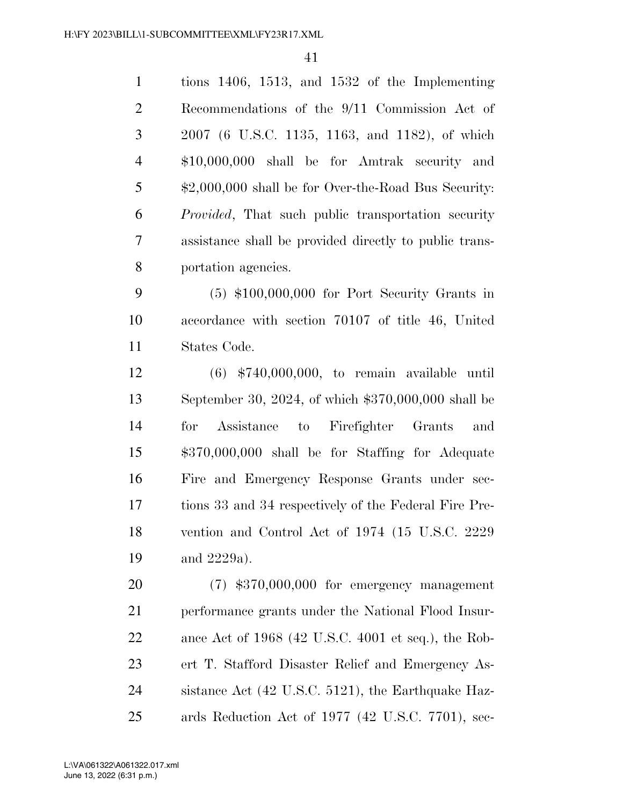tions 1406, 1513, and 1532 of the Implementing Recommendations of the 9/11 Commission Act of 2007 (6 U.S.C. 1135, 1163, and 1182), of which \$10,000,000 shall be for Amtrak security and 5 \$2,000,000 shall be for Over-the-Road Bus Security: *Provided*, That such public transportation security assistance shall be provided directly to public trans-portation agencies.

 (5) \$100,000,000 for Port Security Grants in accordance with section 70107 of title 46, United States Code.

 (6) \$740,000,000, to remain available until September 30, 2024, of which \$370,000,000 shall be for Assistance to Firefighter Grants and \$370,000,000 shall be for Staffing for Adequate Fire and Emergency Response Grants under sec- tions 33 and 34 respectively of the Federal Fire Pre- vention and Control Act of 1974 (15 U.S.C. 2229 and 2229a).

 (7) \$370,000,000 for emergency management performance grants under the National Flood Insur- ance Act of 1968 (42 U.S.C. 4001 et seq.), the Rob- ert T. Stafford Disaster Relief and Emergency As- sistance Act (42 U.S.C. 5121), the Earthquake Haz-ards Reduction Act of 1977 (42 U.S.C. 7701), sec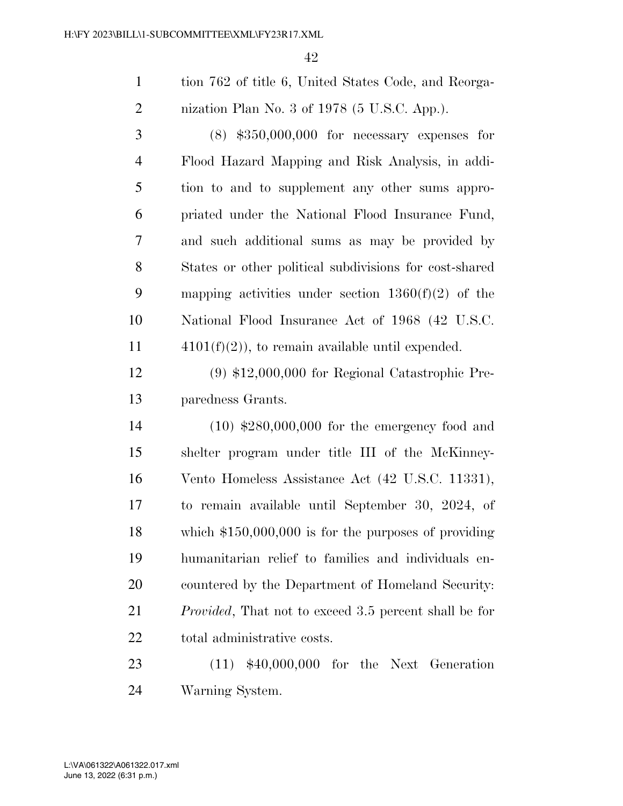tion 762 of title 6, United States Code, and Reorga-nization Plan No. 3 of 1978 (5 U.S.C. App.).

 (8) \$350,000,000 for necessary expenses for Flood Hazard Mapping and Risk Analysis, in addi- tion to and to supplement any other sums appro- priated under the National Flood Insurance Fund, and such additional sums as may be provided by States or other political subdivisions for cost-shared mapping activities under section 1360(f)(2) of the National Flood Insurance Act of 1968 (42 U.S.C.  $4101(f)(2)$ , to remain available until expended.

 (9) \$12,000,000 for Regional Catastrophic Pre-paredness Grants.

 (10) \$280,000,000 for the emergency food and shelter program under title III of the McKinney- Vento Homeless Assistance Act (42 U.S.C. 11331), to remain available until September 30, 2024, of which \$150,000,000 is for the purposes of providing humanitarian relief to families and individuals en- countered by the Department of Homeland Security: *Provided*, That not to exceed 3.5 percent shall be for total administrative costs.

 (11) \$40,000,000 for the Next Generation Warning System.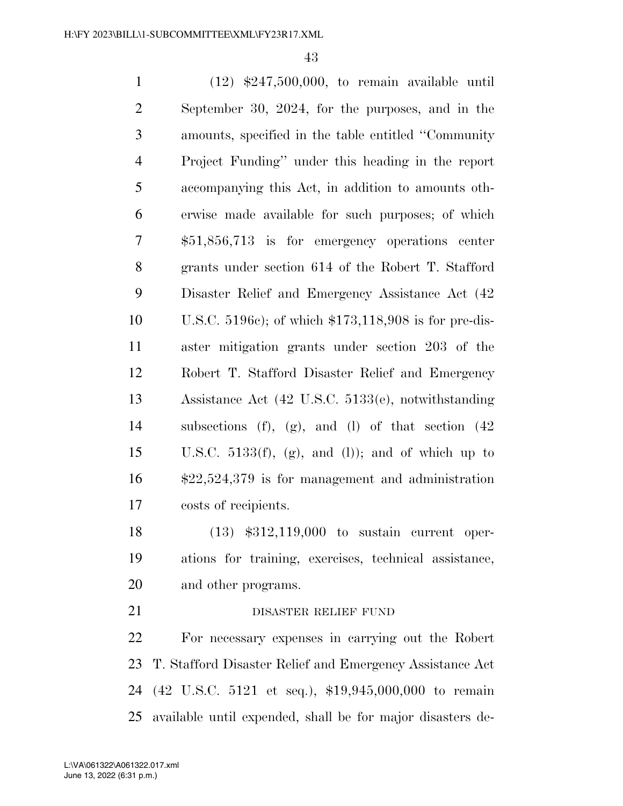(12) \$247,500,000, to remain available until September 30, 2024, for the purposes, and in the amounts, specified in the table entitled ''Community Project Funding'' under this heading in the report accompanying this Act, in addition to amounts oth- erwise made available for such purposes; of which \$51,856,713 is for emergency operations center grants under section 614 of the Robert T. Stafford Disaster Relief and Emergency Assistance Act (42 U.S.C. 5196c); of which \$173,118,908 is for pre-dis- aster mitigation grants under section 203 of the Robert T. Stafford Disaster Relief and Emergency Assistance Act (42 U.S.C. 5133(e), notwithstanding subsections (f), (g), and (l) of that section (42 15 U.S.C. 5133 $(f)$ ,  $(g)$ , and  $(f)$ ); and of which up to \$22,524,379 is for management and administration costs of recipients. (13) \$312,119,000 to sustain current oper-

 ations for training, exercises, technical assistance, and other programs.

21 DISASTER RELIEF FUND

 For necessary expenses in carrying out the Robert T. Stafford Disaster Relief and Emergency Assistance Act (42 U.S.C. 5121 et seq.), \$19,945,000,000 to remain available until expended, shall be for major disasters de-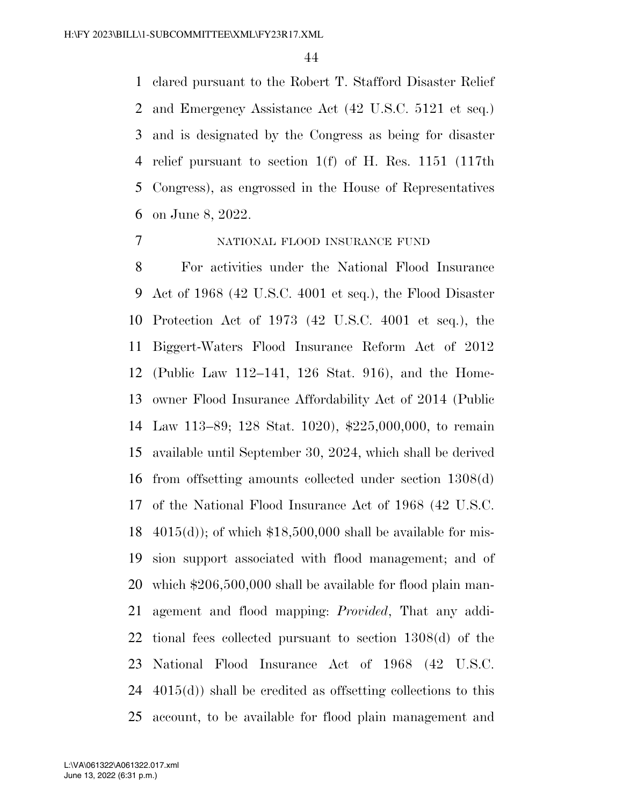clared pursuant to the Robert T. Stafford Disaster Relief and Emergency Assistance Act (42 U.S.C. 5121 et seq.) and is designated by the Congress as being for disaster relief pursuant to section 1(f) of H. Res. 1151 (117th Congress), as engrossed in the House of Representatives on June 8, 2022.

#### NATIONAL FLOOD INSURANCE FUND

 For activities under the National Flood Insurance Act of 1968 (42 U.S.C. 4001 et seq.), the Flood Disaster Protection Act of 1973 (42 U.S.C. 4001 et seq.), the Biggert-Waters Flood Insurance Reform Act of 2012 (Public Law 112–141, 126 Stat. 916), and the Home- owner Flood Insurance Affordability Act of 2014 (Public Law 113–89; 128 Stat. 1020), \$225,000,000, to remain available until September 30, 2024, which shall be derived from offsetting amounts collected under section 1308(d) of the National Flood Insurance Act of 1968 (42 U.S.C.  $4015(d)$ ; of which \$18,500,000 shall be available for mis- sion support associated with flood management; and of which \$206,500,000 shall be available for flood plain man- agement and flood mapping: *Provided*, That any addi- tional fees collected pursuant to section 1308(d) of the National Flood Insurance Act of 1968 (42 U.S.C. 4015(d)) shall be credited as offsetting collections to this account, to be available for flood plain management and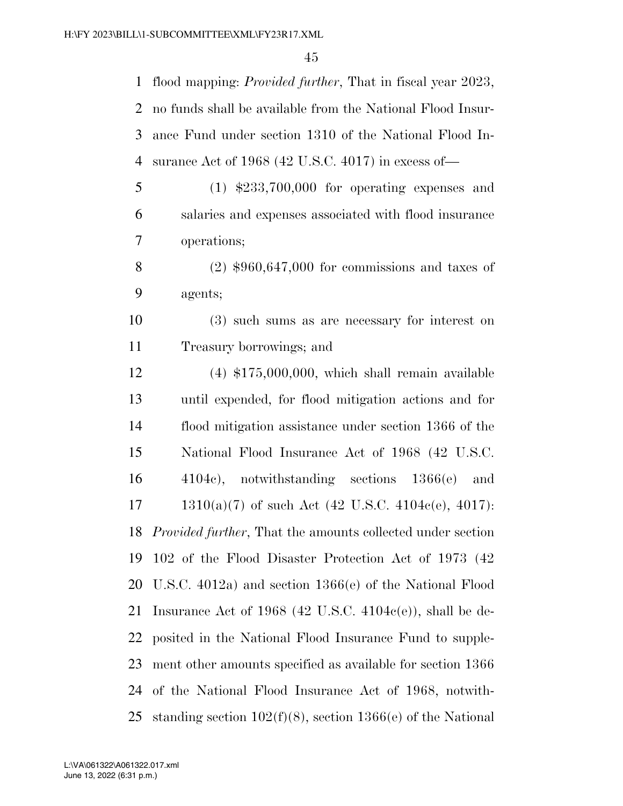flood mapping: *Provided further*, That in fiscal year 2023, no funds shall be available from the National Flood Insur- ance Fund under section 1310 of the National Flood In- surance Act of 1968 (42 U.S.C. 4017) in excess of— (1) \$233,700,000 for operating expenses and salaries and expenses associated with flood insurance operations; (2) \$960,647,000 for commissions and taxes of agents; (3) such sums as are necessary for interest on Treasury borrowings; and (4) \$175,000,000, which shall remain available until expended, for flood mitigation actions and for flood mitigation assistance under section 1366 of the National Flood Insurance Act of 1968 (42 U.S.C. 4104c), notwithstanding sections 1366(e) and  $17 \qquad 1310(a)(7)$  of such Act (42 U.S.C. 4104c(e), 4017): *Provided further*, That the amounts collected under section 102 of the Flood Disaster Protection Act of 1973 (42 U.S.C. 4012a) and section 1366(e) of the National Flood Insurance Act of 1968 (42 U.S.C. 4104c(e)), shall be de- posited in the National Flood Insurance Fund to supple- ment other amounts specified as available for section 1366 of the National Flood Insurance Act of 1968, notwith-standing section 102(f)(8), section 1366(e) of the National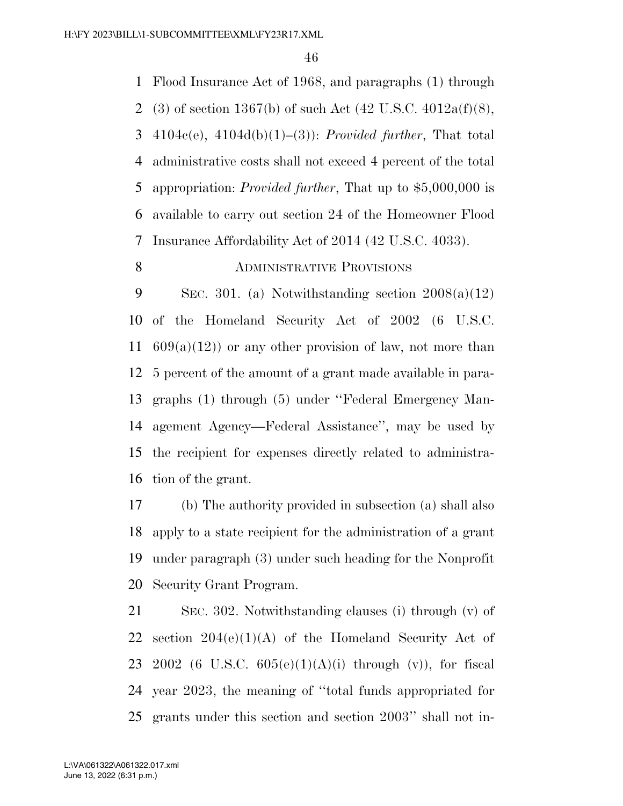Flood Insurance Act of 1968, and paragraphs (1) through 2 (3) of section 1367(b) of such Act  $(42 \text{ U.S.C. } 4012a\text{ (f)}(8))$ , 4104c(e), 4104d(b)(1)–(3)): *Provided further*, That total administrative costs shall not exceed 4 percent of the total appropriation: *Provided further*, That up to \$5,000,000 is available to carry out section 24 of the Homeowner Flood Insurance Affordability Act of 2014 (42 U.S.C. 4033).

### **ADMINISTRATIVE PROVISIONS**

9 SEC. 301. (a) Notwithstanding section  $2008(a)(12)$  of the Homeland Security Act of 2002 (6 U.S.C.  $609(a)(12)$  or any other provision of law, not more than 5 percent of the amount of a grant made available in para- graphs (1) through (5) under ''Federal Emergency Man- agement Agency—Federal Assistance'', may be used by the recipient for expenses directly related to administra-tion of the grant.

 (b) The authority provided in subsection (a) shall also apply to a state recipient for the administration of a grant under paragraph (3) under such heading for the Nonprofit Security Grant Program.

 SEC. 302. Notwithstanding clauses (i) through (v) of 22 section  $204(e)(1)(A)$  of the Homeland Security Act of 23 2002 (6 U.S.C.  $605(e)(1)(A)(i)$  through (v)), for fiscal year 2023, the meaning of ''total funds appropriated for grants under this section and section 2003'' shall not in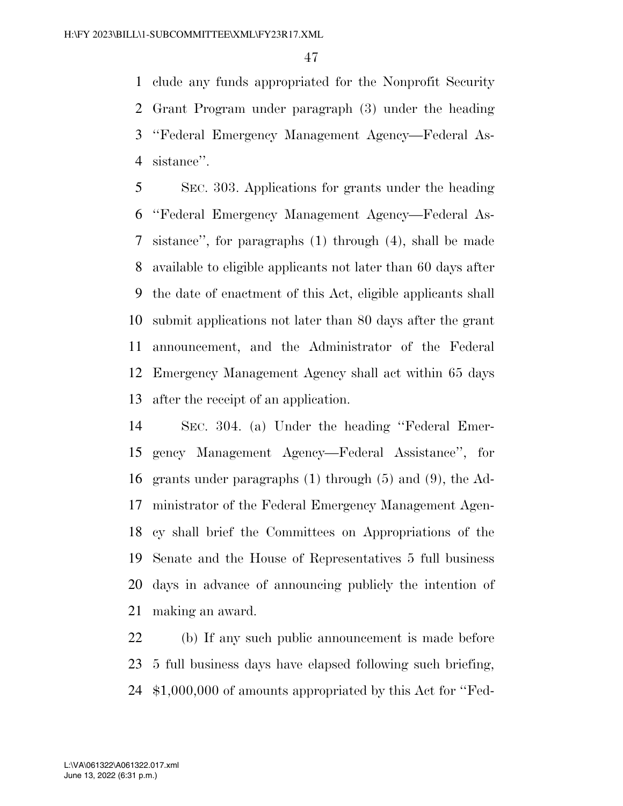clude any funds appropriated for the Nonprofit Security Grant Program under paragraph (3) under the heading ''Federal Emergency Management Agency—Federal As-sistance''.

 SEC. 303. Applications for grants under the heading ''Federal Emergency Management Agency—Federal As- sistance'', for paragraphs (1) through (4), shall be made available to eligible applicants not later than 60 days after the date of enactment of this Act, eligible applicants shall submit applications not later than 80 days after the grant announcement, and the Administrator of the Federal Emergency Management Agency shall act within 65 days after the receipt of an application.

 SEC. 304. (a) Under the heading ''Federal Emer- gency Management Agency—Federal Assistance'', for grants under paragraphs (1) through (5) and (9), the Ad- ministrator of the Federal Emergency Management Agen- cy shall brief the Committees on Appropriations of the Senate and the House of Representatives 5 full business days in advance of announcing publicly the intention of making an award.

 (b) If any such public announcement is made before 5 full business days have elapsed following such briefing, \$1,000,000 of amounts appropriated by this Act for ''Fed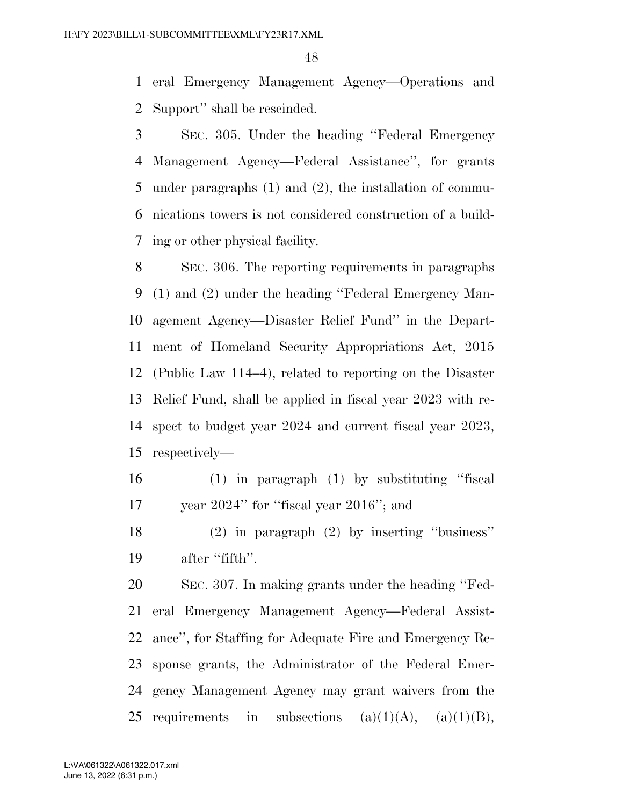eral Emergency Management Agency—Operations and Support'' shall be rescinded.

 SEC. 305. Under the heading ''Federal Emergency Management Agency—Federal Assistance'', for grants under paragraphs (1) and (2), the installation of commu- nications towers is not considered construction of a build-ing or other physical facility.

 SEC. 306. The reporting requirements in paragraphs (1) and (2) under the heading ''Federal Emergency Man- agement Agency—Disaster Relief Fund'' in the Depart- ment of Homeland Security Appropriations Act, 2015 (Public Law 114–4), related to reporting on the Disaster Relief Fund, shall be applied in fiscal year 2023 with re- spect to budget year 2024 and current fiscal year 2023, respectively—

 (1) in paragraph (1) by substituting ''fiscal year 2024'' for ''fiscal year 2016''; and

 (2) in paragraph (2) by inserting ''business'' 19 after "fifth".

 SEC. 307. In making grants under the heading ''Fed- eral Emergency Management Agency—Federal Assist- ance'', for Staffing for Adequate Fire and Emergency Re- sponse grants, the Administrator of the Federal Emer- gency Management Agency may grant waivers from the 25 requirements in subsections  $(a)(1)(A)$ ,  $(a)(1)(B)$ ,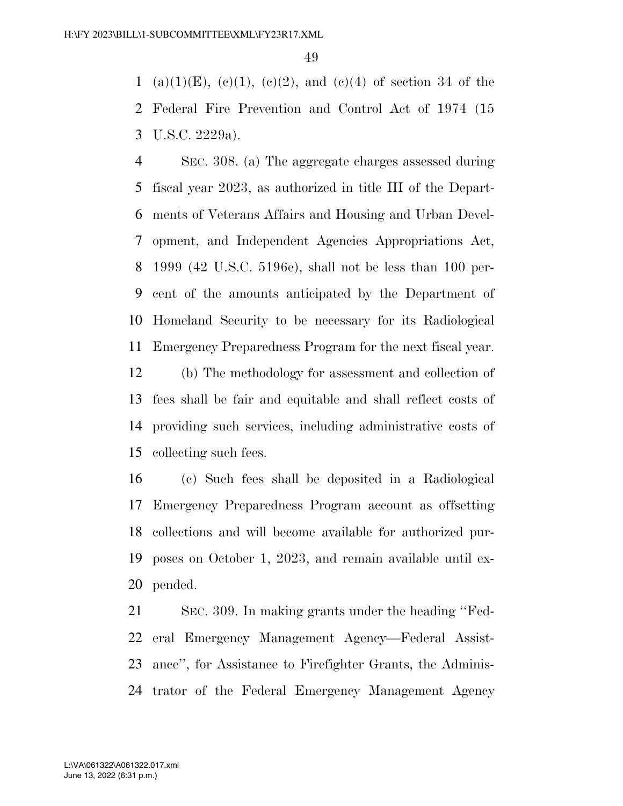1 (a)(1)(E), (c)(1), (c)(2), and (c)(4) of section 34 of the Federal Fire Prevention and Control Act of 1974 (15 U.S.C. 2229a).

 SEC. 308. (a) The aggregate charges assessed during fiscal year 2023, as authorized in title III of the Depart- ments of Veterans Affairs and Housing and Urban Devel- opment, and Independent Agencies Appropriations Act, 1999 (42 U.S.C. 5196e), shall not be less than 100 per- cent of the amounts anticipated by the Department of Homeland Security to be necessary for its Radiological Emergency Preparedness Program for the next fiscal year. (b) The methodology for assessment and collection of

 fees shall be fair and equitable and shall reflect costs of providing such services, including administrative costs of collecting such fees.

 (c) Such fees shall be deposited in a Radiological Emergency Preparedness Program account as offsetting collections and will become available for authorized pur- poses on October 1, 2023, and remain available until ex-pended.

 SEC. 309. In making grants under the heading ''Fed- eral Emergency Management Agency—Federal Assist- ance'', for Assistance to Firefighter Grants, the Adminis-trator of the Federal Emergency Management Agency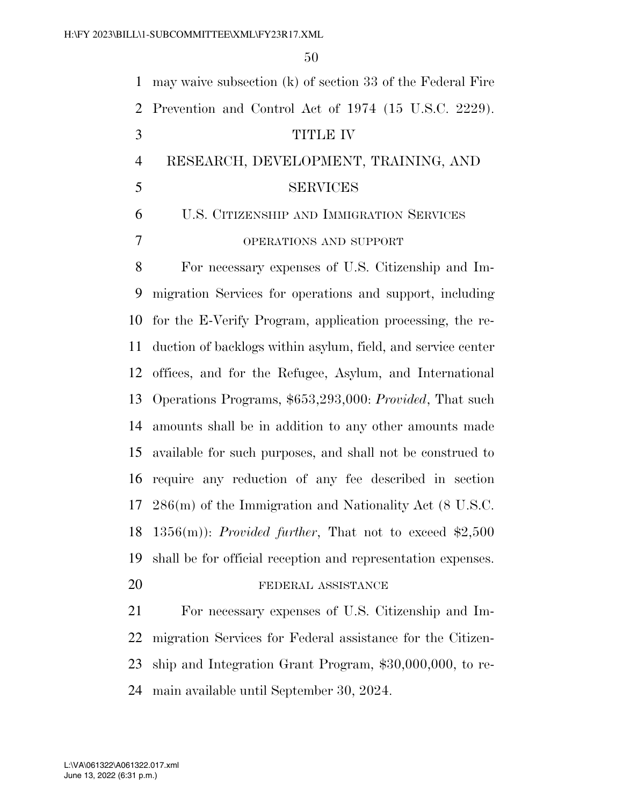may waive subsection (k) of section 33 of the Federal Fire Prevention and Control Act of 1974 (15 U.S.C. 2229). TITLE IV RESEARCH, DEVELOPMENT, TRAINING, AND SERVICES U.S. CITIZENSHIP AND IMMIGRATION SERVICES OPERATIONS AND SUPPORT For necessary expenses of U.S. Citizenship and Im- migration Services for operations and support, including for the E-Verify Program, application processing, the re- duction of backlogs within asylum, field, and service center offices, and for the Refugee, Asylum, and International Operations Programs, \$653,293,000: *Provided*, That such amounts shall be in addition to any other amounts made available for such purposes, and shall not be construed to require any reduction of any fee described in section 286(m) of the Immigration and Nationality Act (8 U.S.C. 1356(m)): *Provided further*, That not to exceed \$2,500 shall be for official reception and representation expenses. 20 FEDERAL ASSISTANCE For necessary expenses of U.S. Citizenship and Im- migration Services for Federal assistance for the Citizen- ship and Integration Grant Program, \$30,000,000, to re-main available until September 30, 2024.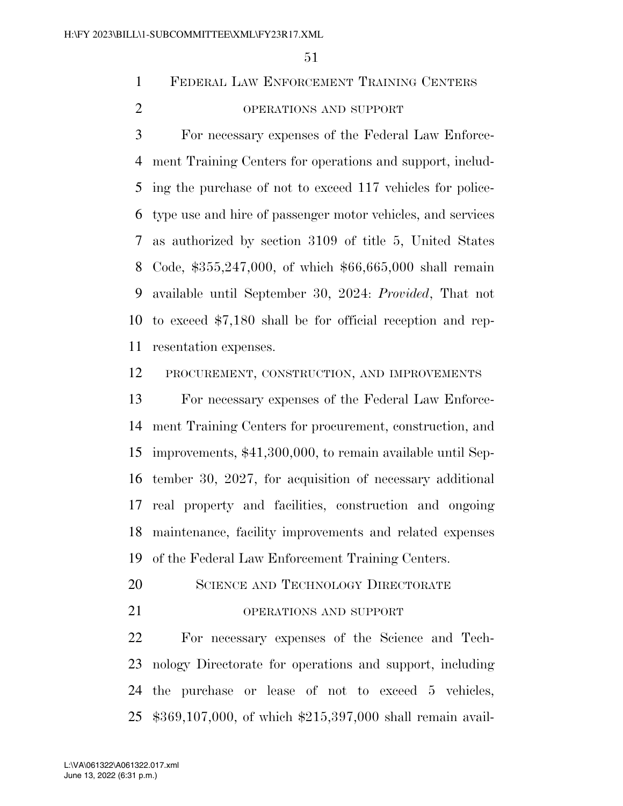## FEDERAL LAW ENFORCEMENT TRAINING CENTERS

## OPERATIONS AND SUPPORT

 For necessary expenses of the Federal Law Enforce- ment Training Centers for operations and support, includ- ing the purchase of not to exceed 117 vehicles for police- type use and hire of passenger motor vehicles, and services as authorized by section 3109 of title 5, United States Code, \$355,247,000, of which \$66,665,000 shall remain available until September 30, 2024: *Provided*, That not to exceed \$7,180 shall be for official reception and rep-resentation expenses.

PROCUREMENT, CONSTRUCTION, AND IMPROVEMENTS

 For necessary expenses of the Federal Law Enforce- ment Training Centers for procurement, construction, and improvements, \$41,300,000, to remain available until Sep- tember 30, 2027, for acquisition of necessary additional real property and facilities, construction and ongoing maintenance, facility improvements and related expenses of the Federal Law Enforcement Training Centers.

- 20 SCIENCE AND TECHNOLOGY DIRECTORATE
- 

#### OPERATIONS AND SUPPORT

 For necessary expenses of the Science and Tech- nology Directorate for operations and support, including the purchase or lease of not to exceed 5 vehicles, \$369,107,000, of which \$215,397,000 shall remain avail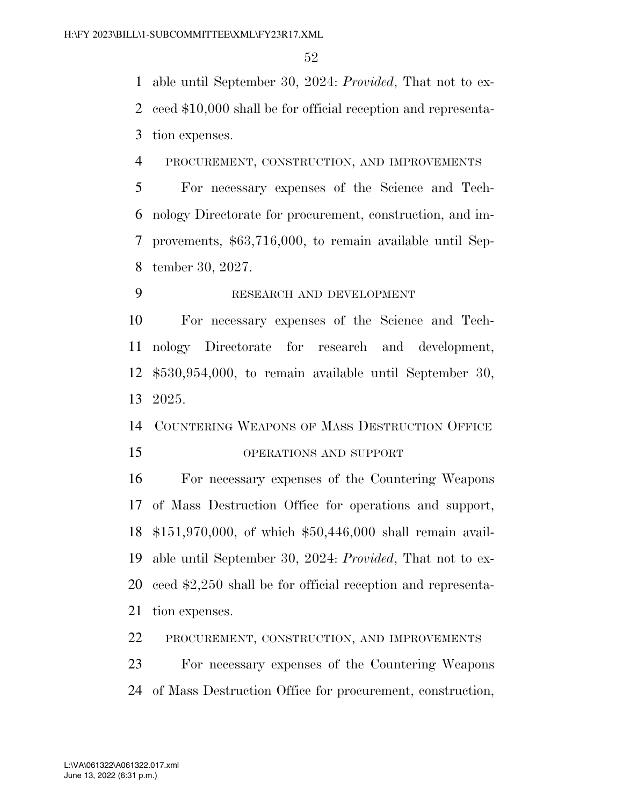able until September 30, 2024: *Provided*, That not to ex- ceed \$10,000 shall be for official reception and representa-tion expenses.

PROCUREMENT, CONSTRUCTION, AND IMPROVEMENTS

 For necessary expenses of the Science and Tech- nology Directorate for procurement, construction, and im- provements, \$63,716,000, to remain available until Sep-tember 30, 2027.

RESEARCH AND DEVELOPMENT

 For necessary expenses of the Science and Tech- nology Directorate for research and development, \$530,954,000, to remain available until September 30, 2025.

# COUNTERING WEAPONS OF MASS DESTRUCTION OFFICE OPERATIONS AND SUPPORT

 For necessary expenses of the Countering Weapons of Mass Destruction Office for operations and support, \$151,970,000, of which \$50,446,000 shall remain avail- able until September 30, 2024: *Provided*, That not to ex- ceed \$2,250 shall be for official reception and representa-tion expenses.

PROCUREMENT, CONSTRUCTION, AND IMPROVEMENTS

 For necessary expenses of the Countering Weapons of Mass Destruction Office for procurement, construction,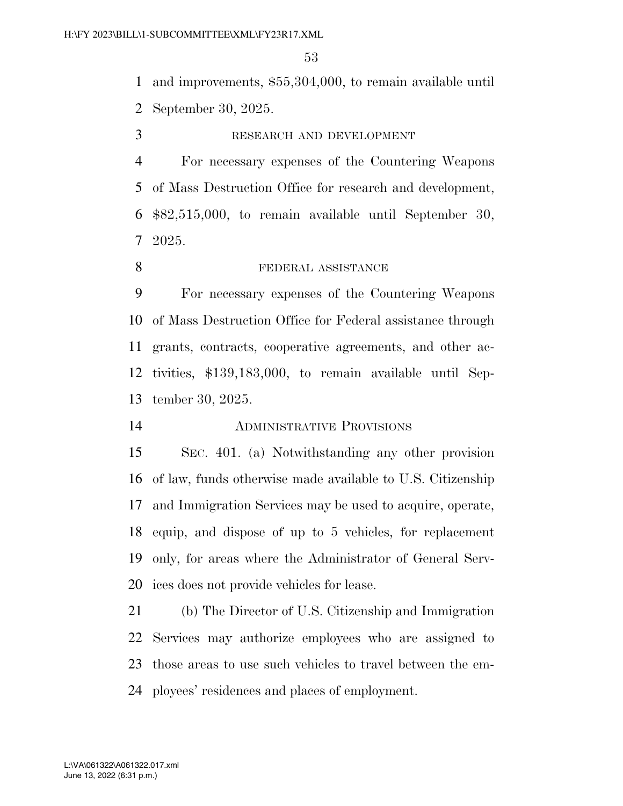and improvements, \$55,304,000, to remain available until September 30, 2025.

RESEARCH AND DEVELOPMENT

 For necessary expenses of the Countering Weapons of Mass Destruction Office for research and development, \$82,515,000, to remain available until September 30, 2025.

8 FEDERAL ASSISTANCE

 For necessary expenses of the Countering Weapons of Mass Destruction Office for Federal assistance through grants, contracts, cooperative agreements, and other ac- tivities, \$139,183,000, to remain available until Sep-tember 30, 2025.

ADMINISTRATIVE PROVISIONS

 SEC. 401. (a) Notwithstanding any other provision of law, funds otherwise made available to U.S. Citizenship and Immigration Services may be used to acquire, operate, equip, and dispose of up to 5 vehicles, for replacement only, for areas where the Administrator of General Serv-ices does not provide vehicles for lease.

 (b) The Director of U.S. Citizenship and Immigration Services may authorize employees who are assigned to those areas to use such vehicles to travel between the em-ployees' residences and places of employment.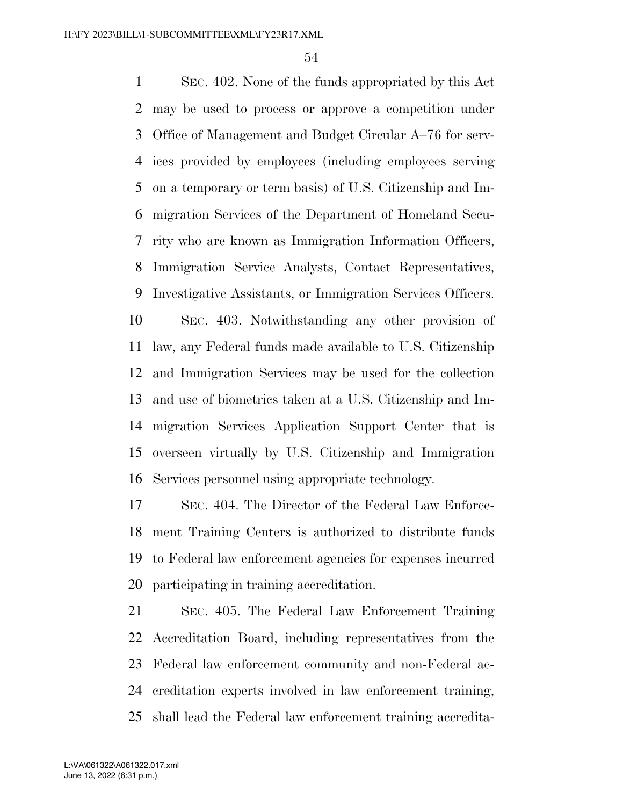SEC. 402. None of the funds appropriated by this Act may be used to process or approve a competition under Office of Management and Budget Circular A–76 for serv- ices provided by employees (including employees serving on a temporary or term basis) of U.S. Citizenship and Im- migration Services of the Department of Homeland Secu- rity who are known as Immigration Information Officers, Immigration Service Analysts, Contact Representatives, Investigative Assistants, or Immigration Services Officers. SEC. 403. Notwithstanding any other provision of law, any Federal funds made available to U.S. Citizenship and Immigration Services may be used for the collection and use of biometrics taken at a U.S. Citizenship and Im- migration Services Application Support Center that is overseen virtually by U.S. Citizenship and Immigration Services personnel using appropriate technology.

 SEC. 404. The Director of the Federal Law Enforce- ment Training Centers is authorized to distribute funds to Federal law enforcement agencies for expenses incurred participating in training accreditation.

 SEC. 405. The Federal Law Enforcement Training Accreditation Board, including representatives from the Federal law enforcement community and non-Federal ac- creditation experts involved in law enforcement training, shall lead the Federal law enforcement training accredita-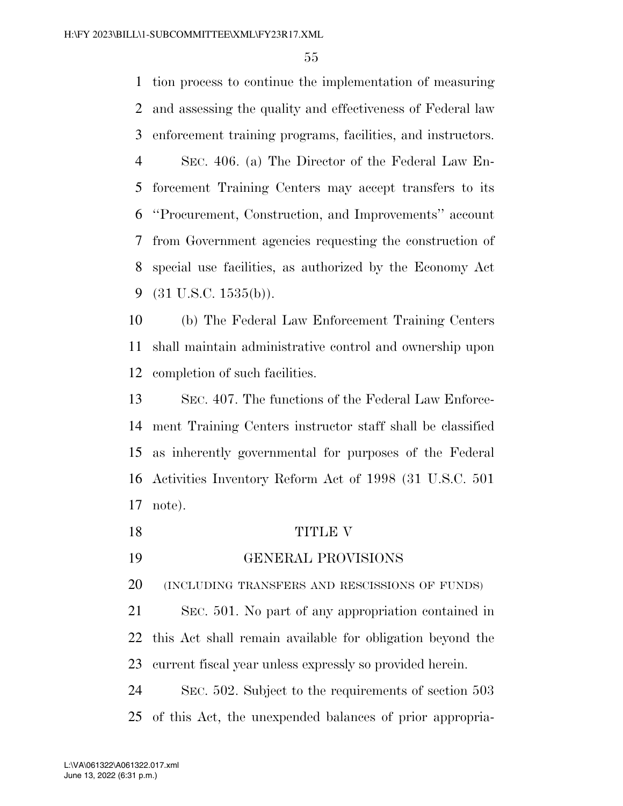tion process to continue the implementation of measuring and assessing the quality and effectiveness of Federal law enforcement training programs, facilities, and instructors. SEC. 406. (a) The Director of the Federal Law En- forcement Training Centers may accept transfers to its ''Procurement, Construction, and Improvements'' account from Government agencies requesting the construction of special use facilities, as authorized by the Economy Act (31 U.S.C. 1535(b)).

 (b) The Federal Law Enforcement Training Centers shall maintain administrative control and ownership upon completion of such facilities.

 SEC. 407. The functions of the Federal Law Enforce- ment Training Centers instructor staff shall be classified as inherently governmental for purposes of the Federal Activities Inventory Reform Act of 1998 (31 U.S.C. 501 note).

18 TITLE V GENERAL PROVISIONS (INCLUDING TRANSFERS AND RESCISSIONS OF FUNDS) SEC. 501. No part of any appropriation contained in this Act shall remain available for obligation beyond the current fiscal year unless expressly so provided herein. SEC. 502. Subject to the requirements of section 503

of this Act, the unexpended balances of prior appropria-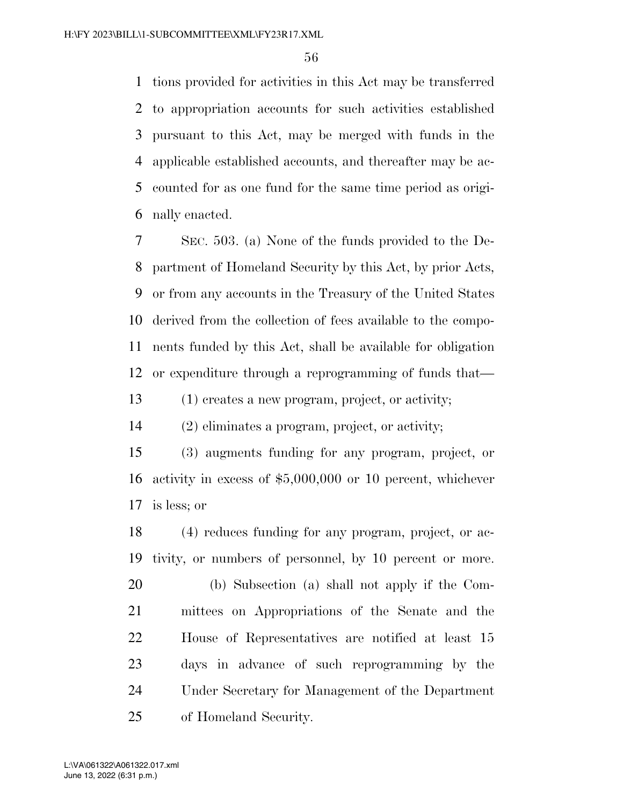tions provided for activities in this Act may be transferred to appropriation accounts for such activities established pursuant to this Act, may be merged with funds in the applicable established accounts, and thereafter may be ac- counted for as one fund for the same time period as origi-nally enacted.

 SEC. 503. (a) None of the funds provided to the De- partment of Homeland Security by this Act, by prior Acts, or from any accounts in the Treasury of the United States derived from the collection of fees available to the compo- nents funded by this Act, shall be available for obligation or expenditure through a reprogramming of funds that—

(1) creates a new program, project, or activity;

(2) eliminates a program, project, or activity;

 (3) augments funding for any program, project, or activity in excess of \$5,000,000 or 10 percent, whichever is less; or

 (4) reduces funding for any program, project, or ac-tivity, or numbers of personnel, by 10 percent or more.

 (b) Subsection (a) shall not apply if the Com- mittees on Appropriations of the Senate and the House of Representatives are notified at least 15 days in advance of such reprogramming by the Under Secretary for Management of the Department of Homeland Security.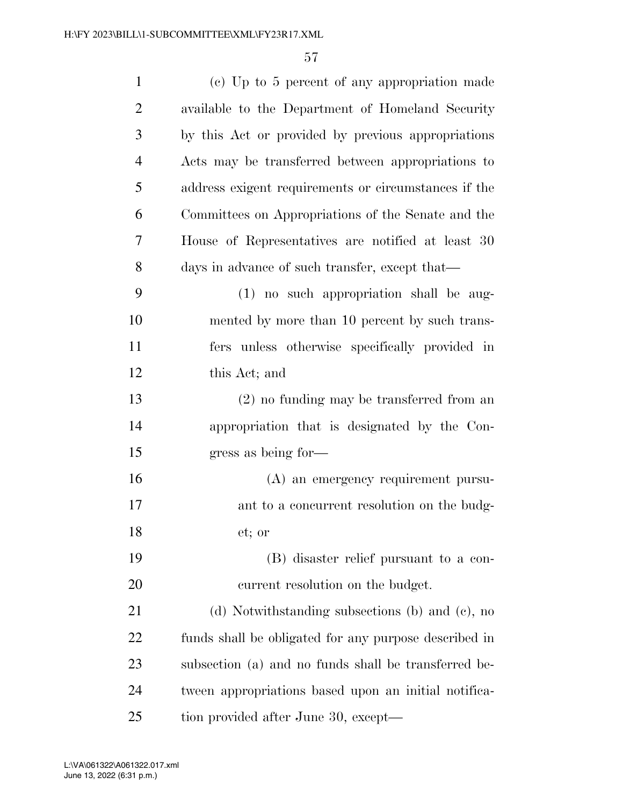| $\mathbf{1}$   | (c) Up to 5 percent of any appropriation made         |
|----------------|-------------------------------------------------------|
| $\overline{2}$ | available to the Department of Homeland Security      |
| 3              | by this Act or provided by previous appropriations    |
| $\overline{4}$ | Acts may be transferred between appropriations to     |
| 5              | address exigent requirements or circumstances if the  |
| 6              | Committees on Appropriations of the Senate and the    |
| 7              | House of Representatives are notified at least 30     |
| 8              | days in advance of such transfer, except that—        |
| 9              | (1) no such appropriation shall be aug-               |
| 10             | mented by more than 10 percent by such trans-         |
| 11             | fers unless otherwise specifically provided in        |
| 12             | this Act; and                                         |
| 13             | $(2)$ no funding may be transferred from an           |
| 14             | appropriation that is designated by the Con-          |
| 15             | gress as being for-                                   |
| 16             | (A) an emergency requirement pursu-                   |
| 17             | ant to a concurrent resolution on the budg-           |
| 18             | et; or                                                |
| 19             | (B) disaster relief pursuant to a con-                |
| 20             | current resolution on the budget.                     |
| 21             | (d) Notwithstanding subsections (b) and (c), no       |
| 22             | funds shall be obligated for any purpose described in |
| 23             | subsection (a) and no funds shall be transferred be-  |
| 24             | tween appropriations based upon an initial notifica-  |
| 25             | tion provided after June 30, except—                  |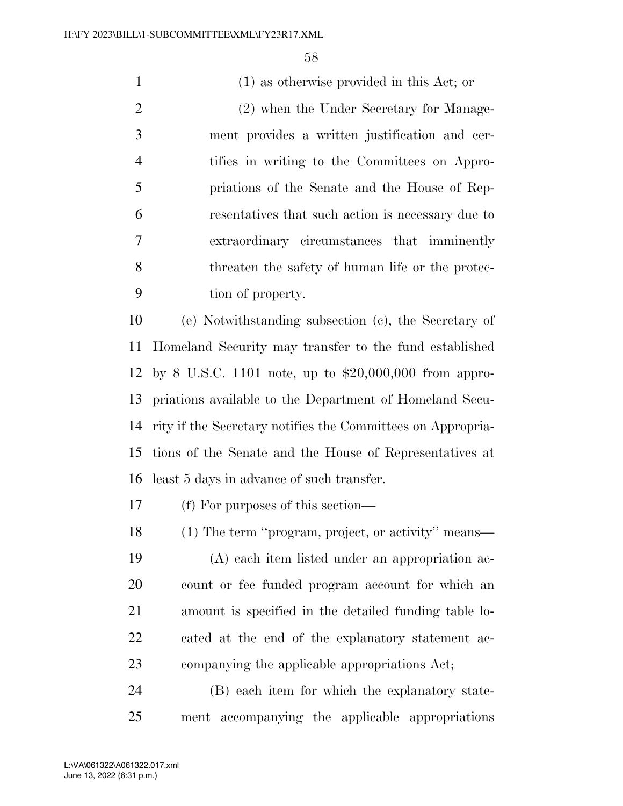(1) as otherwise provided in this Act; or 2 (2) when the Under Secretary for Manage- ment provides a written justification and cer- tifies in writing to the Committees on Appro- priations of the Senate and the House of Rep- resentatives that such action is necessary due to extraordinary circumstances that imminently threaten the safety of human life or the protec- tion of property. (e) Notwithstanding subsection (c), the Secretary of Homeland Security may transfer to the fund established by 8 U.S.C. 1101 note, up to \$20,000,000 from appro- priations available to the Department of Homeland Secu- rity if the Secretary notifies the Committees on Appropria- tions of the Senate and the House of Representatives at least 5 days in advance of such transfer. (f) For purposes of this section— (1) The term ''program, project, or activity'' means— (A) each item listed under an appropriation ac- count or fee funded program account for which an amount is specified in the detailed funding table lo- cated at the end of the explanatory statement ac-companying the applicable appropriations Act;

 (B) each item for which the explanatory state-ment accompanying the applicable appropriations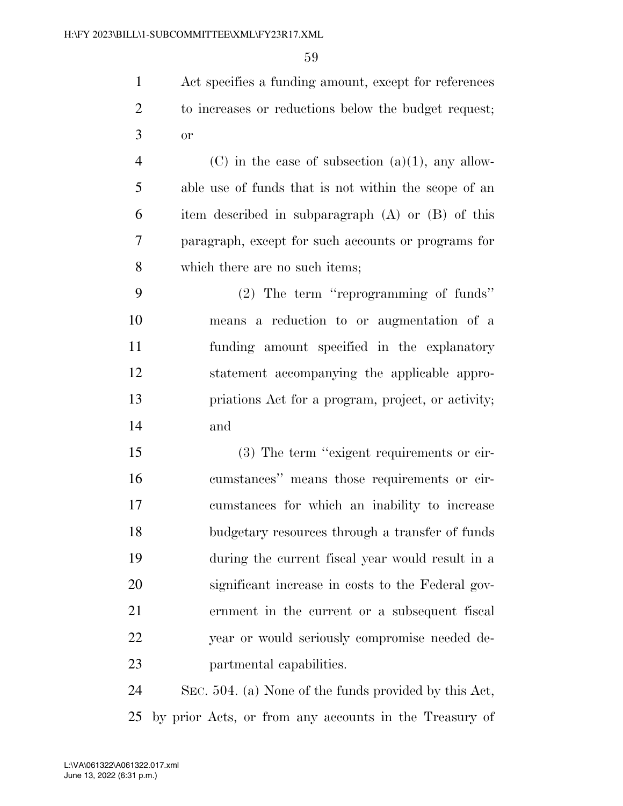Act specifies a funding amount, except for references to increases or reductions below the budget request; or

4 (C) in the case of subsection  $(a)(1)$ , any allow- able use of funds that is not within the scope of an item described in subparagraph (A) or (B) of this paragraph, except for such accounts or programs for which there are no such items;

 (2) The term ''reprogramming of funds'' means a reduction to or augmentation of a funding amount specified in the explanatory statement accompanying the applicable appro- priations Act for a program, project, or activity; and

 (3) The term ''exigent requirements or cir- cumstances'' means those requirements or cir- cumstances for which an inability to increase budgetary resources through a transfer of funds during the current fiscal year would result in a significant increase in costs to the Federal gov- ernment in the current or a subsequent fiscal year or would seriously compromise needed de-partmental capabilities.

 SEC. 504. (a) None of the funds provided by this Act, by prior Acts, or from any accounts in the Treasury of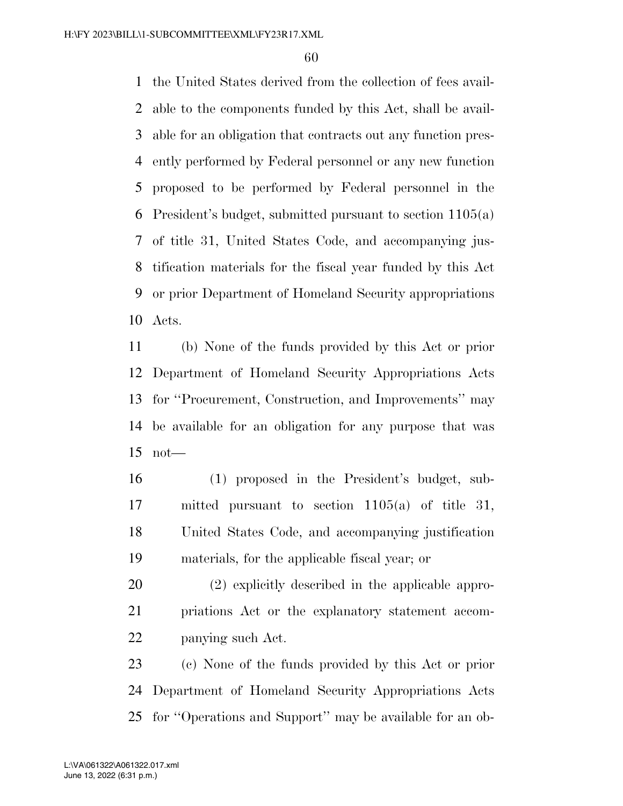the United States derived from the collection of fees avail- able to the components funded by this Act, shall be avail- able for an obligation that contracts out any function pres- ently performed by Federal personnel or any new function proposed to be performed by Federal personnel in the President's budget, submitted pursuant to section 1105(a) of title 31, United States Code, and accompanying jus- tification materials for the fiscal year funded by this Act or prior Department of Homeland Security appropriations Acts.

 (b) None of the funds provided by this Act or prior Department of Homeland Security Appropriations Acts for ''Procurement, Construction, and Improvements'' may be available for an obligation for any purpose that was not—

 (1) proposed in the President's budget, sub- mitted pursuant to section 1105(a) of title 31, United States Code, and accompanying justification materials, for the applicable fiscal year; or

 (2) explicitly described in the applicable appro- priations Act or the explanatory statement accom-panying such Act.

 (c) None of the funds provided by this Act or prior Department of Homeland Security Appropriations Acts for ''Operations and Support'' may be available for an ob-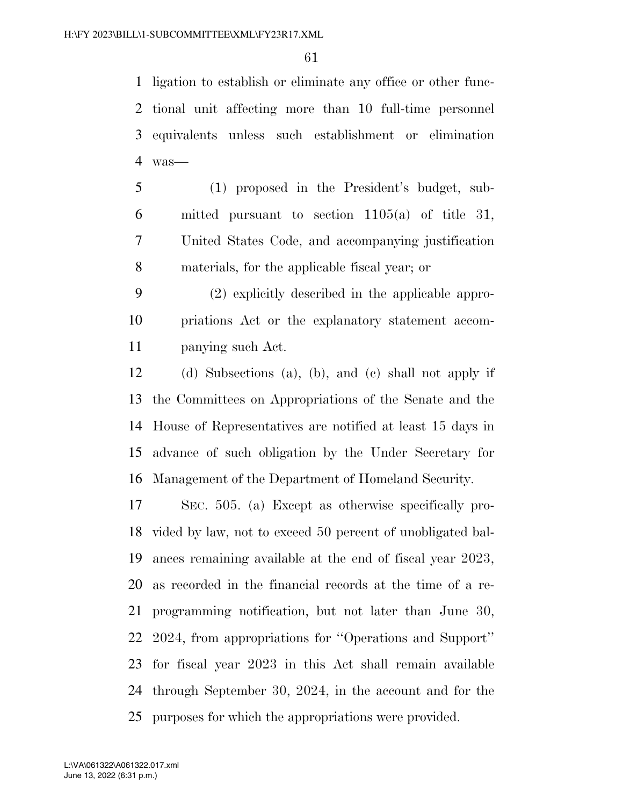ligation to establish or eliminate any office or other func- tional unit affecting more than 10 full-time personnel equivalents unless such establishment or elimination was—

 (1) proposed in the President's budget, sub- mitted pursuant to section 1105(a) of title 31, United States Code, and accompanying justification materials, for the applicable fiscal year; or

 (2) explicitly described in the applicable appro- priations Act or the explanatory statement accom-panying such Act.

 (d) Subsections (a), (b), and (c) shall not apply if the Committees on Appropriations of the Senate and the House of Representatives are notified at least 15 days in advance of such obligation by the Under Secretary for Management of the Department of Homeland Security.

 SEC. 505. (a) Except as otherwise specifically pro- vided by law, not to exceed 50 percent of unobligated bal- ances remaining available at the end of fiscal year 2023, as recorded in the financial records at the time of a re- programming notification, but not later than June 30, 2024, from appropriations for ''Operations and Support'' for fiscal year 2023 in this Act shall remain available through September 30, 2024, in the account and for the purposes for which the appropriations were provided.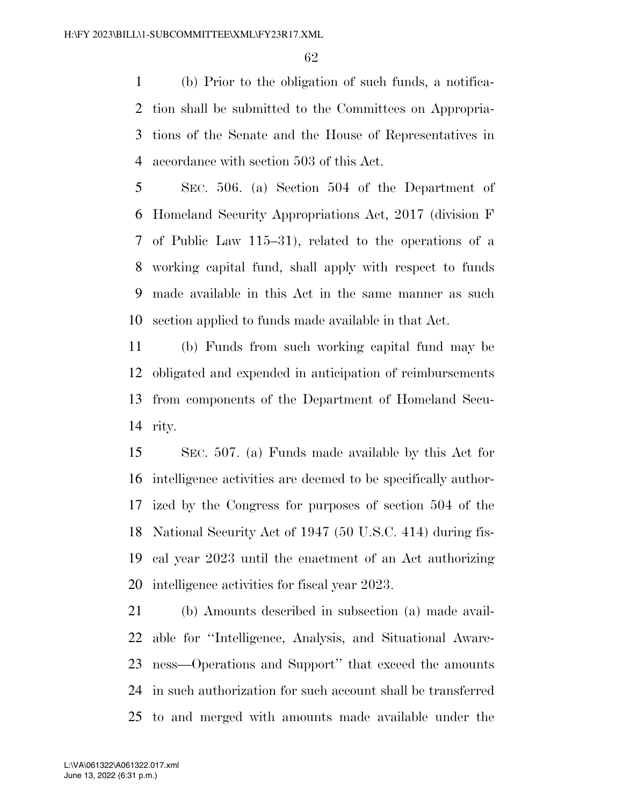(b) Prior to the obligation of such funds, a notifica- tion shall be submitted to the Committees on Appropria- tions of the Senate and the House of Representatives in accordance with section 503 of this Act.

 SEC. 506. (a) Section 504 of the Department of Homeland Security Appropriations Act, 2017 (division F of Public Law 115–31), related to the operations of a working capital fund, shall apply with respect to funds made available in this Act in the same manner as such section applied to funds made available in that Act.

 (b) Funds from such working capital fund may be obligated and expended in anticipation of reimbursements from components of the Department of Homeland Secu-rity.

 SEC. 507. (a) Funds made available by this Act for intelligence activities are deemed to be specifically author- ized by the Congress for purposes of section 504 of the National Security Act of 1947 (50 U.S.C. 414) during fis- cal year 2023 until the enactment of an Act authorizing intelligence activities for fiscal year 2023.

 (b) Amounts described in subsection (a) made avail- able for ''Intelligence, Analysis, and Situational Aware- ness—Operations and Support'' that exceed the amounts in such authorization for such account shall be transferred to and merged with amounts made available under the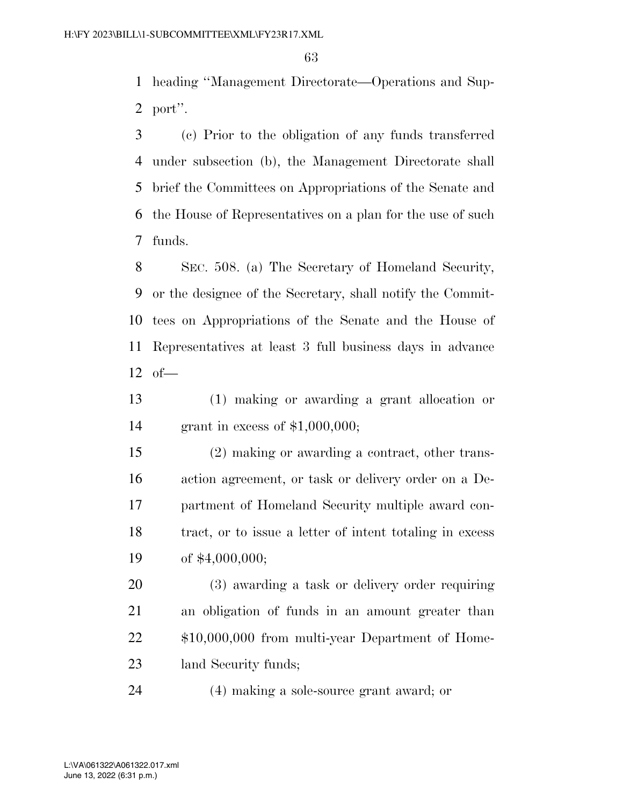heading ''Management Directorate—Operations and Sup-port''.

 (c) Prior to the obligation of any funds transferred under subsection (b), the Management Directorate shall brief the Committees on Appropriations of the Senate and the House of Representatives on a plan for the use of such funds.

 SEC. 508. (a) The Secretary of Homeland Security, or the designee of the Secretary, shall notify the Commit- tees on Appropriations of the Senate and the House of Representatives at least 3 full business days in advance of—

 (1) making or awarding a grant allocation or grant in excess of \$1,000,000;

 (2) making or awarding a contract, other trans- action agreement, or task or delivery order on a De- partment of Homeland Security multiple award con- tract, or to issue a letter of intent totaling in excess of \$4,000,000;

 (3) awarding a task or delivery order requiring an obligation of funds in an amount greater than \$10,000,000 from multi-year Department of Home-land Security funds;

(4) making a sole-source grant award; or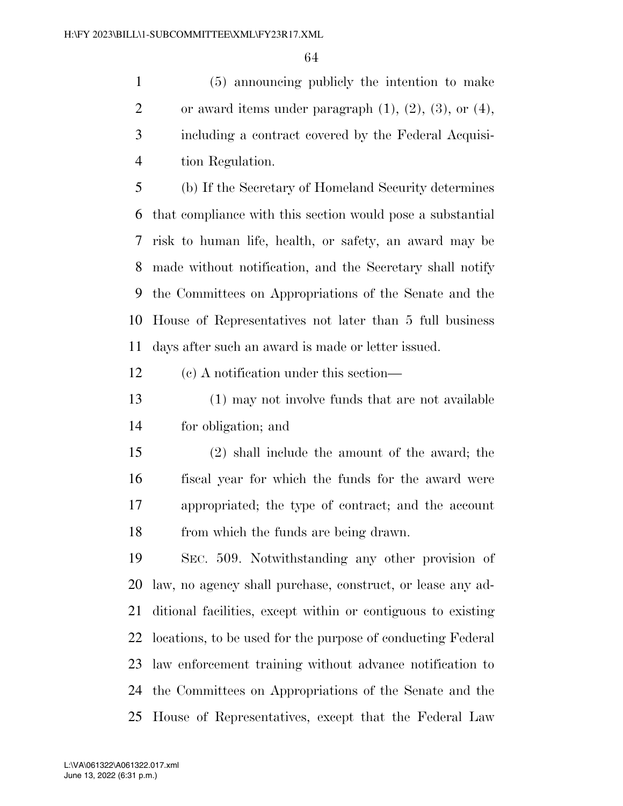(5) announcing publicly the intention to make 2 or award items under paragraph  $(1)$ ,  $(2)$ ,  $(3)$ , or  $(4)$ , including a contract covered by the Federal Acquisi-tion Regulation.

 (b) If the Secretary of Homeland Security determines that compliance with this section would pose a substantial risk to human life, health, or safety, an award may be made without notification, and the Secretary shall notify the Committees on Appropriations of the Senate and the House of Representatives not later than 5 full business days after such an award is made or letter issued.

(c) A notification under this section—

 (1) may not involve funds that are not available for obligation; and

 (2) shall include the amount of the award; the fiscal year for which the funds for the award were appropriated; the type of contract; and the account from which the funds are being drawn.

 SEC. 509. Notwithstanding any other provision of law, no agency shall purchase, construct, or lease any ad- ditional facilities, except within or contiguous to existing locations, to be used for the purpose of conducting Federal law enforcement training without advance notification to the Committees on Appropriations of the Senate and the House of Representatives, except that the Federal Law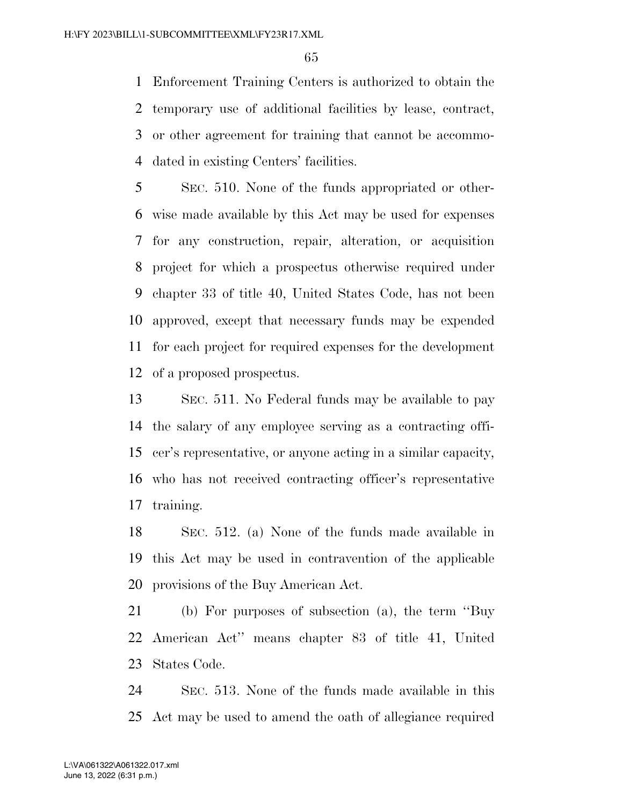Enforcement Training Centers is authorized to obtain the temporary use of additional facilities by lease, contract, or other agreement for training that cannot be accommo-dated in existing Centers' facilities.

 SEC. 510. None of the funds appropriated or other- wise made available by this Act may be used for expenses for any construction, repair, alteration, or acquisition project for which a prospectus otherwise required under chapter 33 of title 40, United States Code, has not been approved, except that necessary funds may be expended for each project for required expenses for the development of a proposed prospectus.

 SEC. 511. No Federal funds may be available to pay the salary of any employee serving as a contracting offi- cer's representative, or anyone acting in a similar capacity, who has not received contracting officer's representative training.

 SEC. 512. (a) None of the funds made available in this Act may be used in contravention of the applicable provisions of the Buy American Act.

 (b) For purposes of subsection (a), the term ''Buy American Act'' means chapter 83 of title 41, United States Code.

 SEC. 513. None of the funds made available in this Act may be used to amend the oath of allegiance required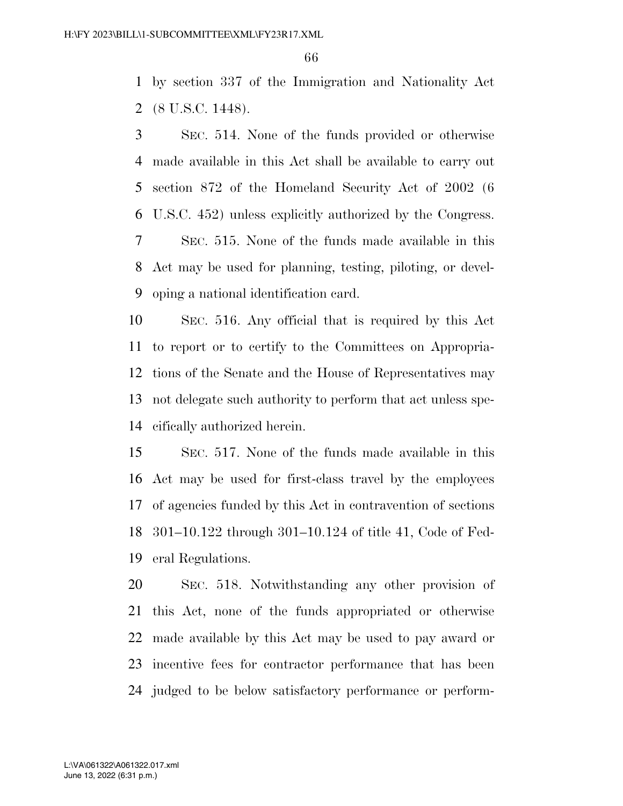by section 337 of the Immigration and Nationality Act (8 U.S.C. 1448).

 SEC. 514. None of the funds provided or otherwise made available in this Act shall be available to carry out section 872 of the Homeland Security Act of 2002 (6 U.S.C. 452) unless explicitly authorized by the Congress. SEC. 515. None of the funds made available in this Act may be used for planning, testing, piloting, or devel-oping a national identification card.

 SEC. 516. Any official that is required by this Act to report or to certify to the Committees on Appropria- tions of the Senate and the House of Representatives may not delegate such authority to perform that act unless spe-cifically authorized herein.

 SEC. 517. None of the funds made available in this Act may be used for first-class travel by the employees of agencies funded by this Act in contravention of sections 301–10.122 through 301–10.124 of title 41, Code of Fed-eral Regulations.

 SEC. 518. Notwithstanding any other provision of this Act, none of the funds appropriated or otherwise made available by this Act may be used to pay award or incentive fees for contractor performance that has been judged to be below satisfactory performance or perform-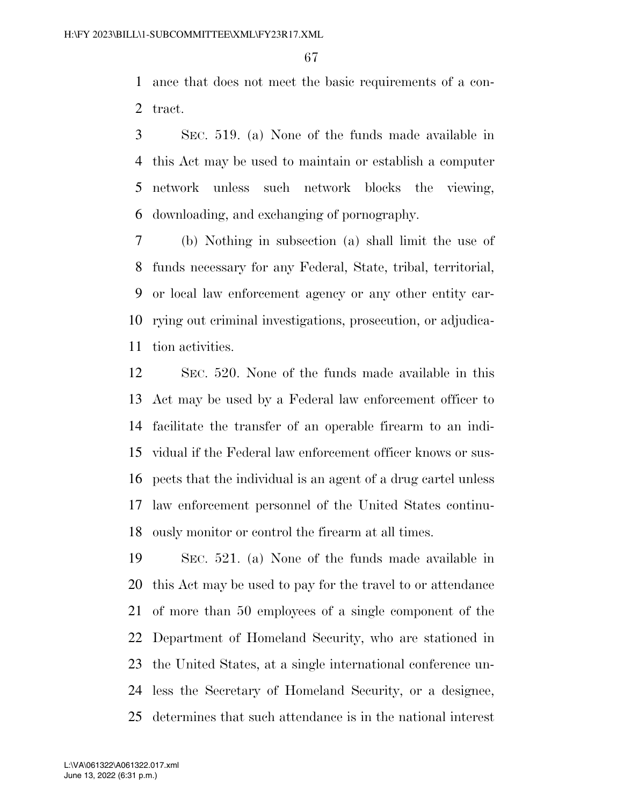ance that does not meet the basic requirements of a con-tract.

 SEC. 519. (a) None of the funds made available in this Act may be used to maintain or establish a computer network unless such network blocks the viewing, downloading, and exchanging of pornography.

 (b) Nothing in subsection (a) shall limit the use of funds necessary for any Federal, State, tribal, territorial, or local law enforcement agency or any other entity car- rying out criminal investigations, prosecution, or adjudica-tion activities.

 SEC. 520. None of the funds made available in this Act may be used by a Federal law enforcement officer to facilitate the transfer of an operable firearm to an indi- vidual if the Federal law enforcement officer knows or sus- pects that the individual is an agent of a drug cartel unless law enforcement personnel of the United States continu-ously monitor or control the firearm at all times.

 SEC. 521. (a) None of the funds made available in this Act may be used to pay for the travel to or attendance of more than 50 employees of a single component of the Department of Homeland Security, who are stationed in the United States, at a single international conference un- less the Secretary of Homeland Security, or a designee, determines that such attendance is in the national interest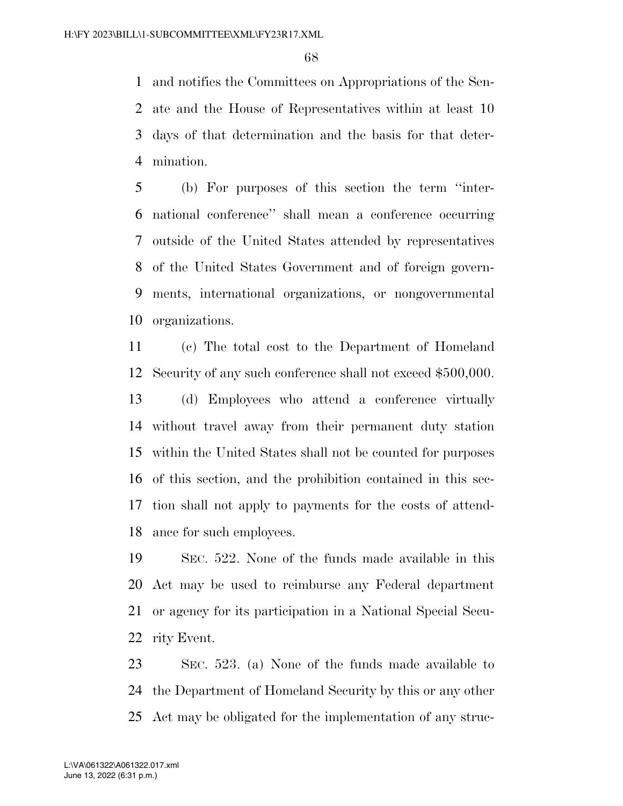and notifies the Committees on Appropriations of the Sen- ate and the House of Representatives within at least 10 days of that determination and the basis for that deter-mination.

 (b) For purposes of this section the term ''inter- national conference'' shall mean a conference occurring outside of the United States attended by representatives of the United States Government and of foreign govern- ments, international organizations, or nongovernmental organizations.

 (c) The total cost to the Department of Homeland Security of any such conference shall not exceed \$500,000.

 (d) Employees who attend a conference virtually without travel away from their permanent duty station within the United States shall not be counted for purposes of this section, and the prohibition contained in this sec- tion shall not apply to payments for the costs of attend-ance for such employees.

 SEC. 522. None of the funds made available in this Act may be used to reimburse any Federal department or agency for its participation in a National Special Secu-rity Event.

 SEC. 523. (a) None of the funds made available to the Department of Homeland Security by this or any other Act may be obligated for the implementation of any struc-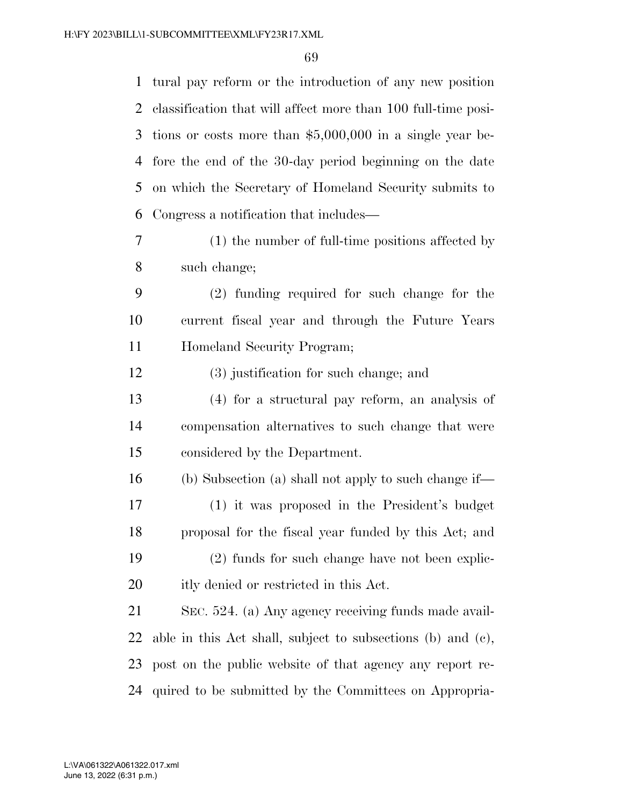| $\mathbf{1}$ | tural pay reform or the introduction of any new position      |
|--------------|---------------------------------------------------------------|
| 2            | classification that will affect more than 100 full-time posi- |
| 3            | tions or costs more than $$5,000,000$ in a single year be-    |
| 4            | fore the end of the 30-day period beginning on the date       |
| 5            | on which the Secretary of Homeland Security submits to        |
| 6            | Congress a notification that includes—                        |
| $\tau$       | $(1)$ the number of full-time positions affected by           |
| 8            | such change;                                                  |
| 9            | $(2)$ funding required for such change for the                |
| 10           | current fiscal year and through the Future Years              |
| 11           | Homeland Security Program;                                    |
| 12           | (3) justification for such change; and                        |
| 13           | $(4)$ for a structural pay reform, an analysis of             |
| 14           | compensation alternatives to such change that were            |
| 15           | considered by the Department.                                 |
| 16           | (b) Subsection (a) shall not apply to such change if—         |
| 17           | (1) it was proposed in the President's budget                 |
| 18           | proposal for the fiscal year funded by this Act; and          |
| 19           | (2) funds for such change have not been explic-               |
| 20           | itly denied or restricted in this Act.                        |
| 21           | SEC. 524. (a) Any agency receiving funds made avail-          |
| 22           | able in this Act shall, subject to subsections (b) and (c),   |
| 23           | post on the public website of that agency any report re-      |
| 24           | quired to be submitted by the Committees on Appropria-        |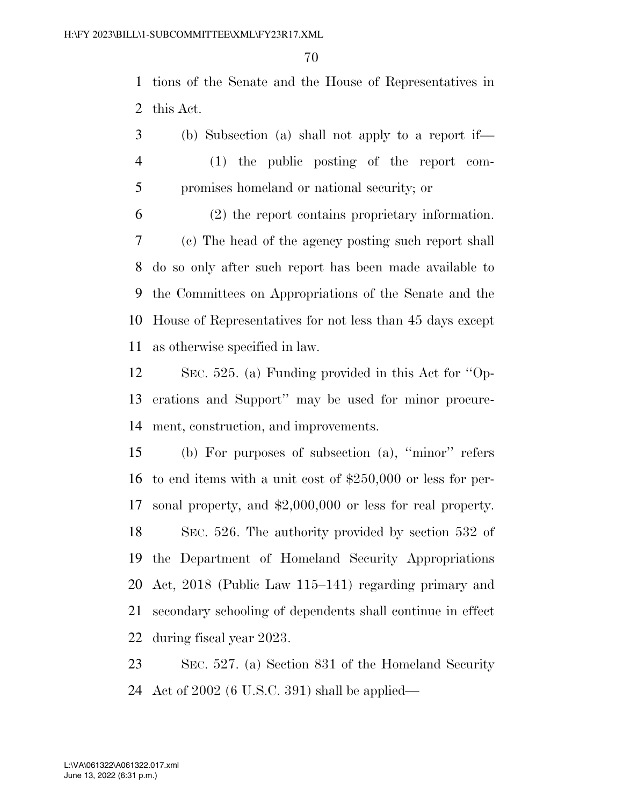tions of the Senate and the House of Representatives in this Act.

 (b) Subsection (a) shall not apply to a report if— (1) the public posting of the report com-promises homeland or national security; or

 (2) the report contains proprietary information. (c) The head of the agency posting such report shall do so only after such report has been made available to the Committees on Appropriations of the Senate and the House of Representatives for not less than 45 days except as otherwise specified in law.

 SEC. 525. (a) Funding provided in this Act for ''Op- erations and Support'' may be used for minor procure-ment, construction, and improvements.

 (b) For purposes of subsection (a), ''minor'' refers to end items with a unit cost of \$250,000 or less for per- sonal property, and \$2,000,000 or less for real property. SEC. 526. The authority provided by section 532 of the Department of Homeland Security Appropriations Act, 2018 (Public Law 115–141) regarding primary and secondary schooling of dependents shall continue in effect during fiscal year 2023.

 SEC. 527. (a) Section 831 of the Homeland Security Act of 2002 (6 U.S.C. 391) shall be applied—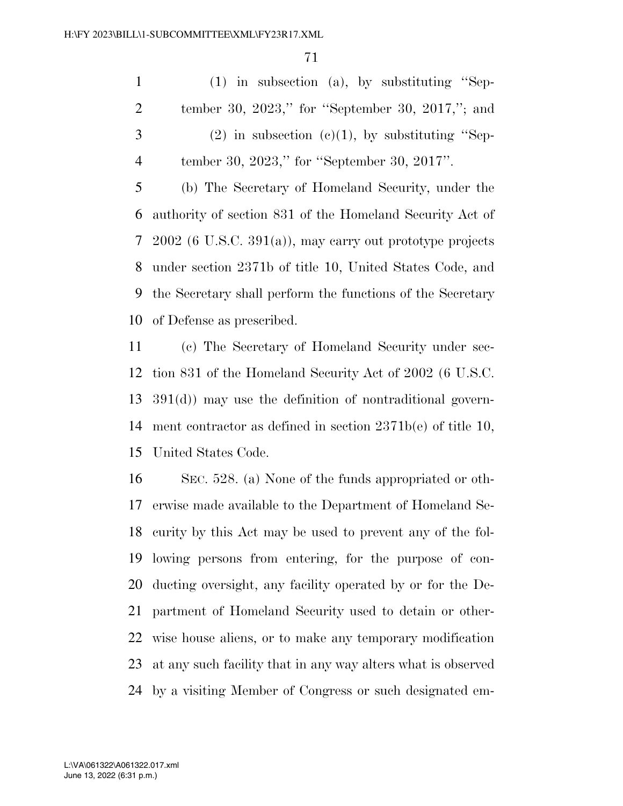(1) in subsection (a), by substituting ''Sep- tember 30, 2023,'' for ''September 30, 2017,''; and (2) in subsection (c)(1), by substituting "Sep-tember 30, 2023,'' for ''September 30, 2017''.

 (b) The Secretary of Homeland Security, under the authority of section 831 of the Homeland Security Act of 2002 (6 U.S.C. 391(a)), may carry out prototype projects under section 2371b of title 10, United States Code, and the Secretary shall perform the functions of the Secretary of Defense as prescribed.

 (c) The Secretary of Homeland Security under sec- tion 831 of the Homeland Security Act of 2002 (6 U.S.C. 391(d)) may use the definition of nontraditional govern- ment contractor as defined in section 2371b(e) of title 10, United States Code.

 SEC. 528. (a) None of the funds appropriated or oth- erwise made available to the Department of Homeland Se- curity by this Act may be used to prevent any of the fol- lowing persons from entering, for the purpose of con- ducting oversight, any facility operated by or for the De- partment of Homeland Security used to detain or other- wise house aliens, or to make any temporary modification at any such facility that in any way alters what is observed by a visiting Member of Congress or such designated em-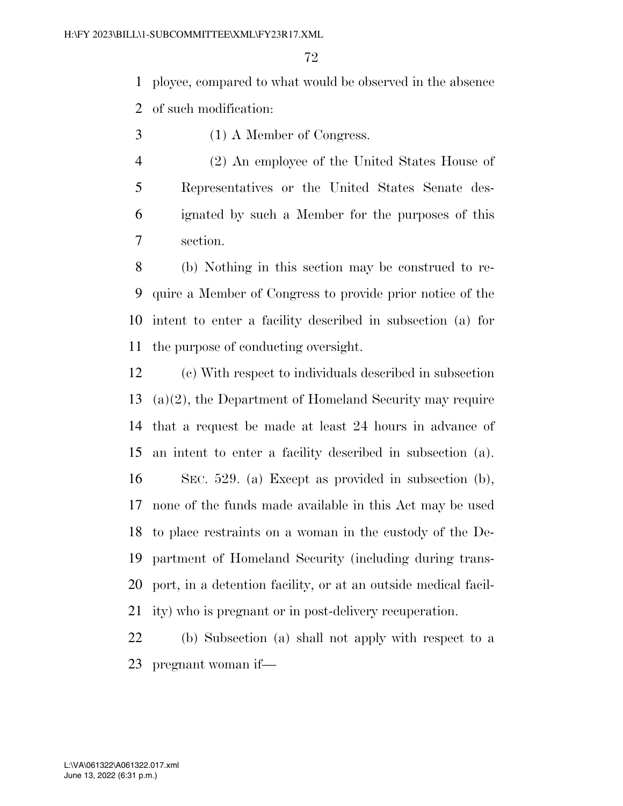ployee, compared to what would be observed in the absence of such modification:

- (1) A Member of Congress.
- (2) An employee of the United States House of Representatives or the United States Senate des- ignated by such a Member for the purposes of this section.

 (b) Nothing in this section may be construed to re- quire a Member of Congress to provide prior notice of the intent to enter a facility described in subsection (a) for the purpose of conducting oversight.

 (c) With respect to individuals described in subsection (a)(2), the Department of Homeland Security may require that a request be made at least 24 hours in advance of an intent to enter a facility described in subsection (a). SEC. 529. (a) Except as provided in subsection (b), none of the funds made available in this Act may be used to place restraints on a woman in the custody of the De- partment of Homeland Security (including during trans- port, in a detention facility, or at an outside medical facil-ity) who is pregnant or in post-delivery recuperation.

 (b) Subsection (a) shall not apply with respect to a pregnant woman if—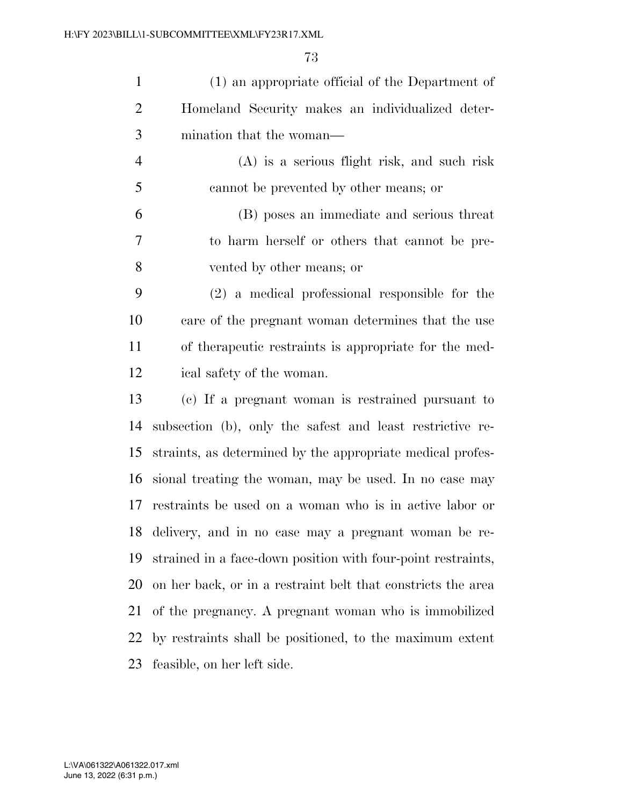(1) an appropriate official of the Department of Homeland Security makes an individualized deter- mination that the woman— (A) is a serious flight risk, and such risk cannot be prevented by other means; or (B) poses an immediate and serious threat to harm herself or others that cannot be pre- vented by other means; or (2) a medical professional responsible for the

 care of the pregnant woman determines that the use of therapeutic restraints is appropriate for the med-ical safety of the woman.

 (c) If a pregnant woman is restrained pursuant to subsection (b), only the safest and least restrictive re- straints, as determined by the appropriate medical profes- sional treating the woman, may be used. In no case may restraints be used on a woman who is in active labor or delivery, and in no case may a pregnant woman be re- strained in a face-down position with four-point restraints, on her back, or in a restraint belt that constricts the area of the pregnancy. A pregnant woman who is immobilized by restraints shall be positioned, to the maximum extent feasible, on her left side.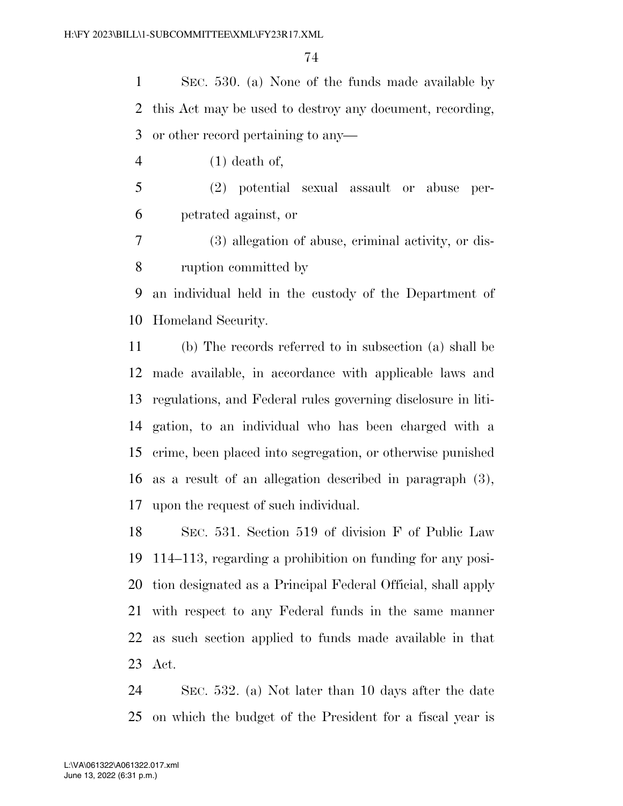SEC. 530. (a) None of the funds made available by this Act may be used to destroy any document, recording, or other record pertaining to any—

- (1) death of,
- (2) potential sexual assault or abuse per-petrated against, or

 (3) allegation of abuse, criminal activity, or dis-ruption committed by

 an individual held in the custody of the Department of Homeland Security.

 (b) The records referred to in subsection (a) shall be made available, in accordance with applicable laws and regulations, and Federal rules governing disclosure in liti- gation, to an individual who has been charged with a crime, been placed into segregation, or otherwise punished as a result of an allegation described in paragraph (3), upon the request of such individual.

 SEC. 531. Section 519 of division F of Public Law 114–113, regarding a prohibition on funding for any posi- tion designated as a Principal Federal Official, shall apply with respect to any Federal funds in the same manner as such section applied to funds made available in that Act.

 SEC. 532. (a) Not later than 10 days after the date on which the budget of the President for a fiscal year is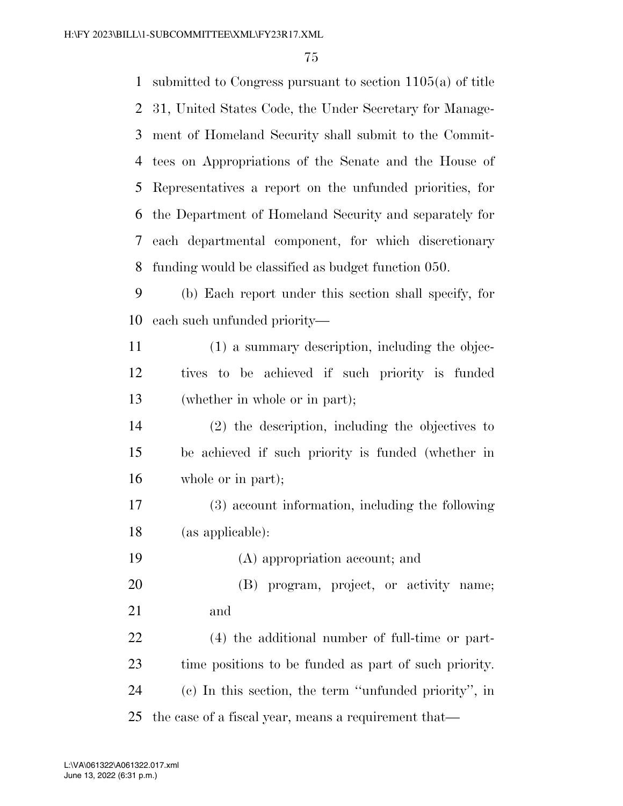| $\mathbf{1}$ | submitted to Congress pursuant to section $1105(a)$ of title |
|--------------|--------------------------------------------------------------|
| 2            | 31, United States Code, the Under Secretary for Manage-      |
| 3            | ment of Homeland Security shall submit to the Commit-        |
| 4            | tees on Appropriations of the Senate and the House of        |
| 5            | Representatives a report on the unfunded priorities, for     |
| 6            | the Department of Homeland Security and separately for       |
| 7            | each departmental component, for which discretionary         |
| 8            | funding would be classified as budget function 050.          |
| 9            | (b) Each report under this section shall specify, for        |
| 10           | each such unfunded priority—                                 |
| 11           | (1) a summary description, including the objec-              |
| 12           | tives to be achieved if such priority is funded              |
| 13           | (whether in whole or in part);                               |
| 14           | (2) the description, including the objectives to             |
| 15           | be achieved if such priority is funded (whether in           |
| 16           | whole or in part);                                           |
| 17           | (3) account information, including the following             |
| 18           | (as applicable):                                             |
| 19           | (A) appropriation account; and                               |
| 20           | (B) program, project, or activity name;                      |
| 21           | and                                                          |
| 22           | $(4)$ the additional number of full-time or part-            |
| 23           | time positions to be funded as part of such priority.        |
| 24           | (c) In this section, the term "unfunded priority", in        |
| 25           | the case of a fiscal year, means a requirement that—         |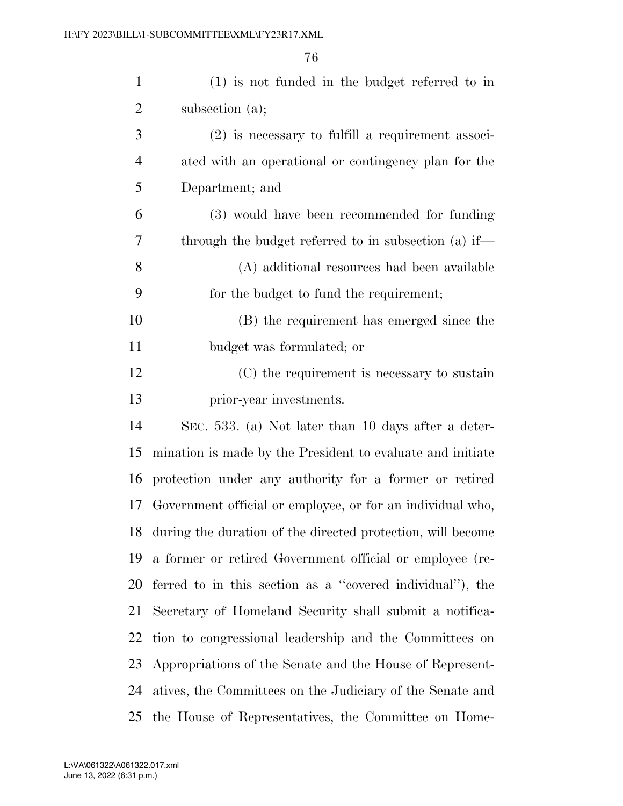| $\mathbf{1}$   | $(1)$ is not funded in the budget referred to in               |
|----------------|----------------------------------------------------------------|
| $\overline{c}$ | subsection (a);                                                |
| 3              | $(2)$ is necessary to fulfill a requirement associ-            |
| $\overline{4}$ | ated with an operational or contingency plan for the           |
| 5              | Department; and                                                |
| 6              | (3) would have been recommended for funding                    |
| 7              | through the budget referred to in subsection (a) if—           |
| 8              | (A) additional resources had been available                    |
| 9              | for the budget to fund the requirement;                        |
| 10             | (B) the requirement has emerged since the                      |
| 11             | budget was formulated; or                                      |
| 12             | (C) the requirement is necessary to sustain                    |
| 13             | prior-year investments.                                        |
| 14             | SEC. 533. (a) Not later than 10 days after a deter-            |
| 15             | mination is made by the President to evaluate and initiate     |
| 16             | protection under any authority for a former or retired         |
| 17             | Government official or employee, or for an individual who,     |
|                | 18 during the duration of the directed protection, will become |
| 19             | a former or retired Government official or employee (re-       |
| 20             | ferred to in this section as a "covered individual"), the      |
| 21             | Secretary of Homeland Security shall submit a notifica-        |
| 22             | tion to congressional leadership and the Committees on         |
| 23             | Appropriations of the Senate and the House of Represent-       |
| 24             | atives, the Committees on the Judiciary of the Senate and      |
| 25             | the House of Representatives, the Committee on Home-           |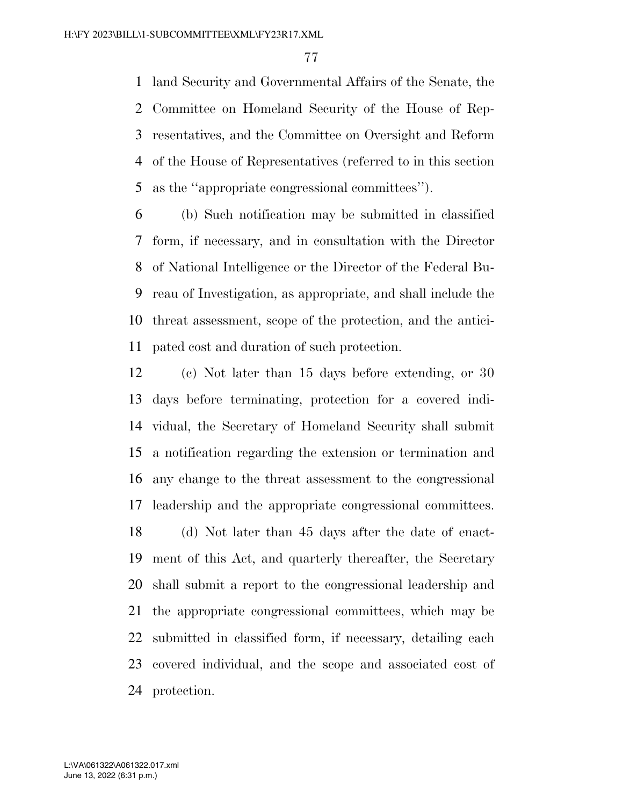land Security and Governmental Affairs of the Senate, the Committee on Homeland Security of the House of Rep- resentatives, and the Committee on Oversight and Reform of the House of Representatives (referred to in this section as the ''appropriate congressional committees'').

 (b) Such notification may be submitted in classified form, if necessary, and in consultation with the Director of National Intelligence or the Director of the Federal Bu- reau of Investigation, as appropriate, and shall include the threat assessment, scope of the protection, and the antici-pated cost and duration of such protection.

 (c) Not later than 15 days before extending, or 30 days before terminating, protection for a covered indi- vidual, the Secretary of Homeland Security shall submit a notification regarding the extension or termination and any change to the threat assessment to the congressional leadership and the appropriate congressional committees. (d) Not later than 45 days after the date of enact-ment of this Act, and quarterly thereafter, the Secretary

 shall submit a report to the congressional leadership and the appropriate congressional committees, which may be submitted in classified form, if necessary, detailing each covered individual, and the scope and associated cost of protection.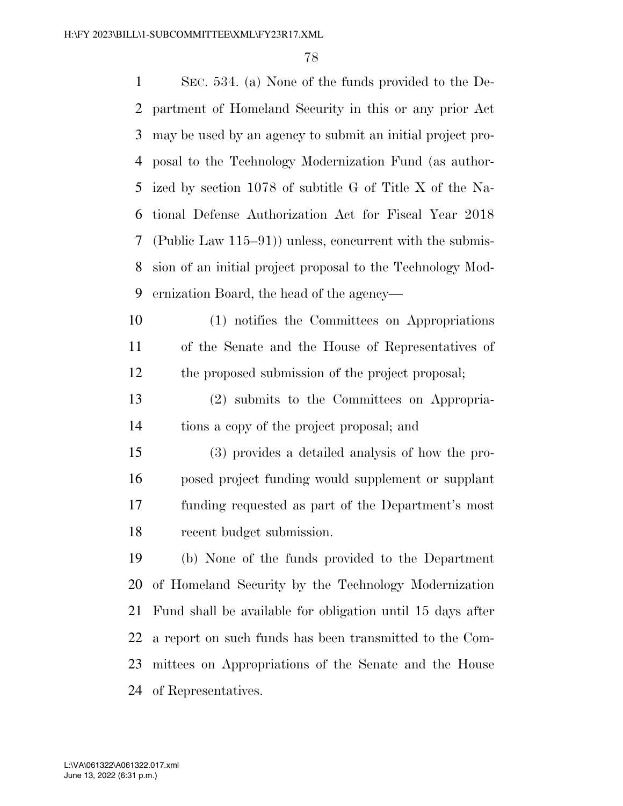SEC. 534. (a) None of the funds provided to the De- partment of Homeland Security in this or any prior Act may be used by an agency to submit an initial project pro- posal to the Technology Modernization Fund (as author- ized by section 1078 of subtitle G of Title X of the Na- tional Defense Authorization Act for Fiscal Year 2018 (Public Law 115–91)) unless, concurrent with the submis- sion of an initial project proposal to the Technology Mod-ernization Board, the head of the agency—

 (1) notifies the Committees on Appropriations of the Senate and the House of Representatives of the proposed submission of the project proposal;

 (2) submits to the Committees on Appropria-tions a copy of the project proposal; and

 (3) provides a detailed analysis of how the pro- posed project funding would supplement or supplant funding requested as part of the Department's most recent budget submission.

 (b) None of the funds provided to the Department of Homeland Security by the Technology Modernization Fund shall be available for obligation until 15 days after a report on such funds has been transmitted to the Com- mittees on Appropriations of the Senate and the House of Representatives.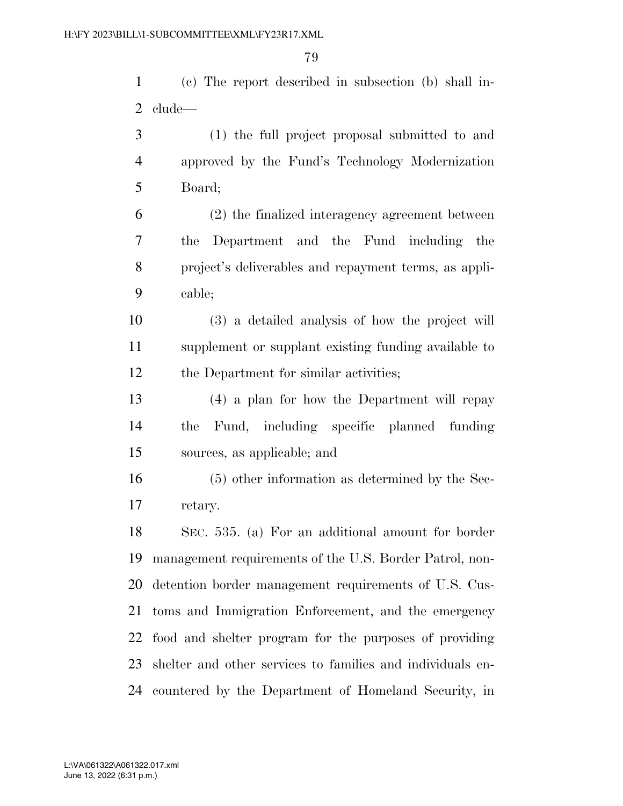(c) The report described in subsection (b) shall in-clude—

 (1) the full project proposal submitted to and approved by the Fund's Technology Modernization Board;

 (2) the finalized interagency agreement between the Department and the Fund including the project's deliverables and repayment terms, as appli-cable;

 (3) a detailed analysis of how the project will supplement or supplant existing funding available to the Department for similar activities;

 (4) a plan for how the Department will repay the Fund, including specific planned funding sources, as applicable; and

 (5) other information as determined by the Sec-retary.

 SEC. 535. (a) For an additional amount for border management requirements of the U.S. Border Patrol, non- detention border management requirements of U.S. Cus- toms and Immigration Enforcement, and the emergency food and shelter program for the purposes of providing shelter and other services to families and individuals en-countered by the Department of Homeland Security, in

June 13, 2022 (6:31 p.m.) L:\VA\061322\A061322.017.xml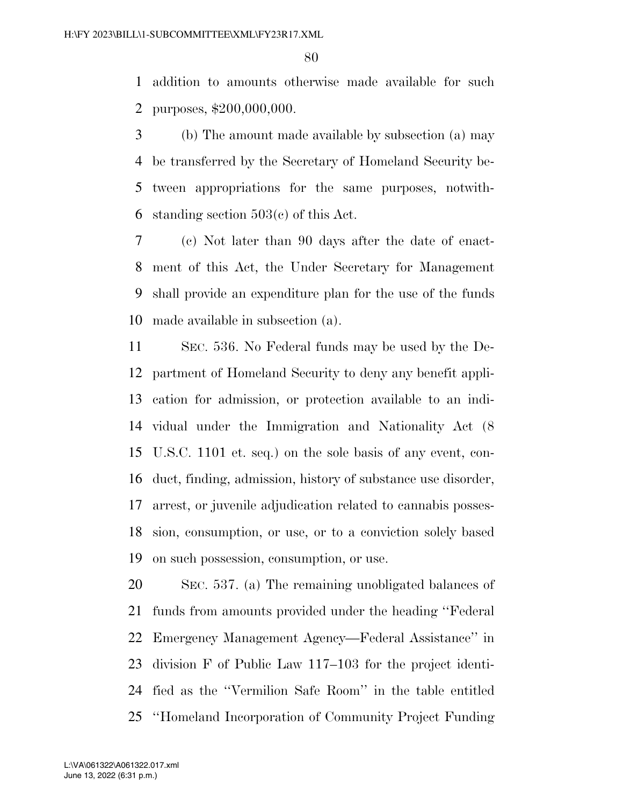addition to amounts otherwise made available for such purposes, \$200,000,000.

 (b) The amount made available by subsection (a) may be transferred by the Secretary of Homeland Security be- tween appropriations for the same purposes, notwith-standing section 503(c) of this Act.

 (c) Not later than 90 days after the date of enact- ment of this Act, the Under Secretary for Management shall provide an expenditure plan for the use of the funds made available in subsection (a).

 SEC. 536. No Federal funds may be used by the De- partment of Homeland Security to deny any benefit appli- cation for admission, or protection available to an indi- vidual under the Immigration and Nationality Act (8 U.S.C. 1101 et. seq.) on the sole basis of any event, con- duct, finding, admission, history of substance use disorder, arrest, or juvenile adjudication related to cannabis posses- sion, consumption, or use, or to a conviction solely based on such possession, consumption, or use.

 SEC. 537. (a) The remaining unobligated balances of funds from amounts provided under the heading ''Federal Emergency Management Agency—Federal Assistance'' in division F of Public Law 117–103 for the project identi- fied as the ''Vermilion Safe Room'' in the table entitled ''Homeland Incorporation of Community Project Funding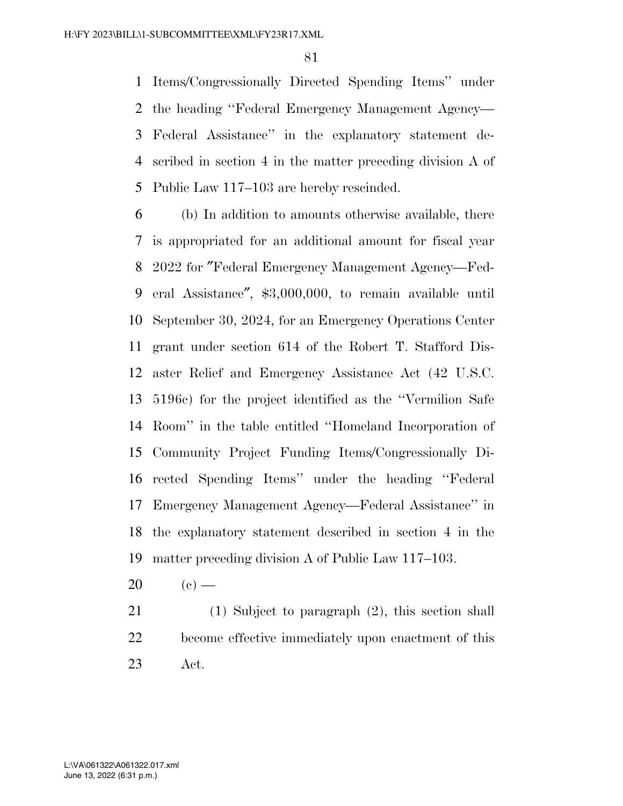Items/Congressionally Directed Spending Items'' under the heading ''Federal Emergency Management Agency— Federal Assistance'' in the explanatory statement de- scribed in section 4 in the matter preceding division A of Public Law 117–103 are hereby rescinded.

 (b) In addition to amounts otherwise available, there is appropriated for an additional amount for fiscal year 2022 for ″Federal Emergency Management Agency—Fed- eral Assistance″, \$3,000,000, to remain available until September 30, 2024, for an Emergency Operations Center grant under section 614 of the Robert T. Stafford Dis- aster Relief and Emergency Assistance Act (42 U.S.C. 5196c) for the project identified as the ''Vermilion Safe Room'' in the table entitled ''Homeland Incorporation of Community Project Funding Items/Congressionally Di- rected Spending Items'' under the heading ''Federal Emergency Management Agency—Federal Assistance'' in the explanatory statement described in section 4 in the matter preceding division A of Public Law 117–103.

 $20 \t(e)$  —

 (1) Subject to paragraph (2), this section shall become effective immediately upon enactment of this Act.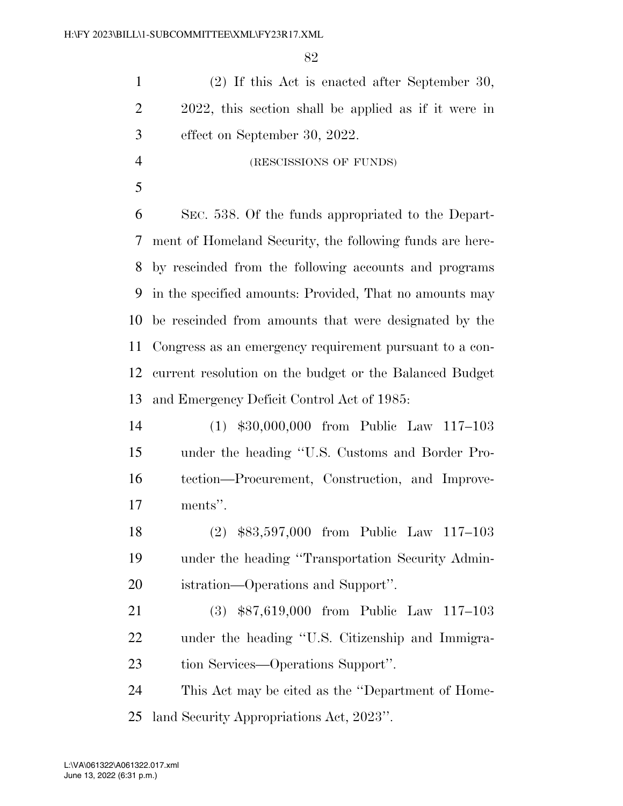(2) If this Act is enacted after September 30, 2022, this section shall be applied as if it were in effect on September 30, 2022. (RESCISSIONS OF FUNDS)

 SEC. 538. Of the funds appropriated to the Depart- ment of Homeland Security, the following funds are here- by rescinded from the following accounts and programs in the specified amounts: Provided, That no amounts may be rescinded from amounts that were designated by the Congress as an emergency requirement pursuant to a con- current resolution on the budget or the Balanced Budget and Emergency Deficit Control Act of 1985:

 (1) \$30,000,000 from Public Law 117–103 under the heading ''U.S. Customs and Border Pro- tection—Procurement, Construction, and Improve-ments''.

 (2) \$83,597,000 from Public Law 117–103 under the heading ''Transportation Security Admin-istration—Operations and Support''.

 (3) \$87,619,000 from Public Law 117–103 under the heading ''U.S. Citizenship and Immigra-tion Services—Operations Support''.

 This Act may be cited as the ''Department of Home-land Security Appropriations Act, 2023''.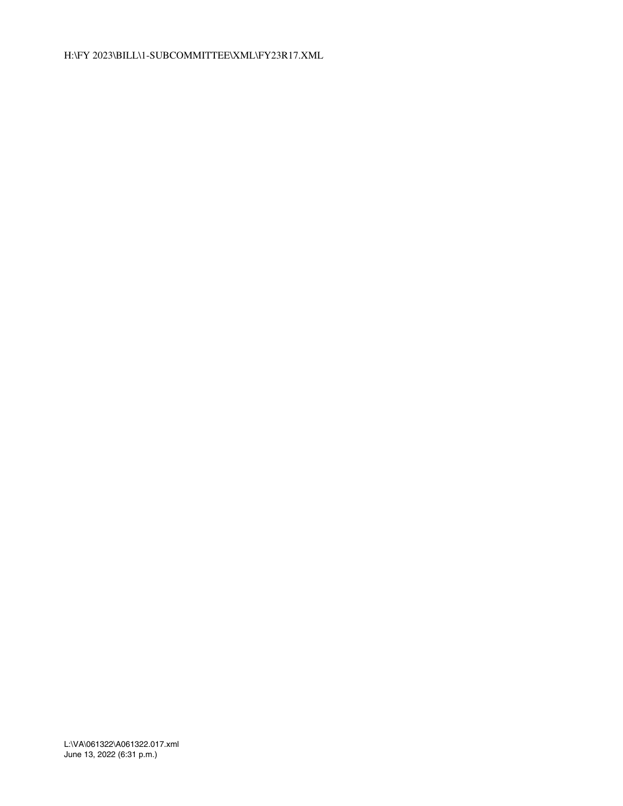## H:\FY 2023\BILL\1-SUBCOMMITTEE\XML\FY23R17.XML

June 13, 2022 (6:31 p.m.) L:\VA\061322\A061322.017.xml